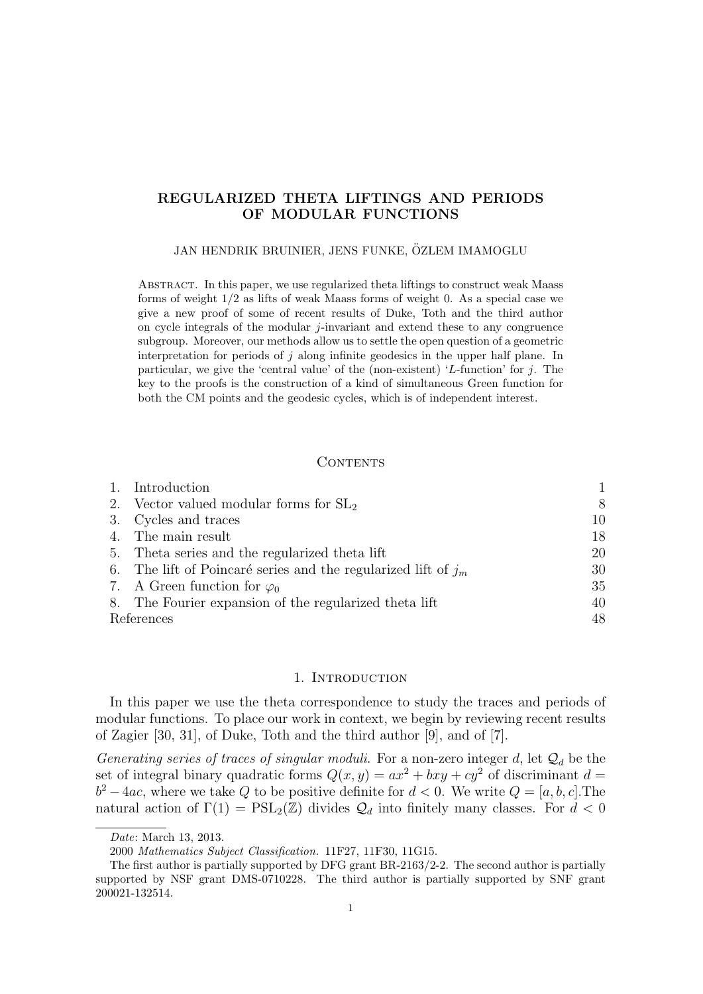# REGULARIZED THETA LIFTINGS AND PERIODS OF MODULAR FUNCTIONS

#### JAN HENDRIK BRUINIER, JENS FUNKE, ÖZLEM IMAMOGLU

Abstract. In this paper, we use regularized theta liftings to construct weak Maass forms of weight 1/2 as lifts of weak Maass forms of weight 0. As a special case we give a new proof of some of recent results of Duke, Toth and the third author on cycle integrals of the modular  $j$ -invariant and extend these to any congruence subgroup. Moreover, our methods allow us to settle the open question of a geometric interpretation for periods of  $j$  along infinite geodesics in the upper half plane. In particular, we give the 'central value' of the (non-existent) 'L-function' for j. The key to the proofs is the construction of a kind of simultaneous Green function for both the CM points and the geodesic cycles, which is of independent interest.

#### **CONTENTS**

|            | 1. Introduction                                                  |    |
|------------|------------------------------------------------------------------|----|
|            | 2. Vector valued modular forms for $SL2$                         | 8  |
|            | 3. Cycles and traces                                             | 10 |
|            | 4. The main result                                               | 18 |
|            | 5. Theta series and the regularized theta lift                   | 20 |
|            | 6. The lift of Poincaré series and the regularized lift of $j_m$ | 30 |
|            | 7. A Green function for $\varphi_0$                              | 35 |
|            | 8. The Fourier expansion of the regularized theta lift           | 40 |
| References |                                                                  | 48 |

### 1. INTRODUCTION

In this paper we use the theta correspondence to study the traces and periods of modular functions. To place our work in context, we begin by reviewing recent results of Zagier [30, 31], of Duke, Toth and the third author [9], and of [7].

Generating series of traces of singular moduli. For a non-zero integer d, let  $\mathcal{Q}_d$  be the set of integral binary quadratic forms  $Q(x, y) = ax^2 + bxy + cy^2$  of discriminant  $d =$  $b^2-4ac$ , where we take Q to be positive definite for  $d < 0$ . We write  $Q = [a, b, c]$ . The natural action of  $\Gamma(1) = \text{PSL}_2(\mathbb{Z})$  divides  $\mathcal{Q}_d$  into finitely many classes. For  $d < 0$ 

Date: March 13, 2013.

<sup>2000</sup> Mathematics Subject Classification. 11F27, 11F30, 11G15.

The first author is partially supported by DFG grant BR-2163/2-2. The second author is partially supported by NSF grant DMS-0710228. The third author is partially supported by SNF grant 200021-132514.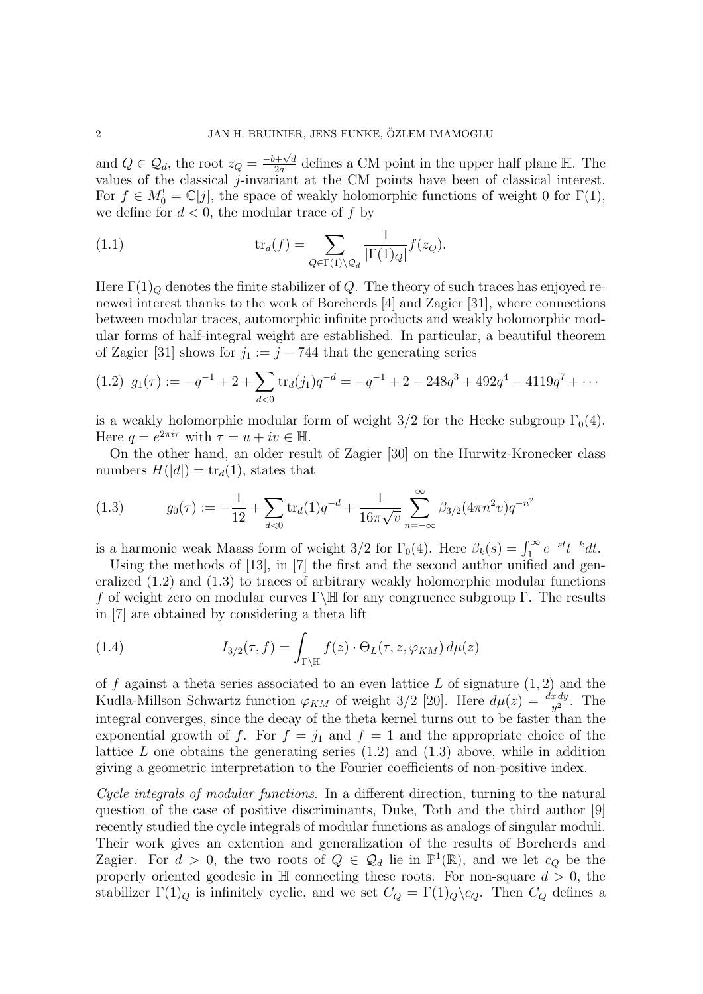and  $Q \in \mathcal{Q}_d$ , the root  $z_Q = \frac{-b + \sqrt{d}}{2a}$  $\frac{1+\sqrt{d}}{2a}$  defines a CM point in the upper half plane H. The values of the classical j-invariant at the CM points have been of classical interest. For  $f \in M_0^! = \mathbb{C}[j]$ , the space of weakly holomorphic functions of weight 0 for  $\Gamma(1)$ , we define for  $d < 0$ , the modular trace of f by

(1.1) 
$$
\operatorname{tr}_d(f) = \sum_{Q \in \Gamma(1) \backslash Q_d} \frac{1}{|\Gamma(1)_Q|} f(z_Q).
$$

Here  $\Gamma(1)_Q$  denotes the finite stabilizer of Q. The theory of such traces has enjoyed renewed interest thanks to the work of Borcherds [4] and Zagier [31], where connections between modular traces, automorphic infinite products and weakly holomorphic modular forms of half-integral weight are established. In particular, a beautiful theorem of Zagier [31] shows for  $j_1 := j - 744$  that the generating series

$$
(1.2) \ \ g_1(\tau) := -q^{-1} + 2 + \sum_{d < 0} \text{tr}_d(j_1) q^{-d} = -q^{-1} + 2 - 248q^3 + 492q^4 - 4119q^7 + \cdots
$$

is a weakly holomorphic modular form of weight  $3/2$  for the Hecke subgroup  $\Gamma_0(4)$ . Here  $q = e^{2\pi i \tau}$  with  $\tau = u + iv \in \mathbb{H}$ .

On the other hand, an older result of Zagier [30] on the Hurwitz-Kronecker class numbers  $H(|d|) = \text{tr}_d(1)$ , states that

(1.3) 
$$
g_0(\tau) := -\frac{1}{12} + \sum_{d<0} \text{tr}_d(1) q^{-d} + \frac{1}{16\pi\sqrt{v}} \sum_{n=-\infty}^{\infty} \beta_{3/2} (4\pi n^2 v) q^{-n^2}
$$

is a harmonic weak Maass form of weight 3/2 for  $\Gamma_0(4)$ . Here  $\beta_k(s) = \int_1^\infty e^{-st} t^{-k} dt$ .

Using the methods of [13], in [7] the first and the second author unified and generalized (1.2) and (1.3) to traces of arbitrary weakly holomorphic modular functions f of weight zero on modular curves  $\Gamma\backslash\mathbb{H}$  for any congruence subgroup  $\Gamma$ . The results in [7] are obtained by considering a theta lift

(1.4) 
$$
I_{3/2}(\tau, f) = \int_{\Gamma \backslash \mathbb{H}} f(z) \cdot \Theta_L(\tau, z, \varphi_{KM}) d\mu(z)
$$

of  $f$  against a theta series associated to an even lattice  $L$  of signature  $(1, 2)$  and the Kudla-Millson Schwartz function  $\varphi_{KM}$  of weight 3/2 [20]. Here  $d\mu(z) = \frac{dx\,dy}{y^2}$ . The integral converges, since the decay of the theta kernel turns out to be faster than the exponential growth of f. For  $f = j_1$  and  $f = 1$  and the appropriate choice of the lattice  $L$  one obtains the generating series  $(1.2)$  and  $(1.3)$  above, while in addition giving a geometric interpretation to the Fourier coefficients of non-positive index.

Cycle integrals of modular functions. In a different direction, turning to the natural question of the case of positive discriminants, Duke, Toth and the third author [9] recently studied the cycle integrals of modular functions as analogs of singular moduli. Their work gives an extention and generalization of the results of Borcherds and Zagier. For  $d > 0$ , the two roots of  $Q \in \mathcal{Q}_d$  lie in  $\mathbb{P}^1(\mathbb{R})$ , and we let  $c_Q$  be the properly oriented geodesic in  $\mathbb H$  connecting these roots. For non-square  $d > 0$ , the stabilizer  $\Gamma(1)_Q$  is infinitely cyclic, and we set  $C_Q = \Gamma(1)_Q \setminus c_Q$ . Then  $C_Q$  defines a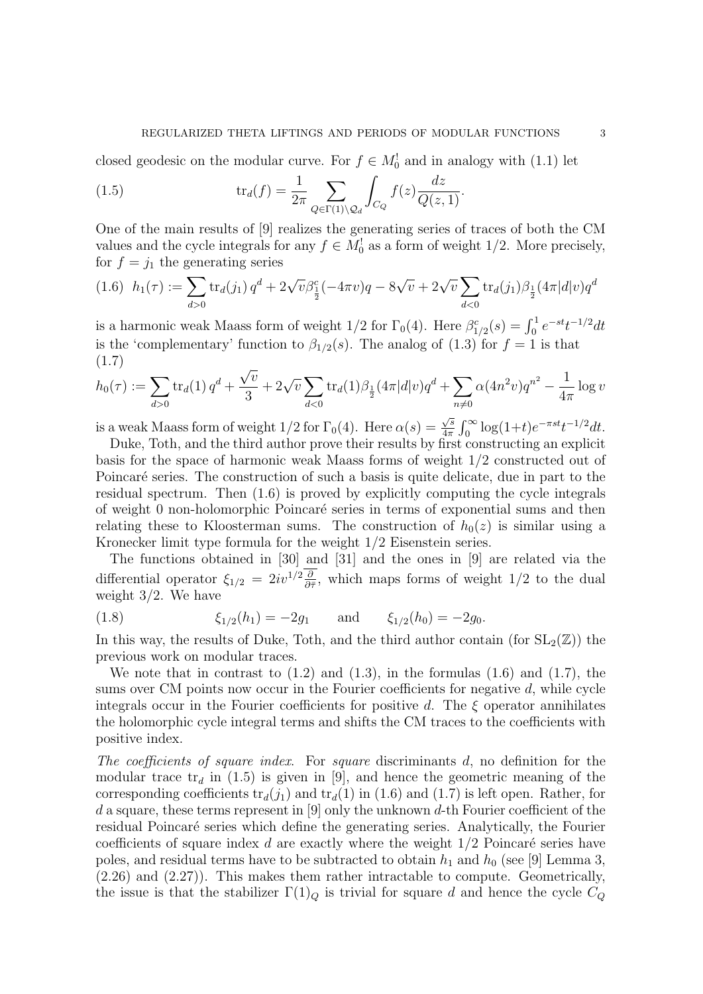closed geodesic on the modular curve. For  $f \in M_0^!$  and in analogy with (1.1) let

(1.5) 
$$
\operatorname{tr}_d(f) = \frac{1}{2\pi} \sum_{Q \in \Gamma(1) \backslash Q_d} \int_{C_Q} f(z) \frac{dz}{Q(z, 1)}.
$$

One of the main results of [9] realizes the generating series of traces of both the CM values and the cycle integrals for any  $f \in M_0^!$  as a form of weight 1/2. More precisely, for  $f = j_1$  the generating series

$$
(1.6) \ \ h_1(\tau) := \sum_{d>0} \text{tr}_d(j_1) \, q^d + 2\sqrt{v} \beta_{\frac{1}{2}}^c (-4\pi v) q - 8\sqrt{v} + 2\sqrt{v} \sum_{d<0} \text{tr}_d(j_1) \beta_{\frac{1}{2}}(4\pi |d|v) q^d
$$

is a harmonic weak Maass form of weight  $1/2$  for  $\Gamma_0(4)$ . Here  $\beta_{1/2}^c(s) = \int_0^1 e^{-st} t^{-1/2} dt$ is the 'complementary' function to  $\beta_{1/2}(s)$ . The analog of (1.3) for  $f = 1$  is that (1.7) √

$$
h_0(\tau) := \sum_{d>0} \text{tr}_d(1) q^d + \frac{\sqrt{v}}{3} + 2\sqrt{v} \sum_{d<0} \text{tr}_d(1)\beta_{\frac{1}{2}}(4\pi |d|v)q^d + \sum_{n\neq 0} \alpha (4n^2 v)q^{n^2} - \frac{1}{4\pi} \log v
$$

is a weak Maass form of weight  $1/2$  for  $\Gamma_0(4)$ . Here  $\alpha(s)$  = √ s  $\frac{\sqrt{s}}{4\pi} \int_0^\infty \log(1+t) e^{-\pi s t} t^{-1/2} dt.$ 

Duke, Toth, and the third author prove their results by first constructing an explicit basis for the space of harmonic weak Maass forms of weight 1/2 constructed out of Poincaré series. The construction of such a basis is quite delicate, due in part to the residual spectrum. Then (1.6) is proved by explicitly computing the cycle integrals of weight 0 non-holomorphic Poincar´e series in terms of exponential sums and then relating these to Kloosterman sums. The construction of  $h_0(z)$  is similar using a Kronecker limit type formula for the weight 1/2 Eisenstein series.

The functions obtained in [30] and [31] and the ones in [9] are related via the differential operator  $\xi_{1/2} = 2iv^{1/2}\frac{\partial}{\partial \bar{\tau}}$ , which maps forms of weight 1/2 to the dual weight 3/2. We have

(1.8) 
$$
\xi_{1/2}(h_1) = -2g_1
$$
 and  $\xi_{1/2}(h_0) = -2g_0$ .

In this way, the results of Duke, Toth, and the third author contain (for  $SL_2(\mathbb{Z})$ ) the previous work on modular traces.

We note that in contrast to  $(1.2)$  and  $(1.3)$ , in the formulas  $(1.6)$  and  $(1.7)$ , the sums over CM points now occur in the Fourier coefficients for negative  $d$ , while cycle integrals occur in the Fourier coefficients for positive d. The  $\xi$  operator annihilates the holomorphic cycle integral terms and shifts the CM traces to the coefficients with positive index.

The coefficients of square index. For square discriminants d, no definition for the modular trace  $tr_d$  in (1.5) is given in [9], and hence the geometric meaning of the corresponding coefficients  $tr_d(j_1)$  and  $tr_d(1)$  in (1.6) and (1.7) is left open. Rather, for d a square, these terms represent in [9] only the unknown d-th Fourier coefficient of the residual Poincaré series which define the generating series. Analytically, the Fourier coefficients of square index  $d$  are exactly where the weight  $1/2$  Poincaré series have poles, and residual terms have to be subtracted to obtain  $h_1$  and  $h_0$  (see [9] Lemma 3, (2.26) and (2.27)). This makes them rather intractable to compute. Geometrically, the issue is that the stabilizer  $\Gamma(1)_Q$  is trivial for square d and hence the cycle  $C_Q$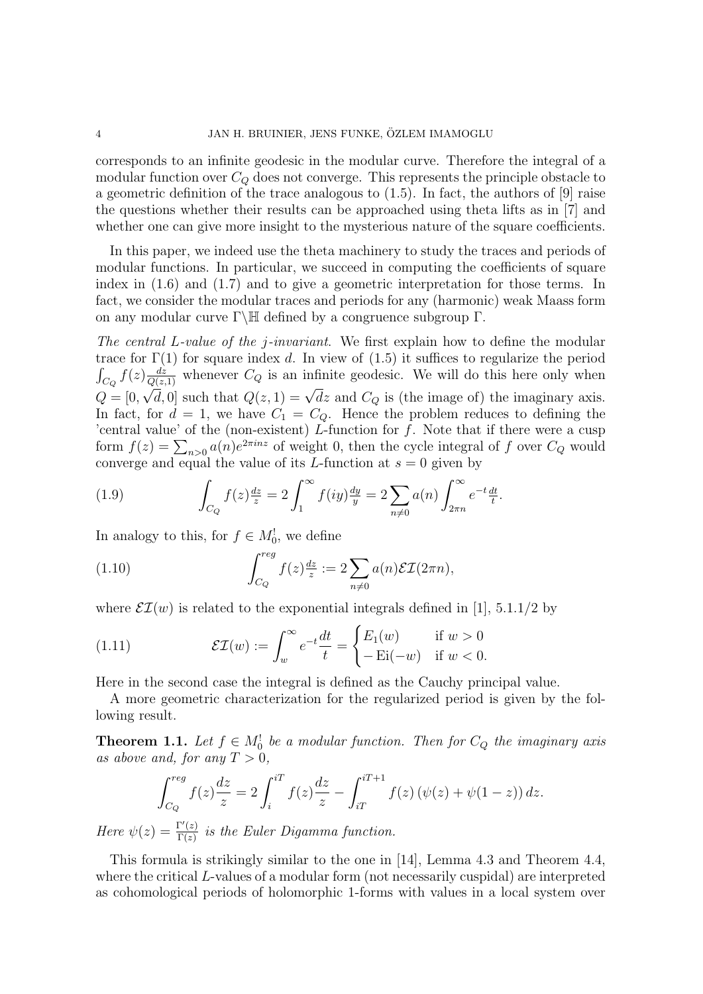corresponds to an infinite geodesic in the modular curve. Therefore the integral of a modular function over  $C_Q$  does not converge. This represents the principle obstacle to a geometric definition of the trace analogous to (1.5). In fact, the authors of [9] raise the questions whether their results can be approached using theta lifts as in [7] and whether one can give more insight to the mysterious nature of the square coefficients.

In this paper, we indeed use the theta machinery to study the traces and periods of modular functions. In particular, we succeed in computing the coefficients of square index in (1.6) and (1.7) and to give a geometric interpretation for those terms. In fact, we consider the modular traces and periods for any (harmonic) weak Maass form on any modular curve  $\Gamma\backslash\mathbb{H}$  defined by a congruence subgroup  $\Gamma$ .

The central L-value of the *j*-invariant. We first explain how to define the modular trace for  $\Gamma(1)$  for square index d. In view of  $(1.5)$  it suffices to regularize the period  $\int_{C_Q} f(z) \frac{dz}{Q(z,1)}$  whenever  $C_Q$  is an infinite geodesic. We will do this here only when  $Q = [0, \sqrt{d}, 0]$  such that  $Q(z, 1) = \sqrt{dz}$  and  $C_Q$  is (the image of) the imaginary axis. In fact, for  $d = 1$ , we have  $C_1 = C_Q$ . Hence the problem reduces to defining the 'central value' of the (non-existent)  $\overrightarrow{L}$ -function for f. Note that if there were a cusp form  $f(z) = \sum_{n>0} a(n)e^{2\pi i n z}$  of weight 0, then the cycle integral of f over  $C_Q$  would converge and equal the value of its L-function at  $s = 0$  given by

(1.9) 
$$
\int_{C_Q} f(z) \frac{dz}{z} = 2 \int_1^{\infty} f(iy) \frac{dy}{y} = 2 \sum_{n \neq 0} a(n) \int_{2\pi n}^{\infty} e^{-t} \frac{dt}{t}.
$$

In analogy to this, for  $f \in M_0^!$ , we define

(1.10) 
$$
\int_{C_Q}^{reg} f(z) \frac{dz}{z} := 2 \sum_{n \neq 0} a(n) \mathcal{E} \mathcal{I}(2\pi n),
$$

where  $\mathcal{EI}(w)$  is related to the exponential integrals defined in [1], 5.1.1/2 by

(1.11) 
$$
\mathcal{EI}(w) := \int_w^{\infty} e^{-t} \frac{dt}{t} = \begin{cases} E_1(w) & \text{if } w > 0 \\ -\mathrm{Ei}(-w) & \text{if } w < 0. \end{cases}
$$

Here in the second case the integral is defined as the Cauchy principal value.

A more geometric characterization for the regularized period is given by the following result.

**Theorem 1.1.** Let  $f \in M_0^!$  be a modular function. Then for  $C_Q$  the imaginary axis as above and, for any  $T > 0$ .

$$
\int_{C_Q}^{reg} f(z) \frac{dz}{z} = 2 \int_i^{iT} f(z) \frac{dz}{z} - \int_{iT}^{iT+1} f(z) \left( \psi(z) + \psi(1-z) \right) dz.
$$

Here  $\psi(z) = \frac{\Gamma'(z)}{\Gamma(z)}$  $\frac{\Gamma(z)}{\Gamma(z)}$  is the Euler Digamma function.

This formula is strikingly similar to the one in [14], Lemma 4.3 and Theorem 4.4, where the critical L-values of a modular form (not necessarily cuspidal) are interpreted as cohomological periods of holomorphic 1-forms with values in a local system over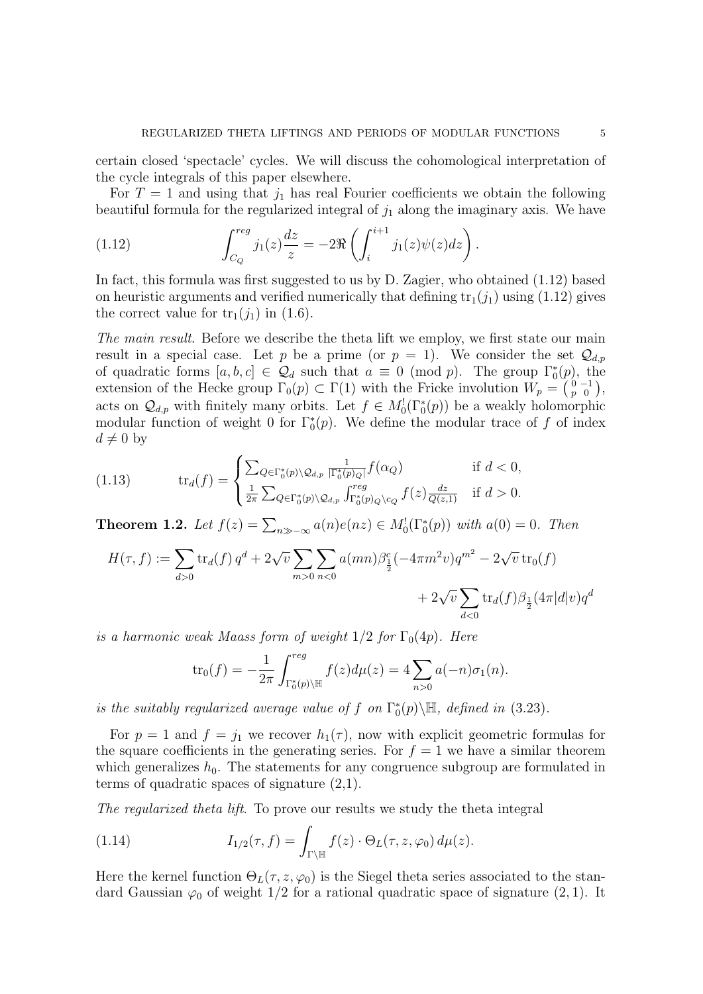certain closed 'spectacle' cycles. We will discuss the cohomological interpretation of the cycle integrals of this paper elsewhere.

For  $T = 1$  and using that  $j_1$  has real Fourier coefficients we obtain the following beautiful formula for the regularized integral of  $j_1$  along the imaginary axis. We have

(1.12) 
$$
\int_{C_Q}^{reg} j_1(z) \frac{dz}{z} = -2 \Re \left( \int_i^{i+1} j_1(z) \psi(z) dz \right).
$$

In fact, this formula was first suggested to us by D. Zagier, who obtained (1.12) based on heuristic arguments and verified numerically that defining  $tr_1(j_1)$  using (1.12) gives the correct value for  $\text{tr}_1(j_1)$  in (1.6).

The main result. Before we describe the theta lift we employ, we first state our main result in a special case. Let p be a prime (or  $p = 1$ ). We consider the set  $\mathcal{Q}_{d,p}$ of quadratic forms  $[a, b, c] \in \mathcal{Q}_d$  such that  $a \equiv 0 \pmod{p}$ . The group  $\Gamma_0^*(p)$ , the extension of the Hecke group  $\Gamma_0(p) \subset \Gamma(1)$  with the Fricke involution  $W_p = \begin{pmatrix} 0 & -1 \\ p & 0 \end{pmatrix}$ , acts on  $\mathcal{Q}_{d,p}$  with finitely many orbits. Let  $f \in M_0^1(\Gamma_0^*(p))$  be a weakly holomorphic modular function of weight 0 for  $\Gamma_0^*(p)$ . We define the modular trace of f of index  $d \neq 0$  by

(1.13) 
$$
\operatorname{tr}_d(f) = \begin{cases} \sum_{Q \in \Gamma_0^*(p) \setminus \mathcal{Q}_{d,p}} \frac{1}{|\Gamma_0^*(p)Q|} f(\alpha_Q) & \text{if } d < 0, \\ \frac{1}{2\pi} \sum_{Q \in \Gamma_0^*(p) \setminus \mathcal{Q}_{d,p}} \int_{\Gamma_0^*(p)Q \setminus c_Q}^{reg} f(z) \frac{dz}{Q(z,1)} & \text{if } d > 0. \end{cases}
$$

**Theorem 1.2.** Let  $f(z) = \sum_{n \gg -\infty} a(n)e(nz) \in M_0^1(\Gamma_0^*(p))$  with  $a(0) = 0$ . Then

$$
H(\tau, f) := \sum_{d>0} \text{tr}_d(f) q^d + 2\sqrt{v} \sum_{m>0} \sum_{n<0} a(mn) \beta_{\frac{1}{2}}^c (-4\pi m^2 v) q^{m^2} - 2\sqrt{v} \text{tr}_0(f) + 2\sqrt{v} \sum_{d<0} \text{tr}_d(f) \beta_{\frac{1}{2}}(4\pi |d|v) q^d
$$

is a harmonic weak Maass form of weight  $1/2$  for  $\Gamma_0(4p)$ . Here

$$
\text{tr}_0(f) = -\frac{1}{2\pi} \int_{\Gamma_0^*(p)\backslash \mathbb{H}}^{reg} f(z) d\mu(z) = 4 \sum_{n>0} a(-n) \sigma_1(n).
$$

is the suitably regularized average value of f on  $\Gamma_0^*(p)\backslash\mathbb{H}$ , defined in (3.23).

For  $p = 1$  and  $f = j_1$  we recover  $h_1(\tau)$ , now with explicit geometric formulas for the square coefficients in the generating series. For  $f = 1$  we have a similar theorem which generalizes  $h_0$ . The statements for any congruence subgroup are formulated in terms of quadratic spaces of signature  $(2,1)$ .

The regularized theta lift. To prove our results we study the theta integral

(1.14) 
$$
I_{1/2}(\tau, f) = \int_{\Gamma \backslash \mathbb{H}} f(z) \cdot \Theta_L(\tau, z, \varphi_0) d\mu(z).
$$

Here the kernel function  $\Theta_L(\tau, z, \varphi_0)$  is the Siegel theta series associated to the standard Gaussian  $\varphi_0$  of weight 1/2 for a rational quadratic space of signature  $(2, 1)$ . It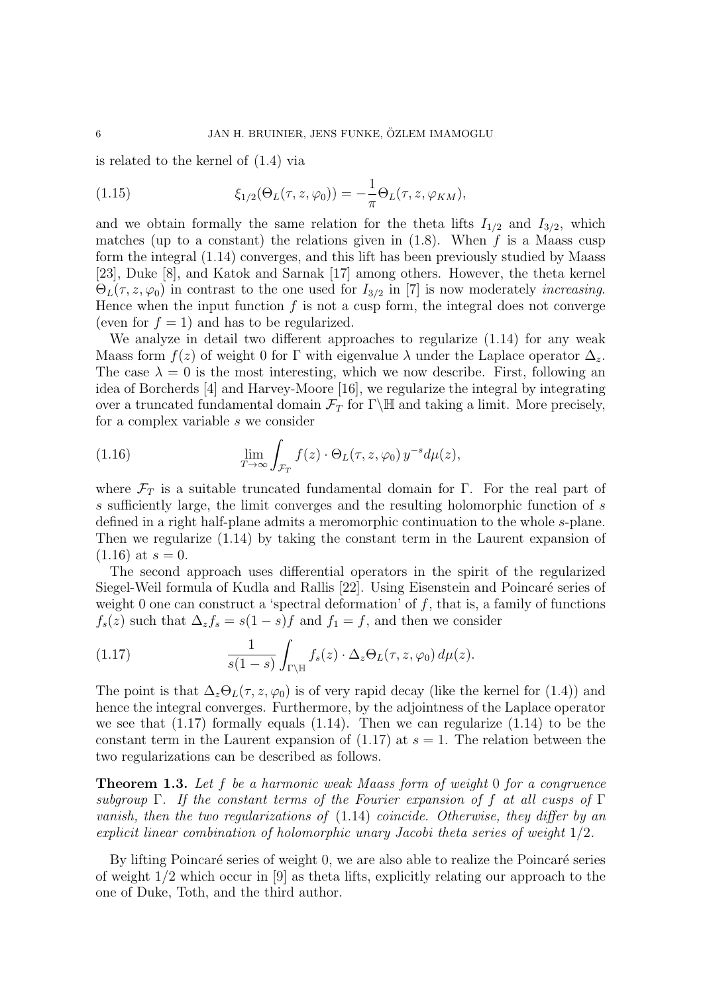is related to the kernel of (1.4) via

(1.15) 
$$
\xi_{1/2}(\Theta_L(\tau,z,\varphi_0)) = -\frac{1}{\pi}\Theta_L(\tau,z,\varphi_{KM}),
$$

and we obtain formally the same relation for the theta lifts  $I_{1/2}$  and  $I_{3/2}$ , which matches (up to a constant) the relations given in  $(1.8)$ . When f is a Maass cusp form the integral (1.14) converges, and this lift has been previously studied by Maass [23], Duke [8], and Katok and Sarnak [17] among others. However, the theta kernel  $\Theta_L(\tau, z, \varphi_0)$  in contrast to the one used for  $I_{3/2}$  in [7] is now moderately *increasing*. Hence when the input function  $f$  is not a cusp form, the integral does not converge (even for  $f = 1$ ) and has to be regularized.

We analyze in detail two different approaches to regularize (1.14) for any weak Maass form  $f(z)$  of weight 0 for Γ with eigenvalue  $\lambda$  under the Laplace operator  $\Delta_z$ . The case  $\lambda = 0$  is the most interesting, which we now describe. First, following an idea of Borcherds [4] and Harvey-Moore [16], we regularize the integral by integrating over a truncated fundamental domain  $\mathcal{F}_T$  for  $\Gamma\backslash\mathbb{H}$  and taking a limit. More precisely, for a complex variable s we consider

(1.16) 
$$
\lim_{T \to \infty} \int_{\mathcal{F}_T} f(z) \cdot \Theta_L(\tau, z, \varphi_0) y^{-s} d\mu(z),
$$

where  $\mathcal{F}_T$  is a suitable truncated fundamental domain for Γ. For the real part of s sufficiently large, the limit converges and the resulting holomorphic function of s defined in a right half-plane admits a meromorphic continuation to the whole s-plane. Then we regularize (1.14) by taking the constant term in the Laurent expansion of  $(1.16)$  at  $s = 0$ .

The second approach uses differential operators in the spirit of the regularized Siegel-Weil formula of Kudla and Rallis [22]. Using Eisenstein and Poincaré series of weight 0 one can construct a 'spectral deformation' of  $f$ , that is, a family of functions  $f_s(z)$  such that  $\Delta_z f_s = s(1-s)f$  and  $f_1 = f$ , and then we consider

(1.17) 
$$
\frac{1}{s(1-s)}\int_{\Gamma\backslash \mathbb{H}}f_s(z)\cdot \Delta_z\Theta_L(\tau,z,\varphi_0)\,d\mu(z).
$$

The point is that  $\Delta_z\Theta_L(\tau, z, \varphi_0)$  is of very rapid decay (like the kernel for (1.4)) and hence the integral converges. Furthermore, by the adjointness of the Laplace operator we see that  $(1.17)$  formally equals  $(1.14)$ . Then we can regularize  $(1.14)$  to be the constant term in the Laurent expansion of  $(1.17)$  at  $s = 1$ . The relation between the two regularizations can be described as follows.

Theorem 1.3. Let f be a harmonic weak Maass form of weight 0 for a congruence subgroup Γ. If the constant terms of the Fourier expansion of f at all cusps of Γ vanish, then the two regularizations of (1.14) coincide. Otherwise, they differ by an explicit linear combination of holomorphic unary Jacobi theta series of weight 1/2.

By lifting Poincaré series of weight 0, we are also able to realize the Poincaré series of weight 1/2 which occur in [9] as theta lifts, explicitly relating our approach to the one of Duke, Toth, and the third author.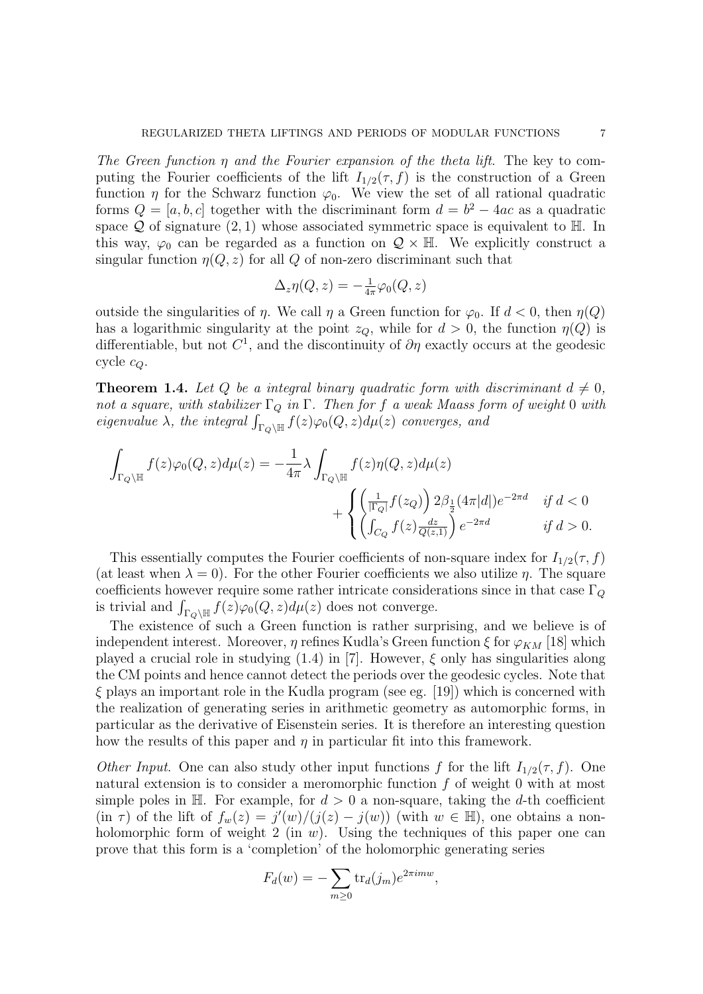The Green function  $\eta$  and the Fourier expansion of the theta lift. The key to computing the Fourier coefficients of the lift  $I_{1/2}(\tau, f)$  is the construction of a Green function  $\eta$  for the Schwarz function  $\varphi_0$ . We view the set of all rational quadratic forms  $Q = [a, b, c]$  together with the discriminant form  $d = b^2 - 4ac$  as a quadratic space  $\mathcal Q$  of signature  $(2, 1)$  whose associated symmetric space is equivalent to  $\mathbb H$ . In this way,  $\varphi_0$  can be regarded as a function on  $\mathcal{Q} \times \mathbb{H}$ . We explicitly construct a singular function  $\eta(Q, z)$  for all Q of non-zero discriminant such that

$$
\Delta_z \eta(Q,z) = -\frac{1}{4\pi} \varphi_0(Q,z)
$$

outside the singularities of  $\eta$ . We call  $\eta$  a Green function for  $\varphi_0$ . If  $d < 0$ , then  $\eta(Q)$ has a logarithmic singularity at the point  $z<sub>O</sub>$ , while for  $d > 0$ , the function  $\eta(Q)$  is differentiable, but not  $C^1$ , and the discontinuity of  $\partial \eta$  exactly occurs at the geodesic cycle  $c_Q$ .

**Theorem 1.4.** Let Q be a integral binary quadratic form with discriminant  $d \neq 0$ , not a square, with stabilizer  $\Gamma_Q$  in  $\Gamma$ . Then for f a weak Maass form of weight 0 with eigenvalue  $\lambda$ , the integral  $\int_{\Gamma_Q \backslash \mathbb{H}} f(z) \varphi_0(Q, z) d\mu(z)$  converges, and

$$
\begin{aligned} \int_{\Gamma_Q \backslash \mathbb{H}} f(z) \varphi_0(Q,z) d\mu(z) & = -\frac{1}{4\pi} \lambda \int_{\Gamma_Q \backslash \mathbb{H}} f(z) \eta(Q,z) d\mu(z) \\ & \qquad \qquad + \begin{cases} \left(\frac{1}{|\Gamma_Q|} f(z_Q) \right) 2 \beta_{\frac{1}{2}}(4\pi |d|) e^{-2\pi d} & \text{ if } d < 0 \\ \left( \int_{C_Q} f(z) \frac{dz}{Q(z,1)} \right) e^{-2\pi d} & \text{ if } d > 0. \end{cases} \end{aligned}
$$

This essentially computes the Fourier coefficients of non-square index for  $I_{1/2}(\tau, f)$ (at least when  $\lambda = 0$ ). For the other Fourier coefficients we also utilize  $\eta$ . The square coefficients however require some rather intricate considerations since in that case  $\Gamma_{Q}$ is trivial and  $\int_{\Gamma_Q \backslash \mathbb{H}} f(z) \varphi_0(Q, z) d\mu(z)$  does not converge.

The existence of such a Green function is rather surprising, and we believe is of independent interest. Moreover,  $\eta$  refines Kudla's Green function  $\xi$  for  $\varphi_{KM}$  [18] which played a crucial role in studying  $(1.4)$  in [7]. However,  $\xi$  only has singularities along the CM points and hence cannot detect the periods over the geodesic cycles. Note that  $\xi$  plays an important role in the Kudla program (see eg. [19]) which is concerned with the realization of generating series in arithmetic geometry as automorphic forms, in particular as the derivative of Eisenstein series. It is therefore an interesting question how the results of this paper and  $\eta$  in particular fit into this framework.

Other Input. One can also study other input functions f for the lift  $I_{1/2}(\tau, f)$ . One natural extension is to consider a meromorphic function f of weight 0 with at most simple poles in H. For example, for  $d > 0$  a non-square, taking the d-th coefficient  $(\text{in } \tau)$  of the lift of  $f_w(z) = j'(w)/(j(z) - j(w))$  (with  $w \in \mathbb{H}$ ), one obtains a nonholomorphic form of weight 2 (in  $w$ ). Using the techniques of this paper one can prove that this form is a 'completion' of the holomorphic generating series

$$
F_d(w) = -\sum_{m\geq 0} \text{tr}_d(j_m) e^{2\pi i m w},
$$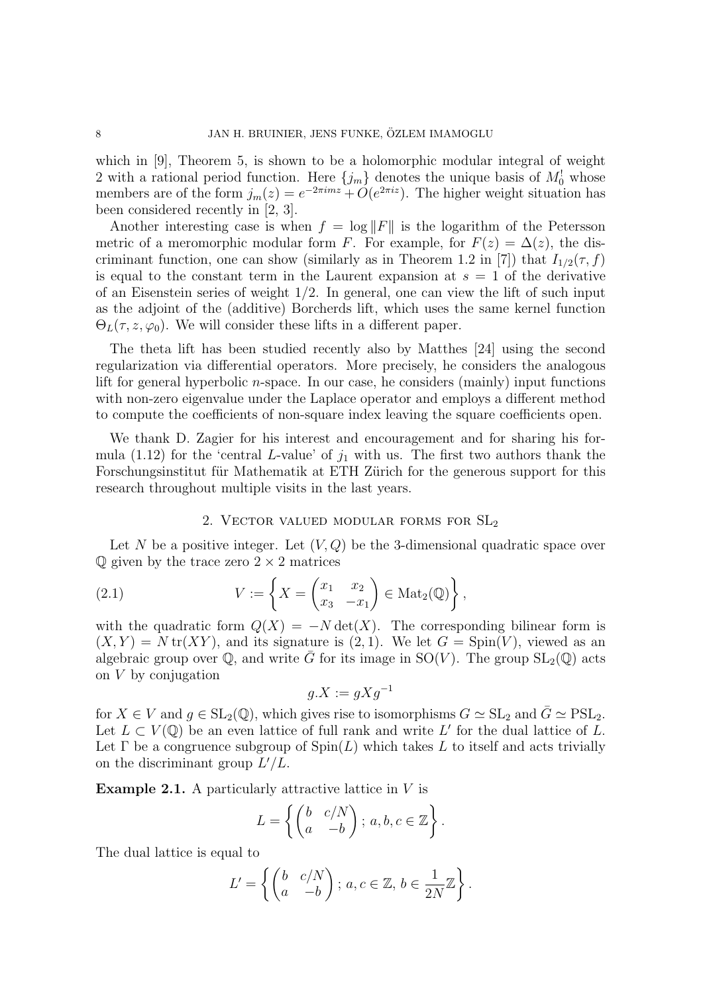which in [9], Theorem 5, is shown to be a holomorphic modular integral of weight 2 with a rational period function. Here  $\{j_m\}$  denotes the unique basis of  $M_0^!$  whose members are of the form  $j_m(z) = e^{-2\pi imz} + O(e^{2\pi iz})$ . The higher weight situation has been considered recently in [2, 3].

Another interesting case is when  $f = \log ||F||$  is the logarithm of the Petersson metric of a meromorphic modular form F. For example, for  $F(z) = \Delta(z)$ , the discriminant function, one can show (similarly as in Theorem 1.2 in [7]) that  $I_{1/2}(\tau, f)$ is equal to the constant term in the Laurent expansion at  $s = 1$  of the derivative of an Eisenstein series of weight 1/2. In general, one can view the lift of such input as the adjoint of the (additive) Borcherds lift, which uses the same kernel function  $\Theta_L(\tau, z, \varphi_0)$ . We will consider these lifts in a different paper.

The theta lift has been studied recently also by Matthes [24] using the second regularization via differential operators. More precisely, he considers the analogous lift for general hyperbolic  $n$ -space. In our case, he considers (mainly) input functions with non-zero eigenvalue under the Laplace operator and employs a different method to compute the coefficients of non-square index leaving the square coefficients open.

We thank D. Zagier for his interest and encouragement and for sharing his formula (1.12) for the 'central L-value' of  $j_1$  with us. The first two authors thank the Forschungsinstitut für Mathematik at ETH Zürich for the generous support for this research throughout multiple visits in the last years.

#### 2. Vector valued modular forms for SL<sup>2</sup>

Let N be a positive integer. Let  $(V, Q)$  be the 3-dimensional quadratic space over  $\mathbb Q$  given by the trace zero  $2 \times 2$  matrices

(2.1) 
$$
V := \left\{ X = \begin{pmatrix} x_1 & x_2 \\ x_3 & -x_1 \end{pmatrix} \in \text{Mat}_2(\mathbb{Q}) \right\},
$$

with the quadratic form  $Q(X) = -N \det(X)$ . The corresponding bilinear form is  $(X, Y) = N \text{tr}(XY)$ , and its signature is  $(2, 1)$ . We let  $G = Spin(V)$ , viewed as an algebraic group over  $\mathbb{Q}$ , and write G for its image in SO(V). The group  $SL_2(\mathbb{Q})$  acts on V by conjugation

$$
g.X := gXg^{-1}
$$

for  $X \in V$  and  $g \in SL_2(\mathbb{Q})$ , which gives rise to isomorphisms  $G \simeq SL_2$  and  $\overline{G} \simeq \text{PSL}_2$ . Let  $L \subset V(\mathbb{Q})$  be an even lattice of full rank and write L' for the dual lattice of L. Let  $\Gamma$  be a congruence subgroup of  $\text{Spin}(L)$  which takes L to itself and acts trivially on the discriminant group  $L'/L$ .

**Example 2.1.** A particularly attractive lattice in  $V$  is

$$
L = \left\{ \begin{pmatrix} b & c/N \\ a & -b \end{pmatrix}; a, b, c \in \mathbb{Z} \right\}.
$$

The dual lattice is equal to

$$
L' = \left\{ \begin{pmatrix} b & c/N \\ a & -b \end{pmatrix}; a, c \in \mathbb{Z}, b \in \frac{1}{2N} \mathbb{Z} \right\}.
$$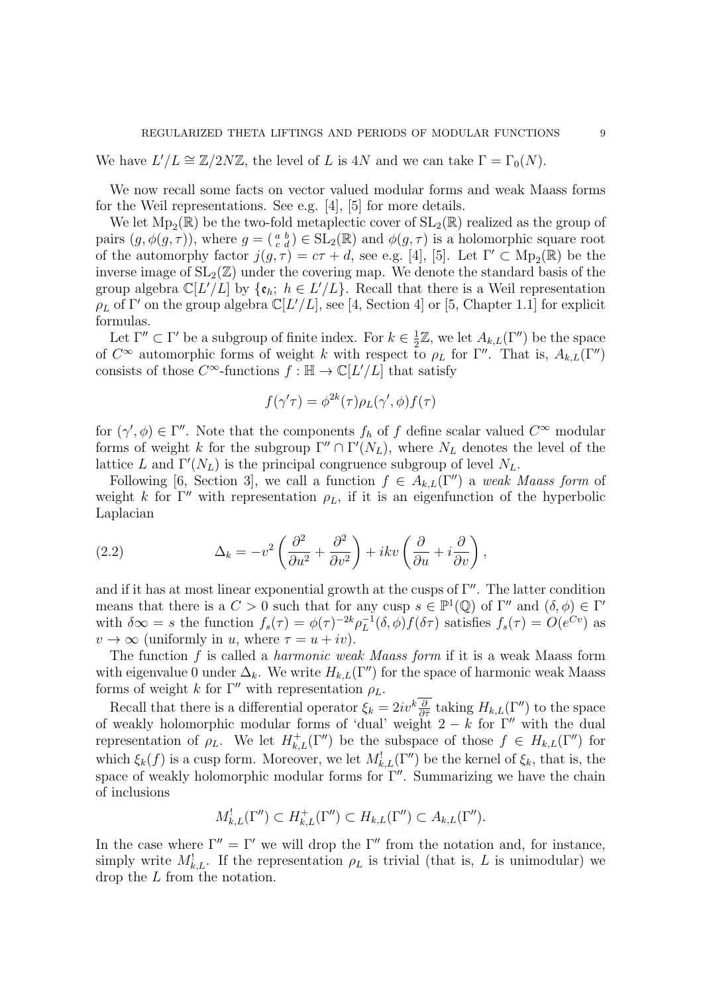We have  $L'/L \cong \mathbb{Z}/2N\mathbb{Z}$ , the level of L is 4N and we can take  $\Gamma = \Gamma_0(N)$ .

We now recall some facts on vector valued modular forms and weak Maass forms for the Weil representations. See e.g. [4], [5] for more details.

We let  $Mp_2(\mathbb{R})$  be the two-fold metaplectic cover of  $SL_2(\mathbb{R})$  realized as the group of pairs  $(g, \phi(g, \tau))$ , where  $g = (\begin{smallmatrix} a & b \\ c & d \end{smallmatrix}) \in SL_2(\mathbb{R})$  and  $\phi(g, \tau)$  is a holomorphic square root of the automorphy factor  $j(g, \tau) = c\tau + d$ , see e.g. [4], [5]. Let  $\Gamma' \subset \text{Mp}_2(\mathbb{R})$  be the inverse image of  $SL_2(\mathbb{Z})$  under the covering map. We denote the standard basis of the group algebra  $\mathbb{C}[L'/L]$  by  $\{\mathfrak{e}_h; h \in L'/L\}$ . Recall that there is a Weil representation  $\rho_L$  of  $\Gamma'$  on the group algebra  $\mathbb{C}[L'/L]$ , see [4, Section 4] or [5, Chapter 1.1] for explicit formulas.

Let  $\Gamma'' \subset \Gamma'$  be a subgroup of finite index. For  $k \in \frac{1}{2}$  $\frac{1}{2}\mathbb{Z}$ , we let  $A_{k,L}(\Gamma'')$  be the space of  $C^{\infty}$  automorphic forms of weight k with respect to  $\rho_L$  for  $\Gamma''$ . That is,  $A_{k,L}(\Gamma'')$ consists of those  $C^{\infty}$ -functions  $f : \mathbb{H} \to \mathbb{C}[L/L]$  that satisfy

$$
f(\gamma'\tau) = \phi^{2k}(\tau)\rho_L(\gamma', \phi)f(\tau)
$$

for  $(\gamma', \phi) \in \Gamma''$ . Note that the components  $f_h$  of f define scalar valued  $C^{\infty}$  modular forms of weight k for the subgroup  $\Gamma'' \cap \Gamma'(N_L)$ , where  $N_L$  denotes the level of the lattice L and  $\Gamma'(N_L)$  is the principal congruence subgroup of level  $N_L$ .

Following [6, Section 3], we call a function  $f \in A_{k,L}(\Gamma'')$  a weak Maass form of weight k for Γ'' with representation  $\rho_L$ , if it is an eigenfunction of the hyperbolic Laplacian

(2.2) 
$$
\Delta_k = -v^2 \left( \frac{\partial^2}{\partial u^2} + \frac{\partial^2}{\partial v^2} \right) + ikv \left( \frac{\partial}{\partial u} + i \frac{\partial}{\partial v} \right),
$$

and if it has at most linear exponential growth at the cusps of  $\Gamma''$ . The latter condition means that there is a  $C > 0$  such that for any cusp  $s \in \mathbb{P}^1(\mathbb{Q})$  of  $\Gamma''$  and  $(\delta, \phi) \in \Gamma'$ with  $\delta \infty = s$  the function  $f_s(\tau) = \phi(\tau)^{-2k} \rho_L^{-1}$  $L^{-1}(\delta, \phi) f(\delta \tau)$  satisfies  $f_s(\tau) = O(e^{Cv})$  as  $v \to \infty$  (uniformly in u, where  $\tau = u + iv$ ).

The function  $f$  is called a *harmonic weak Maass form* if it is a weak Maass form with eigenvalue 0 under  $\Delta_k$ . We write  $H_{k,L}(\Gamma'')$  for the space of harmonic weak Maass forms of weight k for  $\Gamma''$  with representation  $\rho_L$ .

Recall that there is a differential operator  $\xi_k = 2iv^k \frac{\partial}{\partial \bar{\tau}}$  taking  $H_{k,L}(\Gamma'')$  to the space of weakly holomorphic modular forms of 'dual' weight  $2 - k$  for Γ'' with the dual representation of  $\rho_L$ . We let  $H^+_{k,L}(\Gamma'')$  be the subspace of those  $f \in H_{k,L}(\Gamma'')$  for which  $\xi_k(f)$  is a cusp form. Moreover, we let  $M^!_{k,L}(\Gamma'')$  be the kernel of  $\xi_k$ , that is, the space of weakly holomorphic modular forms for  $\Gamma''$ . Summarizing we have the chain of inclusions

$$
M_{k,L}^!(\Gamma'') \subset H_{k,L}^+(\Gamma'') \subset H_{k,L}(\Gamma'') \subset A_{k,L}(\Gamma'').
$$

In the case where  $\Gamma'' = \Gamma'$  we will drop the  $\Gamma''$  from the notation and, for instance, simply write  $M_{k,L}^!$ . If the representation  $\rho_L$  is trivial (that is, L is unimodular) we drop the L from the notation.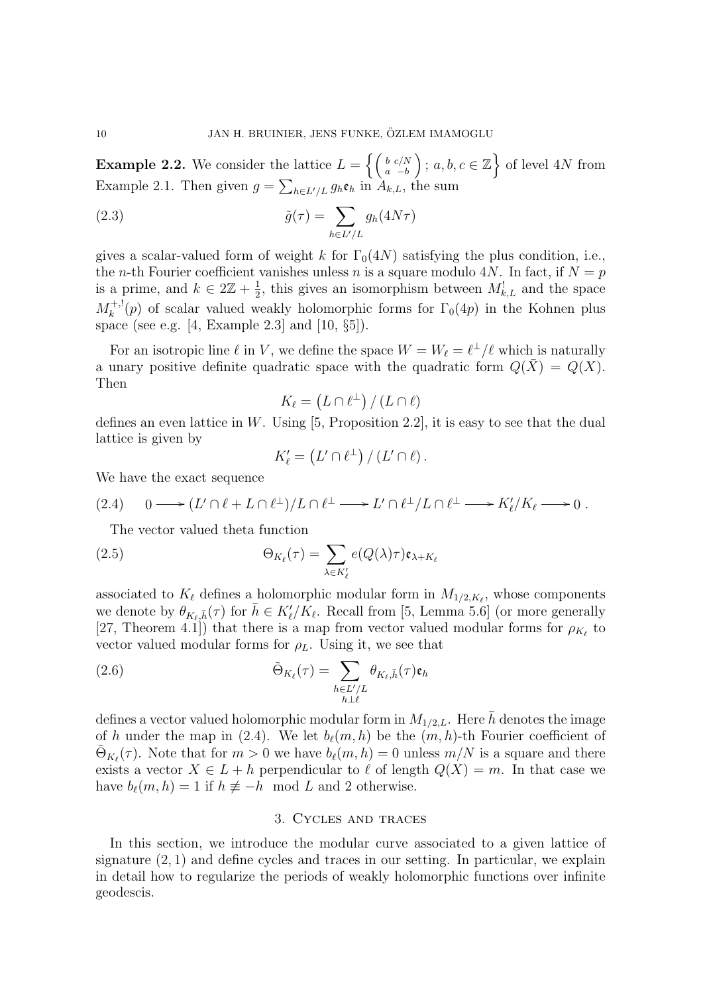**Example 2.2.** We consider the lattice  $L = \left\{ \begin{pmatrix} b & c/N \\ a & -b \end{pmatrix} \mid a, b, c \in \mathbb{Z} \right\}$  of level 4N from Example 2.1. Then given  $g = \sum_{h \in L'/L} g_h \mathfrak{e}_h$  in  $A_{k,L}$ , the sum

(2.3) 
$$
\tilde{g}(\tau) = \sum_{h \in L'/L} g_h(4N\tau)
$$

gives a scalar-valued form of weight k for  $\Gamma_0(4N)$  satisfying the plus condition, i.e., the *n*-th Fourier coefficient vanishes unless *n* is a square modulo 4*N*. In fact, if  $N = p$ is a prime, and  $k \in 2\mathbb{Z} + \frac{1}{2}$  $\frac{1}{2}$ , this gives an isomorphism between  $M_{k,L}^!$  and the space  $M_k^{+,!}$  $\int_{k}^{+,1}(p)$  of scalar valued weakly holomorphic forms for  $\Gamma_0(4p)$  in the Kohnen plus space (see e.g. [4, Example 2.3] and [10, §5]).

For an isotropic line  $\ell$  in V, we define the space  $W = W_{\ell} = \ell^{\perp}/\ell$  which is naturally a unary positive definite quadratic space with the quadratic form  $Q(\bar{X}) = Q(X)$ . Then

$$
K_{\ell} = (L \cap \ell^{\perp}) / (L \cap \ell)
$$

defines an even lattice in W. Using  $[5,$  Proposition 2.2, it is easy to see that the dual lattice is given by

$$
K'_{\ell} = (L' \cap \ell^{\perp}) / (L' \cap \ell).
$$

We have the exact sequence

$$
(2.4) \qquad 0 \longrightarrow (L' \cap \ell + L \cap \ell^{\perp})/L \cap \ell^{\perp} \longrightarrow L' \cap \ell^{\perp}/L \cap \ell^{\perp} \longrightarrow K'_{\ell}/K_{\ell} \longrightarrow 0.
$$

The vector valued theta function

(2.5) 
$$
\Theta_{K_{\ell}}(\tau) = \sum_{\lambda \in K'_{\ell}} e(Q(\lambda)\tau) \mathfrak{e}_{\lambda + K_{\ell}}
$$

associated to  $K_{\ell}$  defines a holomorphic modular form in  $M_{1/2,K_{\ell}}$ , whose components we denote by  $\theta_{K_{\ell},\bar{h}}(\tau)$  for  $\bar{h} \in K'_{\ell}/K_{\ell}$ . Recall from [5, Lemma 5.6] (or more generally [27, Theorem 4.1]) that there is a map from vector valued modular forms for  $\rho_{K_{\ell}}$  to vector valued modular forms for  $\rho_L$ . Using it, we see that

(2.6) 
$$
\tilde{\Theta}_{K_{\ell}}(\tau) = \sum_{\substack{h \in L'/L \\ h \perp \ell}} \theta_{K_{\ell},\bar{h}}(\tau) \mathfrak{e}_{h}
$$

defines a vector valued holomorphic modular form in  $M_{1/2,L}$ . Here h denotes the image of h under the map in (2.4). We let  $b_{\ell}(m, h)$  be the  $(m, h)$ -th Fourier coefficient of  $\tilde{\Theta}_{K_{\ell}}(\tau)$ . Note that for  $m > 0$  we have  $b_{\ell}(m, h) = 0$  unless  $m/N$  is a square and there exists a vector  $X \in L + h$  perpendicular to  $\ell$  of length  $Q(X) = m$ . In that case we have  $b_{\ell}(m, h) = 1$  if  $h \not\equiv -h \mod L$  and 2 otherwise.

### 3. Cycles and traces

In this section, we introduce the modular curve associated to a given lattice of signature  $(2, 1)$  and define cycles and traces in our setting. In particular, we explain in detail how to regularize the periods of weakly holomorphic functions over infinite geodescis.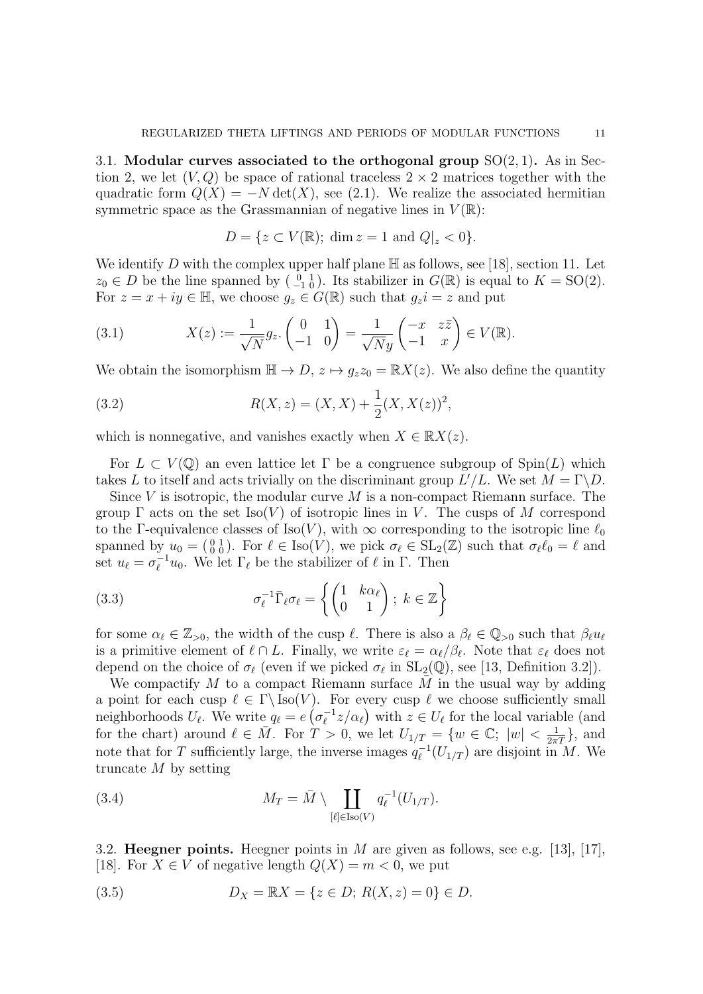3.1. Modular curves associated to the orthogonal group  $SO(2,1)$ . As in Section 2, we let  $(V, Q)$  be space of rational traceless  $2 \times 2$  matrices together with the quadratic form  $Q(X) = -N \det(X)$ , see (2.1). We realize the associated hermitian symmetric space as the Grassmannian of negative lines in  $V(\mathbb{R})$ :

$$
D = \{ z \subset V(\mathbb{R}); \dim z = 1 \text{ and } Q|_z < 0 \}.
$$

We identify D with the complex upper half plane  $\mathbb H$  as follows, see [18], section 11. Let  $z_0 \in D$  be the line spanned by  $\begin{pmatrix} 0 & 1 \\ -1 & 0 \end{pmatrix}$ . Its stabilizer in  $G(\mathbb{R})$  is equal to  $K = SO(2)$ . For  $z = x + iy \in \mathbb{H}$ , we choose  $g_z \in G(\mathbb{R})$  such that  $g_z i = z$  and put

(3.1) 
$$
X(z) := \frac{1}{\sqrt{N}} g_z \begin{pmatrix} 0 & 1 \\ -1 & 0 \end{pmatrix} = \frac{1}{\sqrt{N}y} \begin{pmatrix} -x & z\bar{z} \\ -1 & x \end{pmatrix} \in V(\mathbb{R}).
$$

We obtain the isomorphism  $\mathbb{H} \to D$ ,  $z \mapsto g_z z_0 = \mathbb{R} X(z)$ . We also define the quantity

(3.2) 
$$
R(X, z) = (X, X) + \frac{1}{2}(X, X(z))^2,
$$

which is nonnegative, and vanishes exactly when  $X \in \mathbb{R}X(z)$ .

For  $L \subset V(\mathbb{Q})$  an even lattice let  $\Gamma$  be a congruence subgroup of  $\text{Spin}(L)$  which takes L to itself and acts trivially on the discriminant group  $L'/L$ . We set  $M = \Gamma \backslash D$ .

Since V is isotropic, the modular curve  $M$  is a non-compact Riemann surface. The group  $\Gamma$  acts on the set Iso(V) of isotropic lines in V. The cusps of M correspond to the Γ-equivalence classes of Iso(V), with  $\infty$  corresponding to the isotropic line  $\ell_0$ spanned by  $u_0 = \begin{pmatrix} 0 & 1 \\ 0 & 0 \end{pmatrix}$ . For  $\ell \in \text{Iso}(V)$ , we pick  $\sigma_\ell \in \text{SL}_2(\mathbb{Z})$  such that  $\sigma_\ell \ell_0 = \ell$  and set  $u_\ell = \sigma_\ell^{-1}$  $\ell_{\ell}^{-1}u_0$ . We let  $\Gamma_{\ell}$  be the stabilizer of  $\ell$  in  $\Gamma$ . Then

(3.3) 
$$
\sigma_{\ell}^{-1} \bar{\Gamma}_{\ell} \sigma_{\ell} = \left\{ \begin{pmatrix} 1 & k \alpha_{\ell} \\ 0 & 1 \end{pmatrix}; k \in \mathbb{Z} \right\}
$$

for some  $\alpha_\ell \in \mathbb{Z}_{>0}$ , the width of the cusp  $\ell$ . There is also a  $\beta_\ell \in \mathbb{Q}_{>0}$  such that  $\beta_\ell u_\ell$ is a primitive element of  $\ell \cap L$ . Finally, we write  $\varepsilon_{\ell} = \alpha_{\ell}/\beta_{\ell}$ . Note that  $\varepsilon_{\ell}$  does not depend on the choice of  $\sigma_{\ell}$  (even if we picked  $\sigma_{\ell}$  in  $SL_2(\mathbb{Q})$ , see [13, Definition 3.2]).

We compactify  $M$  to a compact Riemann surface  $M$  in the usual way by adding a point for each cusp  $\ell \in \Gamma \backslash \text{Iso}(V)$ . For every cusp  $\ell$  we choose sufficiently small neighborhoods  $U_{\ell}$ . We write  $q_{\ell} = e \left( \sigma_{\ell}^{-1} \right)$  $\sum_{\ell}^{-1} z/\alpha_{\ell}$ ) with  $z \in U_{\ell}$  for the local variable (and for the chart) around  $\ell \in \overline{M}$ . For  $T > 0$ , we let  $U_{1/T} = \{w \in \mathbb{C}; |w| < \frac{1}{2\pi T}\}$ , and note that for T sufficiently large, the inverse images  $q_{\ell}^{-1}$  $\iota_{\ell}^{-1}(U_{1/T})$  are disjoint in M. We truncate  $M$  by setting

(3.4) 
$$
M_T = \bar{M} \setminus \coprod_{[\ell] \in \text{Iso}(V)} q_{\ell}^{-1}(U_{1/T}).
$$

3.2. **Heegner points.** Heegner points in M are given as follows, see e.g. [13], [17], [18]. For  $X \in V$  of negative length  $Q(X) = m < 0$ , we put

(3.5) 
$$
D_X = \mathbb{R}X = \{z \in D; R(X, z) = 0\} \in D.
$$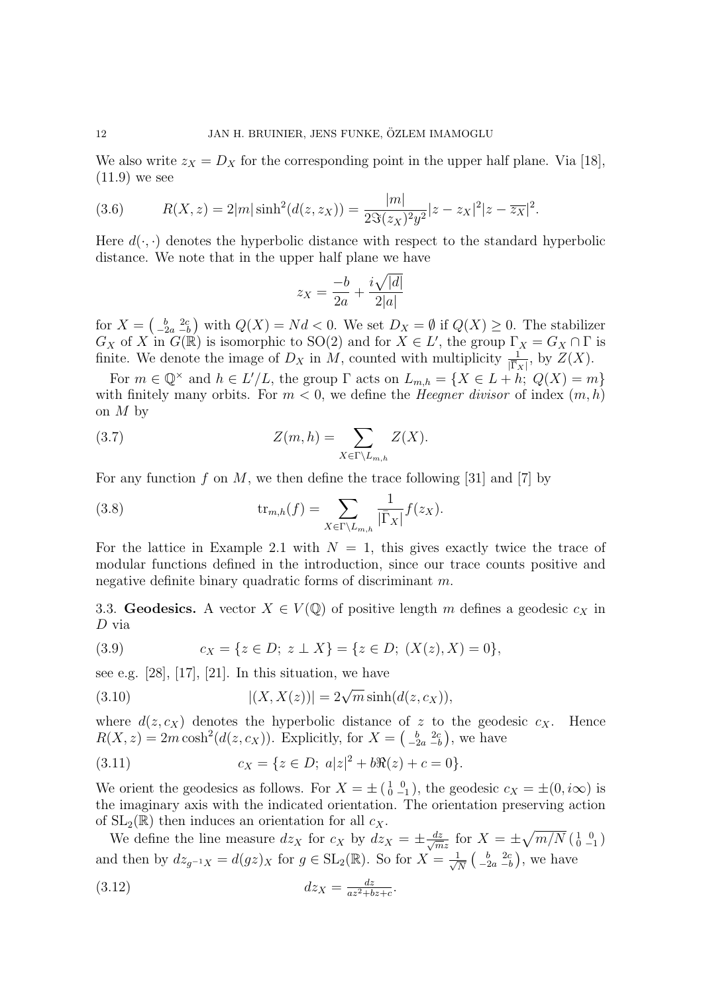We also write  $z_X = D_X$  for the corresponding point in the upper half plane. Via [18], (11.9) we see

(3.6) 
$$
R(X, z) = 2|m|\sinh^{2}(d(z, z_{X})) = \frac{|m|}{2\Im(z_{X})^{2}y^{2}}|z - z_{X}|^{2}|z - \overline{z_{X}}|^{2}.
$$

Here  $d(\cdot, \cdot)$  denotes the hyperbolic distance with respect to the standard hyperbolic distance. We note that in the upper half plane we have

$$
z_X = \frac{-b}{2a} + \frac{i\sqrt{|d|}}{2|a|}
$$

for  $X = \begin{pmatrix} b & 2c \\ -2a & -b \end{pmatrix}$  with  $Q(X) = Nd < 0$ . We set  $D_X = \emptyset$  if  $Q(X) \geq 0$ . The stabilizer  $G_X$  of X in  $G(\mathbb{R})$  is isomorphic to SO(2) and for  $X \in L'$ , the group  $\Gamma_X = G_X \cap \Gamma$  is finite. We denote the image of  $D_X$  in M, counted with multiplicity  $\frac{1}{|\overline{\Gamma}_X|}$ , by  $Z(X)$ .

For  $m \in \mathbb{Q}^{\times}$  and  $h \in L'/L$ , the group  $\Gamma$  acts on  $L_{m,h} = \{X \in L + h: Q(X) = m\}$ with finitely many orbits. For  $m < 0$ , we define the *Heegner divisor* of index  $(m, h)$ on  $M$  by

(3.7) 
$$
Z(m,h) = \sum_{X \in \Gamma \backslash L_{m,h}} Z(X).
$$

For any function f on M, we then define the trace following [31] and [7] by

(3.8) 
$$
\operatorname{tr}_{m,h}(f) = \sum_{X \in \Gamma \backslash L_{m,h}} \frac{1}{|\overline{\Gamma}_X|} f(z_X).
$$

For the lattice in Example 2.1 with  $N = 1$ , this gives exactly twice the trace of modular functions defined in the introduction, since our trace counts positive and negative definite binary quadratic forms of discriminant m.

3.3. Geodesics. A vector  $X \in V(\mathbb{Q})$  of positive length m defines a geodesic  $c_X$  in D via

(3.9) 
$$
c_X = \{ z \in D; z \perp X \} = \{ z \in D; (X(z), X) = 0 \},
$$

see e.g.  $[28]$ ,  $[17]$ ,  $[21]$ . In this situation, we have

(3.10) 
$$
|(X, X(z))| = 2\sqrt{m} \sinh(d(z, c_X)),
$$

where  $d(z, c_X)$  denotes the hyperbolic distance of z to the geodesic  $c_X$ . Hence  $R(X, z) = 2m \cosh^2(d(z, c_X))$ . Explicitly, for  $X = \begin{pmatrix} b & 2c \\ -2a & -b \end{pmatrix}$ , we have

(3.11) 
$$
c_X = \{z \in D; \ a|z|^2 + b\Re(z) + c = 0\}.
$$

We orient the geodesics as follows. For  $X = \pm \begin{pmatrix} 1 & 0 \\ 0 & -1 \end{pmatrix}$ , the geodesic  $c_X = \pm (0, i\infty)$  is the imaginary axis with the indicated orientation. The orientation preserving action of  $SL_2(\mathbb{R})$  then induces an orientation for all  $c_X$ .

We define the line measure  $dz_X$  for  $c_X$  by  $dz_X = \pm \frac{dz}{\sqrt{m}}$  $\frac{dz}{mz}$  for  $X = \pm \sqrt{m/N} \left( \begin{smallmatrix} 1 & 0 \\ 0 & -1 \end{smallmatrix} \right)$ and then by  $dz_{g^{-1}X} = d(gz)_X$  for  $g \in SL_2(\mathbb{R})$ . So for  $X = \frac{1}{\sqrt{2}}$  $\frac{1}{\overline{N}}\left(\begin{array}{cc} b & 2c \\ -2a & -b \end{array}\right)$ , we have

$$
dz_X = \frac{dz}{az^2 + bz + c}.
$$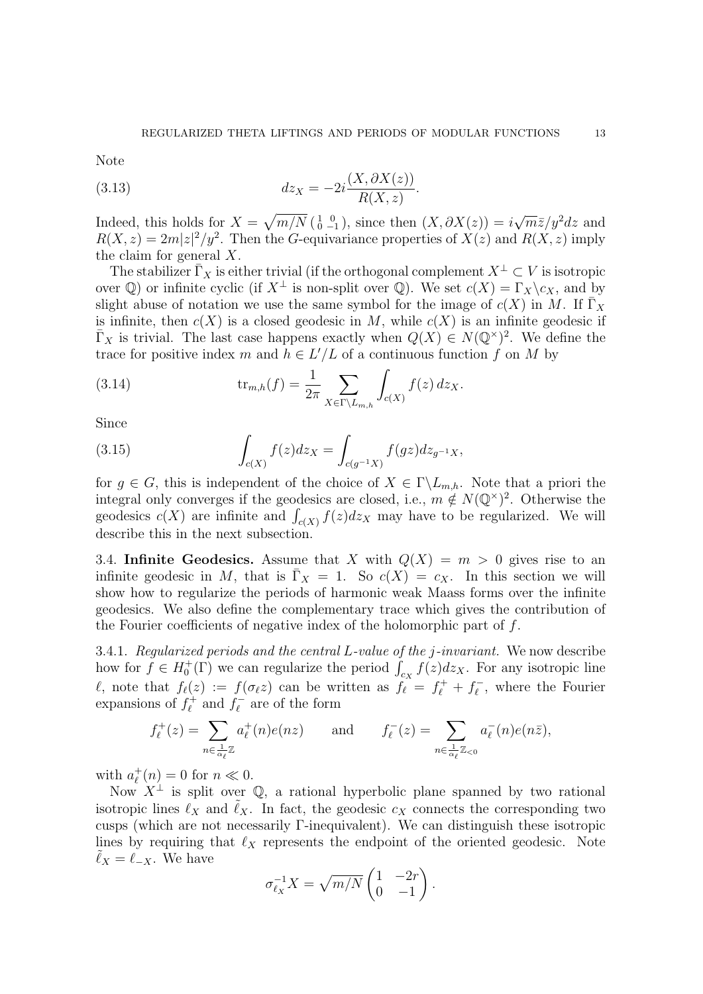Note

(3.13) 
$$
dz_X = -2i\frac{(X,\partial X(z))}{R(X,z)}.
$$

Indeed, this holds for  $X = \sqrt{m/N} \left( \begin{smallmatrix} 1 & 0 \\ 0 & -1 \end{smallmatrix} \right)$ , since then  $(X, \partial X(z)) = i$ √  $\overline{m}\overline{z}/y^2dz$  and  $R(X, z) = 2m|z|^2/y^2$ . Then the G-equivariance properties of  $X(z)$  and  $R(X, z)$  imply the claim for general  $X$ .

The stabilizer  $\overline{\Gamma}_X$  is either trivial (if the orthogonal complement  $X^{\perp} \subset V$  is isotropic over  $\mathbb Q$ ) or infinite cyclic (if  $X^{\perp}$  is non-split over  $\mathbb Q$ ). We set  $c(X) = \Gamma_X \backslash c_X$ , and by slight abuse of notation we use the same symbol for the image of  $c(X)$  in M. If  $\overline{\Gamma}_X$ is infinite, then  $c(X)$  is a closed geodesic in M, while  $c(X)$  is an infinite geodesic if  $\bar{\Gamma}_X$  is trivial. The last case happens exactly when  $Q(X) \in N(\mathbb{Q}^*)^2$ . We define the trace for positive index m and  $h \in L'/L$  of a continuous function f on M by

(3.14) 
$$
\text{tr}_{m,h}(f) = \frac{1}{2\pi} \sum_{X \in \Gamma \backslash L_{m,h}} \int_{c(X)} f(z) \, dz_X.
$$

Since

(3.15) 
$$
\int_{c(X)} f(z) dz_X = \int_{c(g^{-1}X)} f(gz) dz_{g^{-1}X},
$$

for  $g \in G$ , this is independent of the choice of  $X \in \Gamma \backslash L_{m,h}$ . Note that a priori the integral only converges if the geodesics are closed, i.e.,  $m \notin N(\mathbb{Q}^{\times})^2$ . Otherwise the geodesics  $c(X)$  are infinite and  $\int_{c(X)} f(z) dz_X$  may have to be regularized. We will describe this in the next subsection.

3.4. Infinite Geodesics. Assume that X with  $Q(X) = m > 0$  gives rise to an infinite geodesic in M, that is  $\overline{\Gamma}_X = 1$ . So  $c(X) = c_X$ . In this section we will show how to regularize the periods of harmonic weak Maass forms over the infinite geodesics. We also define the complementary trace which gives the contribution of the Fourier coefficients of negative index of the holomorphic part of f.

3.4.1. Regularized periods and the central L-value of the j-invariant. We now describe how for  $f \in H_0^+(\Gamma)$  we can regularize the period  $\int_{c_X} f(z) dz_X$ . For any isotropic line  $\ell$ , note that  $f_{\ell}(z) := f(\sigma_{\ell}z)$  can be written as  $f_{\ell} = f_{\ell}^+ + f_{\ell}^ \bar{e}$ , where the Fourier expansions of  $f_{\ell}^{+}$  $f_{\ell}^{+}$  and  $f_{\ell}^{-}$  $\tilde{\ell}$  are of the form

$$
f_{\ell}^{+}(z) = \sum_{n \in \frac{1}{\alpha_{\ell}} \mathbb{Z}} a_{\ell}^{+}(n) e(nz) \quad \text{and} \quad f_{\ell}^{-}(z) = \sum_{n \in \frac{1}{\alpha_{\ell}} \mathbb{Z}_{<0}} a_{\ell}^{-}(n) e(n\bar{z}),
$$

with  $a_{\ell}^{+}$  $t_{\ell}^{+}(n) = 0$  for  $n \ll 0$ .

Now  $X^{\perp}$  is split over Q, a rational hyperbolic plane spanned by two rational isotropic lines  $\ell_X$  and  $\ell_X$ . In fact, the geodesic  $c_X$  connects the corresponding two cusps (which are not necessarily Γ-inequivalent). We can distinguish these isotropic lines by requiring that  $\ell_X$  represents the endpoint of the oriented geodesic. Note  $\ell_X = \ell_{-X}$ . We have

$$
\sigma_{\ell_X}^{-1} X = \sqrt{m/N} \begin{pmatrix} 1 & -2r \\ 0 & -1 \end{pmatrix}.
$$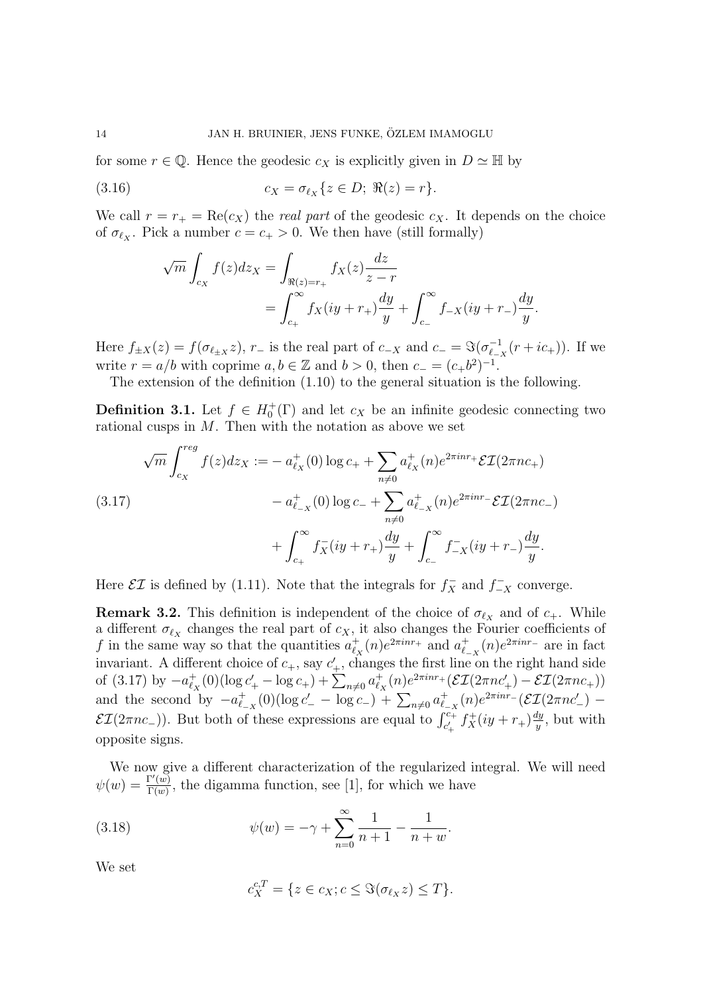for some  $r \in \mathbb{Q}$ . Hence the geodesic  $c_X$  is explicitly given in  $D \simeq \mathbb{H}$  by

(3.16) 
$$
c_X = \sigma_{\ell_X} \{ z \in D; \ \Re(z) = r \}.
$$

We call  $r = r_+ = \text{Re}(c_X)$  the *real part* of the geodesic  $c_X$ . It depends on the choice of  $\sigma_{\ell_X}$ . Pick a number  $c = c_+ > 0$ . We then have (still formally)

$$
\sqrt{m} \int_{c_X} f(z) dz_X = \int_{\Re(z) = r_+} f_X(z) \frac{dz}{z - r} \n= \int_{c_+}^{\infty} f_X(iy + r_+) \frac{dy}{y} + \int_{c_-}^{\infty} f_{-X}(iy + r_-) \frac{dy}{y}.
$$

Here  $f_{\pm X}(z) = f(\sigma_{\ell \pm X} z)$ ,  $r_{-}$  is the real part of  $c_{-X}$  and  $c_{-} = \Im(\sigma_{\ell}^{-1} z)$  $\frac{c-1}{\ell_{-X}}(r+ic_+)$ ). If we write  $r = a/b$  with coprime  $a, b \in \mathbb{Z}$  and  $b > 0$ , then  $c_- = (c_+b^2)^{-1}$ .

The extension of the definition (1.10) to the general situation is the following.

**Definition 3.1.** Let  $f \in H_0^+(\Gamma)$  and let  $c_X$  be an infinite geodesic connecting two rational cusps in  $M$ . Then with the notation as above we set

$$
\sqrt{m} \int_{c_X}^{reg} f(z) dz_X := -a_{\ell_X}^+(0) \log c_+ + \sum_{n \neq 0} a_{\ell_X}^+(n) e^{2\pi i n r_+} \mathcal{E} \mathcal{I}(2\pi n c_+)
$$
  
\n
$$
-a_{\ell_{-X}}^+(0) \log c_- + \sum_{n \neq 0} a_{\ell_{-X}}^+(n) e^{2\pi i n r_-} \mathcal{E} \mathcal{I}(2\pi n c_-)
$$
  
\n
$$
+ \int_{c_+}^{\infty} f_X^-(iy + r_+) \frac{dy}{y} + \int_{c_-}^{\infty} f_{-X}^-(iy + r_-) \frac{dy}{y}.
$$

Here  $\mathcal{E}I$  is defined by (1.11). Note that the integrals for  $f_X^-$  and  $f_{-X}^-$  converge.

**Remark 3.2.** This definition is independent of the choice of  $\sigma_{\ell_X}$  and of  $c_+$ . While a different  $\sigma_{\ell_X}$  changes the real part of  $c_X$ , it also changes the Fourier coefficients of f in the same way so that the quantities  $a_{\ell}^+$  $t_X^+(n)e^{2\pi inr_+}$  and  $a_{\ell}^+$  $\frac{1}{\ell_{-X}}(n)e^{2\pi inr_{-}}$  are in fact invariant. A different choice of  $c_+$ , say  $c'_+$ , changes the first line on the right hand side of (3.17) by  $-a_{\ell}^{+}$  $\sum_{\ell_X}^+(0)(\log c'_+ - \log c_+) + \sum_{n\neq 0} a_{\ell_2}^+$  $\mathcal{E}_{\ell_X}(n) e^{2\pi i n r_+} (\mathcal{EI}(2\pi n c'_+) - \mathcal{EI}(2\pi n c_+))$ and the second by  $-a_{\ell}^+$  $\frac{1}{\ell_{-X}}(0)(\log c'_{-} - \log c_{-}) + \sum_{n\neq 0} a_{\ell_{-}}^{+}$  $^+_{\ell_{-X}}(n)e^{2\pi inr}$  -  $\left(\mathcal{EI}(2\pi n c'_-)$  - $\mathcal{EI}(2\pi n c_-)$ ). But both of these expressions are equal to  $\int_{c'_+}^{c_+} f_X^+(iy+r_+) \frac{dy}{y}$  $\frac{dy}{y}$ , but with opposite signs.

We now give a different characterization of the regularized integral. We will need  $\psi(w) = \frac{\Gamma(w)}{\Gamma(w)}$  $\frac{\Gamma(w)}{\Gamma(w)}$ , the digamma function, see [1], for which we have

(3.18) 
$$
\psi(w) = -\gamma + \sum_{n=0}^{\infty} \frac{1}{n+1} - \frac{1}{n+w}.
$$

We set

$$
c_X^{c,T} = \{ z \in c_X; c \leq \Im(\sigma_{\ell_X} z) \leq T \}.
$$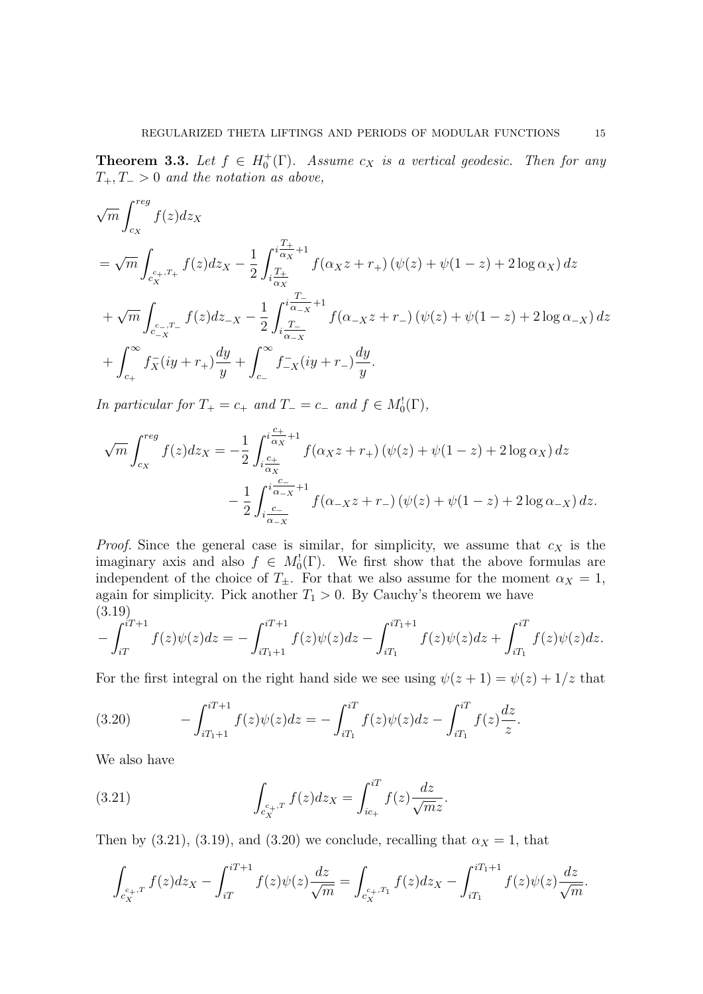**Theorem 3.3.** Let  $f \in H_0^+(\Gamma)$ . Assume  $c_X$  is a vertical geodesic. Then for any  $T_+, T_- > 0$  and the notation as above,

$$
\sqrt{m} \int_{c_X}^{reg} f(z) dz_X
$$
\n
$$
= \sqrt{m} \int_{c_X^{c_+,T_+}} f(z) dz_X - \frac{1}{2} \int_{i \frac{T_+}{\alpha_X}}^{i \frac{T_+}{\alpha_X} + 1} f(\alpha_X z + r_+) (\psi(z) + \psi(1 - z) + 2 \log \alpha_X) dz
$$
\n
$$
+ \sqrt{m} \int_{c_{-X}^{c_-,T_-}} f(z) dz_{-X} - \frac{1}{2} \int_{i \frac{T_-}{\alpha_{-X}}}^{i \frac{T_-}{\alpha_{-X}} + 1} f(\alpha_{-X} z + r_-) (\psi(z) + \psi(1 - z) + 2 \log \alpha_{-X}) dz
$$
\n
$$
+ \int_{c_+}^{\infty} f_X^-(iy + r_+) \frac{dy}{y} + \int_{c_-}^{\infty} f_{-X}^-(iy + r_-) \frac{dy}{y}.
$$

In particular for  $T_+ = c_+$  and  $T_- = c_-$  and  $f \in M_0^!(\Gamma)$ ,

$$
\sqrt{m} \int_{c_X}^{reg} f(z) dz_X = -\frac{1}{2} \int_{\substack{i \frac{c_+}{\alpha_X} \\ i \frac{c_-}{\alpha_X}}}^{i \frac{c_+}{\alpha_X} + 1} f(\alpha_X z + r_+) \left( \psi(z) + \psi(1 - z) + 2 \log \alpha_X \right) dz - \frac{1}{2} \int_{\substack{i \frac{c_-}{\alpha_X} \\ i \frac{c_-}{\alpha_X}}}^{i \frac{c_-}{\alpha_X} + 1} f(\alpha_X z + r_-) \left( \psi(z) + \psi(1 - z) + 2 \log \alpha_X \right) dz.
$$

*Proof.* Since the general case is similar, for simplicity, we assume that  $c_X$  is the imaginary axis and also  $f \in M_0^1(\Gamma)$ . We first show that the above formulas are independent of the choice of  $T_{\pm}$ . For that we also assume for the moment  $\alpha_X = 1$ , again for simplicity. Pick another  $T_1 > 0$ . By Cauchy's theorem we have (3.19)

$$
-\int_{iT}^{iT+1} f(z)\psi(z)dz = -\int_{iT_1+1}^{iT+1} f(z)\psi(z)dz - \int_{iT_1}^{iT_1+1} f(z)\psi(z)dz + \int_{iT_1}^{iT} f(z)\psi(z)dz.
$$

For the first integral on the right hand side we see using  $\psi(z+1) = \psi(z) + 1/z$  that

(3.20) 
$$
-\int_{iT_1+1}^{iT+1} f(z)\psi(z)dz = -\int_{iT_1}^{iT} f(z)\psi(z)dz - \int_{iT_1}^{iT} f(z)\frac{dz}{z}.
$$

We also have

(3.21) 
$$
\int_{c_X^{c_+,T}} f(z)dz_X = \int_{ic_+}^{iT} f(z)\frac{dz}{\sqrt{m}z}.
$$

Then by (3.21), (3.19), and (3.20) we conclude, recalling that  $\alpha_X = 1$ , that

$$
\int_{c_X^{c_+,T}} f(z)dz_X - \int_{iT}^{iT+1} f(z)\psi(z)\frac{dz}{\sqrt{m}} = \int_{c_X^{c_+,T_1}} f(z)dz_X - \int_{iT_1}^{iT_1+1} f(z)\psi(z)\frac{dz}{\sqrt{m}}.
$$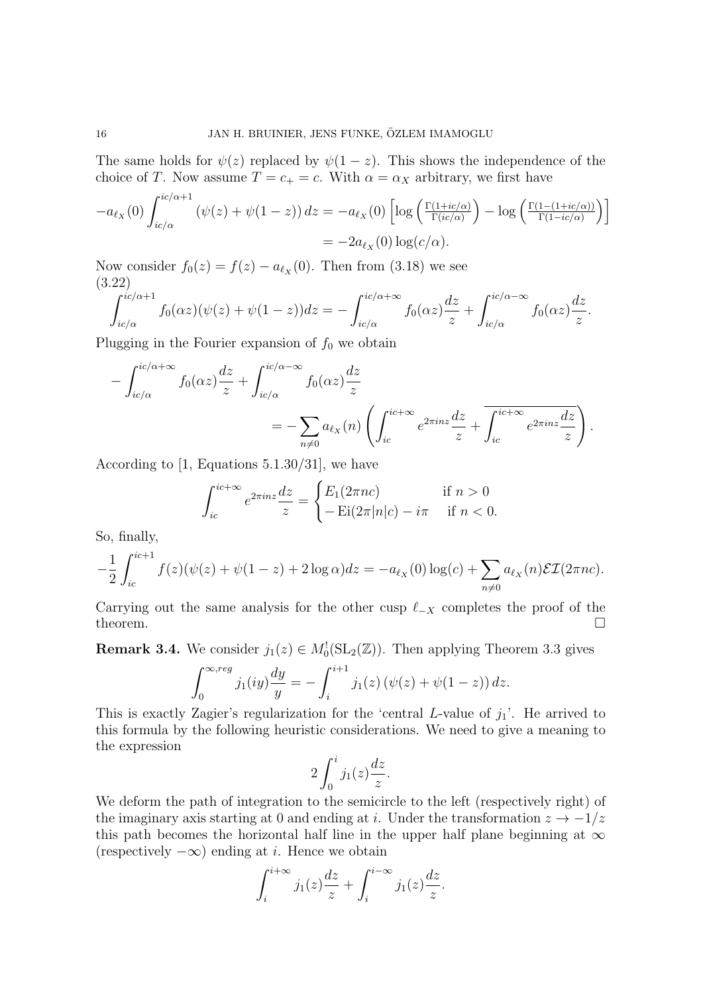The same holds for  $\psi(z)$  replaced by  $\psi(1-z)$ . This shows the independence of the choice of T. Now assume  $T = c_+ = c$ . With  $\alpha = \alpha_X$  arbitrary, we first have

$$
-a_{\ell_X}(0) \int_{ic/\alpha}^{ic/\alpha+1} (\psi(z) + \psi(1-z)) dz = -a_{\ell_X}(0) \left[ \log \left( \frac{\Gamma(1+ic/\alpha)}{\Gamma(ic/\alpha)} \right) - \log \left( \frac{\Gamma(1-(1+ic/\alpha))}{\Gamma(1-ic/\alpha)} \right) \right]
$$
  
= -2a\_{\ell\_X}(0) \log(c/\alpha).

Now consider  $f_0(z) = f(z) - a_{\ell_X}(0)$ . Then from (3.18) we see (3.22)

$$
\int_{ic/\alpha}^{ic/\alpha+1} f_0(\alpha z)(\psi(z)+\psi(1-z))dz = -\int_{ic/\alpha}^{ic/\alpha+\infty} f_0(\alpha z)\frac{dz}{z} + \int_{ic/\alpha}^{ic/\alpha-\infty} f_0(\alpha z)\frac{dz}{z}.
$$

Plugging in the Fourier expansion of  $f_0$  we obtain

$$
-\int_{ic/\alpha}^{ic/\alpha+\infty} f_0(\alpha z) \frac{dz}{z} + \int_{ic/\alpha}^{ic/\alpha-\infty} f_0(\alpha z) \frac{dz}{z}
$$
  
= 
$$
-\sum_{n\neq 0} a_{\ell_X}(n) \left( \int_{ic}^{ic+\infty} e^{2\pi i n z} \frac{dz}{z} + \overline{\int_{ic}^{ic+\infty} e^{2\pi i n z} \frac{dz}{z}} \right).
$$

According to [1, Equations 5.1.30/31], we have

$$
\int_{ic}^{ic+\infty} e^{2\pi i n z} \frac{dz}{z} = \begin{cases} E_1(2\pi n c) & \text{if } n > 0\\ -\operatorname{Ei}(2\pi |n|c) - i\pi & \text{if } n < 0. \end{cases}
$$

So, finally,

$$
-\frac{1}{2} \int_{ic}^{ic+1} f(z)(\psi(z) + \psi(1-z) + 2\log \alpha) dz = -a_{\ell_X}(0) \log(c) + \sum_{n \neq 0} a_{\ell_X}(n) \mathcal{E} \mathcal{I}(2\pi n c).
$$

Carrying out the same analysis for the other cusp  $\ell_{-X}$  completes the proof of the theorem.  $\Box$ 

**Remark 3.4.** We consider  $j_1(z) \in M_0^1(\text{SL}_2(\mathbb{Z}))$ . Then applying Theorem 3.3 gives

$$
\int_0^{\infty, reg} j_1(iy) \frac{dy}{y} = -\int_i^{i+1} j_1(z) \left( \psi(z) + \psi(1-z) \right) dz.
$$

This is exactly Zagier's regularization for the 'central L-value of  $j_1$ '. He arrived to this formula by the following heuristic considerations. We need to give a meaning to the expression

$$
2\int_0^i j_1(z)\frac{dz}{z}.
$$

We deform the path of integration to the semicircle to the left (respectively right) of the imaginary axis starting at 0 and ending at i. Under the transformation  $z \to -1/z$ this path becomes the horizontal half line in the upper half plane beginning at  $\infty$ (respectively  $-\infty$ ) ending at *i*. Hence we obtain

$$
\int_{i}^{i+\infty} j_1(z)\frac{dz}{z} + \int_{i}^{i-\infty} j_1(z)\frac{dz}{z}.
$$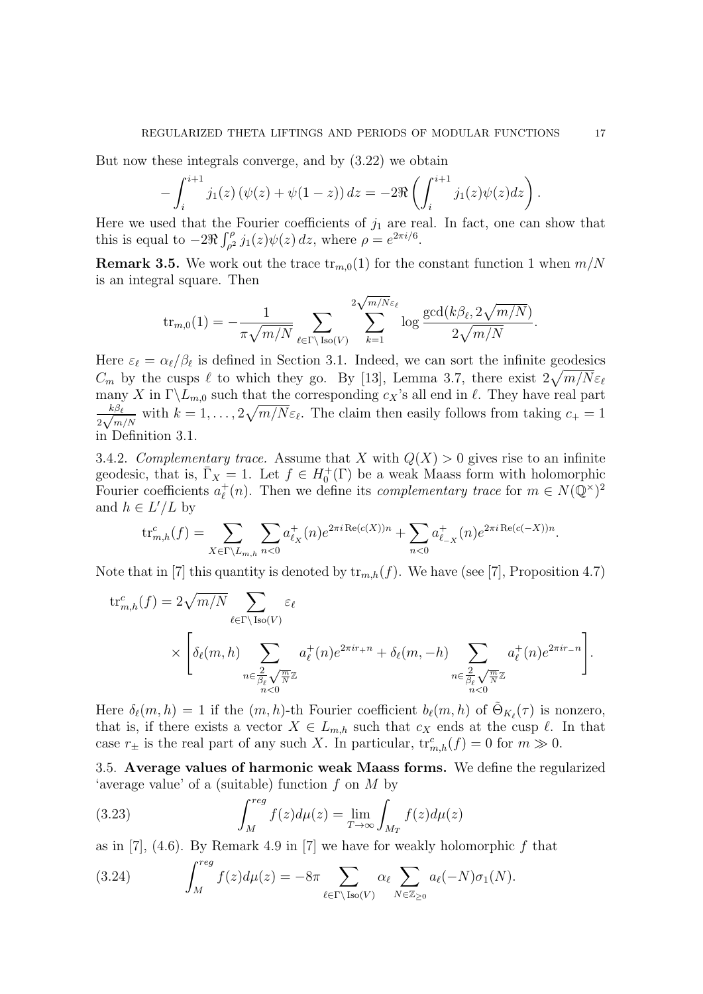But now these integrals converge, and by (3.22) we obtain

$$
- \int_{i}^{i+1} j_1(z) \left( \psi(z) + \psi(1-z) \right) dz = -2 \Re \left( \int_{i}^{i+1} j_1(z) \psi(z) dz \right).
$$

Here we used that the Fourier coefficients of  $j_1$  are real. In fact, one can show that this is equal to  $-2\Re \int_{\rho^2}^{\rho} j_1(z)\psi(z)\,dz$ , where  $\rho = e^{2\pi i/6}$ .

**Remark 3.5.** We work out the trace  $\text{tr}_{m,0}(1)$  for the constant function 1 when  $m/N$ is an integral square. Then

tr<sub>m,0</sub>(1) = 
$$
-\frac{1}{\pi\sqrt{m/N}}\sum_{\ell \in \Gamma\backslash \text{Iso}(V)}\sum_{k=1}^{2\sqrt{m/N}\varepsilon_{\ell}}\log \frac{\gcd(k\beta_{\ell}, 2\sqrt{m/N})}{2\sqrt{m/N}}.
$$

Here  $\varepsilon_{\ell} = \alpha_{\ell}/\beta_{\ell}$  is defined in Section 3.1. Indeed, we can sort the infinite geodesics  $C_m$  by the cusps  $\ell$  to which they go. By [13], Lemma 3.7, there exist  $2\sqrt{m/N}\varepsilon_\ell$ many X in  $\Gamma\backslash L_{m,0}$  such that the corresponding  $c_X$ 's all end in  $\ell$ . They have real part  $k\beta_\ell$  $\frac{k\beta_{\ell}}{2\sqrt{m/N}}$  with  $k=1,\ldots,2\sqrt{m/N}\varepsilon_{\ell}$ . The claim then easily follows from taking  $c_{+}=1$ in Definition 3.1.

3.4.2. Complementary trace. Assume that X with  $Q(X) > 0$  gives rise to an infinite geodesic, that is,  $\overline{\Gamma}_X = 1$ . Let  $f \in H_0^+(\Gamma)$  be a weak Maass form with holomorphic Fourier coefficients  $a_{\ell}^{+}$  $\ell^+(n)$ . Then we define its complementary trace for  $m \in N(\bar{\mathbb{Q}}^{\times})^2$ and  $h \in L'/L$  by

$$
\text{tr}_{m,h}^c(f) = \sum_{X \in \Gamma \backslash L_{m,h}} \sum_{n < 0} a_{\ell_X}^+(n) e^{2\pi i \text{Re}(c(X))n} + \sum_{n < 0} a_{\ell_X}^+(n) e^{2\pi i \text{Re}(c(-X))n}.
$$

Note that in [7] this quantity is denoted by  $\text{tr}_{m,h}(f)$ . We have (see [7], Proposition 4.7)

$$
\operatorname{tr}_{m,h}^{c}(f) = 2\sqrt{m/N} \sum_{\ell \in \Gamma \backslash \operatorname{Iso}(V)} \varepsilon_{\ell}
$$
  
\$\times \left[ \delta\_{\ell}(m,h) \sum\_{\substack{n \in \frac{2}{\beta\_{\ell}} \sqrt{\frac{m}{N}} \mathbb{Z} \\ n < 0}} a\_{\ell}^{+}(n) e^{2\pi i r + n} + \delta\_{\ell}(m,-h) \sum\_{\substack{n \in \frac{2}{\beta\_{\ell}} \sqrt{\frac{m}{N}} \mathbb{Z} \\ n < 0}} a\_{\ell}^{+}(n) e^{2\pi i r - n} \right].

Here  $\delta_{\ell}(m, h) = 1$  if the  $(m, h)$ -th Fourier coefficient  $b_{\ell}(m, h)$  of  $\tilde{\Theta}_{K_{\ell}}(\tau)$  is nonzero, that is, if there exists a vector  $X \in L_{m,h}$  such that  $c_X$  ends at the cusp  $\ell$ . In that case  $r_{\pm}$  is the real part of any such X. In particular,  $\text{tr}_{m,h}^c(f) = 0$  for  $m \gg 0$ .

3.5. Average values of harmonic weak Maass forms. We define the regularized 'average value' of a (suitable) function f on M by

(3.23) 
$$
\int_{M}^{reg} f(z) d\mu(z) = \lim_{T \to \infty} \int_{M_T} f(z) d\mu(z)
$$

as in  $[7]$ ,  $(4.6)$ . By Remark 4.9 in  $[7]$  we have for weakly holomorphic f that

(3.24) 
$$
\int_M^{reg} f(z) d\mu(z) = -8\pi \sum_{\ell \in \Gamma \backslash \text{Iso}(V)} \alpha_{\ell} \sum_{N \in \mathbb{Z}_{\geq 0}} a_{\ell}(-N) \sigma_1(N).
$$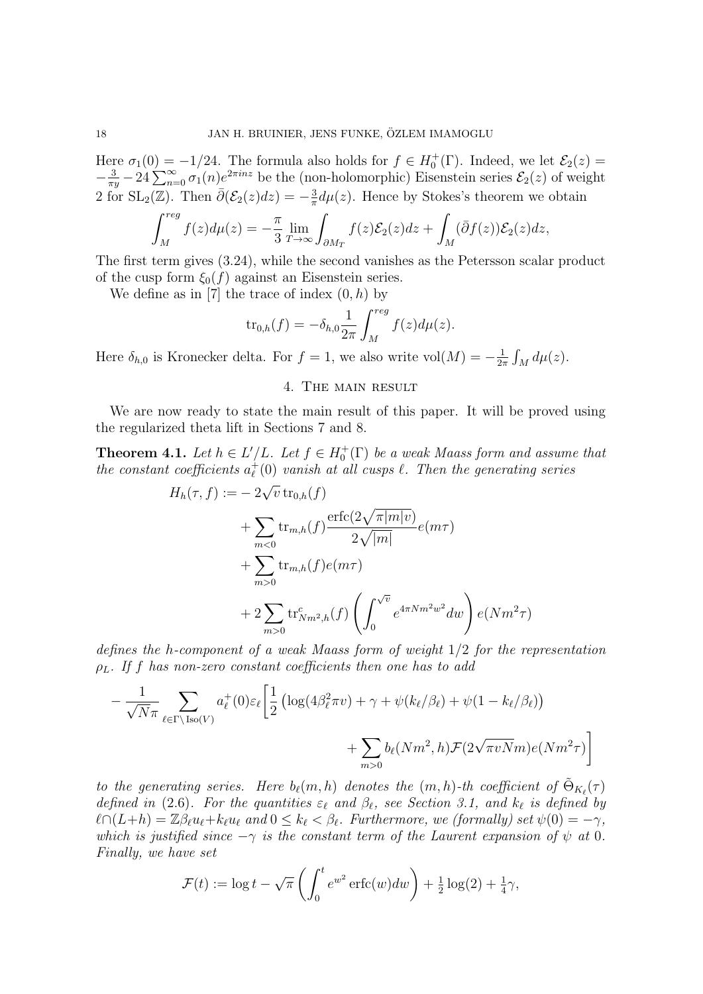Here  $\sigma_1(0) = -1/24$ . The formula also holds for  $f \in H_0^+(\Gamma)$ . Indeed, we let  $\mathcal{E}_2(z) =$  $-\frac{3}{\pi y}-24\sum_{n=0}^{\infty}\sigma_1(n)e^{2\pi inz}$  be the (non-holomorphic) Eisenstein series  $\mathcal{E}_2(z)$  of weight 2 for SL<sub>2</sub>(ℤ). Then  $\bar{\partial}(\mathcal{E}_2(z)dz) = -\frac{3}{\pi}$  $\frac{3}{\pi}d\mu(z)$ . Hence by Stokes's theorem we obtain

$$
\int_M^{reg} f(z)d\mu(z) = -\frac{\pi}{3} \lim_{T \to \infty} \int_{\partial M_T} f(z)\mathcal{E}_2(z)dz + \int_M (\bar{\partial}f(z))\mathcal{E}_2(z)dz,
$$

The first term gives (3.24), while the second vanishes as the Petersson scalar product of the cusp form  $\xi_0(f)$  against an Eisenstein series.

We define as in [7] the trace of index  $(0, h)$  by

$$
\operatorname{tr}_{0,h}(f) = -\delta_{h,0} \frac{1}{2\pi} \int_M^{reg} f(z) d\mu(z).
$$

Here  $\delta_{h,0}$  is Kronecker delta. For  $f=1$ , we also write vol $(M)=-\frac{1}{2i}$  $\frac{1}{2\pi} \int_M d\mu(z)$ .

### 4. The main result

We are now ready to state the main result of this paper. It will be proved using the regularized theta lift in Sections 7 and 8.

**Theorem 4.1.** Let  $h \in L'/L$ . Let  $f \in H_0^+(\Gamma)$  be a weak Maass form and assume that the constant coefficients  $a_{\ell}^{+}$  $_{\ell}^{+}(0)$  vanish at all cusps  $\ell$ . Then the generating series

$$
H_h(\tau, f) := -2\sqrt{v} \operatorname{tr}_{0,h}(f)
$$
  
+  $\sum_{m<0} \operatorname{tr}_{m,h}(f) \frac{\operatorname{erfc}(2\sqrt{\pi |m|v})}{2\sqrt{|m|}} e(m\tau)$   
+  $\sum_{m>0} \operatorname{tr}_{m,h}(f) e(m\tau)$   
+  $2 \sum_{m>0} \operatorname{tr}_{Nm^2,h}^c(f) \left( \int_0^{\sqrt{v}} e^{4\pi N m^2 w^2} dw \right) e(Nm^2 \tau)$ 

defines the h-component of a weak Maass form of weight 1/2 for the representation  $\rho_L$ . If f has non-zero constant coefficients then one has to add

$$
-\frac{1}{\sqrt{N}\pi} \sum_{\ell \in \Gamma \backslash \text{Iso}(V)} a_{\ell}^{+}(0) \varepsilon_{\ell} \left[ \frac{1}{2} \left( \log(4\beta_{\ell}^{2} \pi v) + \gamma + \psi(k_{\ell}/\beta_{\ell}) + \psi(1 - k_{\ell}/\beta_{\ell}) \right) + \sum_{m>0} b_{\ell}(Nm^{2}, h) \mathcal{F}(2\sqrt{\pi v N} m) e(Nm^{2}\tau) \right]
$$

to the generating series. Here  $b_{\ell}(m, h)$  denotes the  $(m, h)$ -th coefficient of  $\tilde{\Theta}_{K_{\ell}}(\tau)$ defined in (2.6). For the quantities  $\varepsilon_\ell$  and  $\beta_\ell$ , see Section 3.1, and  $k_\ell$  is defined by  $\ell \cap (L+h) = \mathbb{Z}\beta_{\ell}u_{\ell} + k_{\ell}u_{\ell}$  and  $0 \leq k_{\ell} < \beta_{\ell}$ . Furthermore, we (formally) set  $\psi(0) = -\gamma$ , which is justified since  $-\gamma$  is the constant term of the Laurent expansion of  $\psi$  at 0. Finally, we have set

$$
\mathcal{F}(t) := \log t - \sqrt{\pi} \left( \int_0^t e^{w^2} \operatorname{erfc}(w) dw \right) + \frac{1}{2} \log(2) + \frac{1}{4} \gamma,
$$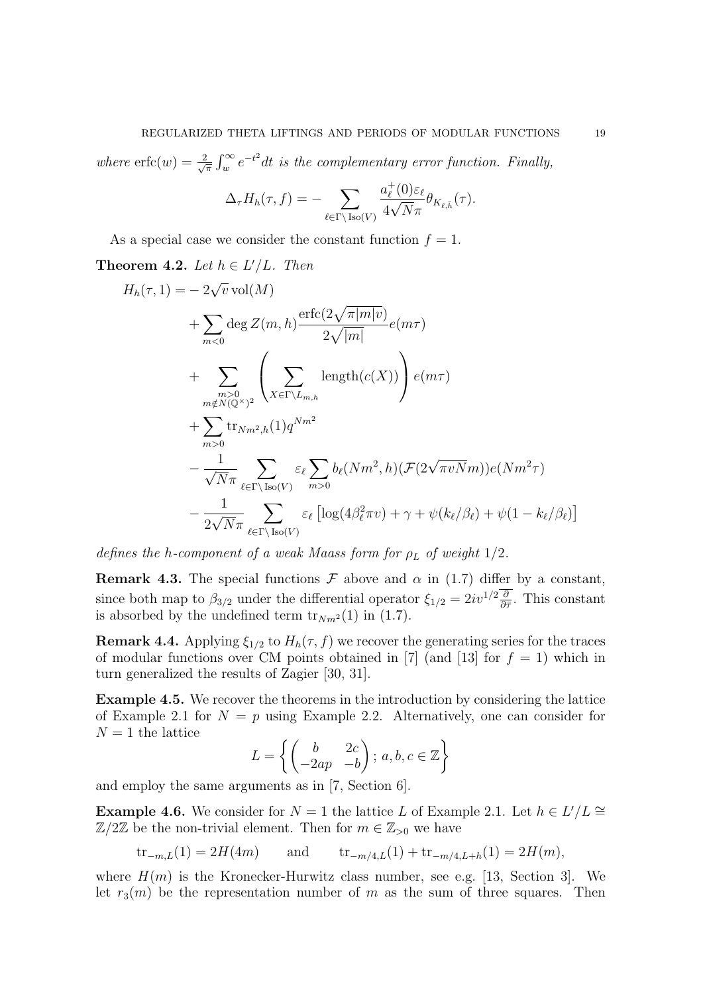### REGULARIZED THETA LIFTINGS AND PERIODS OF MODULAR FUNCTIONS 19

where  $erfc(w) = \frac{2}{\sqrt{2}}$  $\frac{R}{\pi} \int_{w}^{\infty} e^{-t^2} dt$  is the complementary error function. Finally,

$$
\Delta_{\tau}H_h(\tau,f)=-\sum_{\ell\in\Gamma\backslash\operatorname{Iso}(V)}\frac{a^+_{\ell}(0)\varepsilon_{\ell}}{4\sqrt{N}\pi}\theta_{K_{\ell,\bar{h}}}(\tau).
$$

As a special case we consider the constant function  $f = 1$ .

Theorem 4.2. Let  $h \in L'/L$ . Then

$$
H_h(\tau, 1) = -2\sqrt{v} \operatorname{vol}(M)
$$
  
+ 
$$
\sum_{m<0} \deg Z(m, h) \frac{\operatorname{erfc}(2\sqrt{\pi |m|v})}{2\sqrt{|m|}} e(m\tau)
$$
  
+ 
$$
\sum_{\substack{m>0 \ m \notin N(\mathbb{Q}^{\times})^2}} \left( \sum_{X \in \Gamma \backslash L_{m,h}} \operatorname{length}(c(X)) \right) e(m\tau)
$$
  
+ 
$$
\sum_{m>0} \operatorname{tr}_{N,m^2,h}(1) q^{Nm^2}
$$
  
- 
$$
\frac{1}{\sqrt{N}\pi} \sum_{\ell \in \Gamma \backslash \operatorname{Iso}(V)} \varepsilon_{\ell} \sum_{m>0} b_{\ell}(Nm^2, h) (\mathcal{F}(2\sqrt{\pi v N}m)) e(Nm^2\tau)
$$
  
- 
$$
\frac{1}{2\sqrt{N}\pi} \sum_{\ell \in \Gamma \backslash \operatorname{Iso}(V)} \varepsilon_{\ell} [\log(4\beta_{\ell}^2 \pi v) + \gamma + \psi(k_{\ell}/\beta_{\ell}) + \psi(1 - k_{\ell}/\beta_{\ell})]
$$

defines the h-component of a weak Maass form for  $\rho_L$  of weight  $1/2$ .

**Remark 4.3.** The special functions  $\mathcal F$  above and  $\alpha$  in (1.7) differ by a constant, since both map to  $\beta_{3/2}$  under the differential operator  $\xi_{1/2} = 2iv^{1/2}\frac{\partial}{\partial \bar{\tau}}$ . This constant is absorbed by the undefined term  $\text{tr}_{Nm^2}(1)$  in (1.7).

**Remark 4.4.** Applying  $\xi_{1/2}$  to  $H_h(\tau, f)$  we recover the generating series for the traces of modular functions over CM points obtained in [7] (and [13] for  $f = 1$ ) which in turn generalized the results of Zagier [30, 31].

Example 4.5. We recover the theorems in the introduction by considering the lattice of Example 2.1 for  $N = p$  using Example 2.2. Alternatively, one can consider for  $N = 1$  the lattice

$$
L = \left\{ \begin{pmatrix} b & 2c \\ -2ap & -b \end{pmatrix}; a, b, c \in \mathbb{Z} \right\}
$$

and employ the same arguments as in [7, Section 6].

**Example 4.6.** We consider for  $N = 1$  the lattice L of Example 2.1. Let  $h \in L'/L \cong$  $\mathbb{Z}/2\mathbb{Z}$  be the non-trivial element. Then for  $m \in \mathbb{Z}_{>0}$  we have

tr<sub>−m,L</sub>(1) = 2H(4m) and tr<sub>−m/4,L</sub>(1) + tr<sub>−m/4,L+h</sub>(1) = 2H(m),

where  $H(m)$  is the Kronecker-Hurwitz class number, see e.g. [13, Section 3]. We let  $r_3(m)$  be the representation number of m as the sum of three squares. Then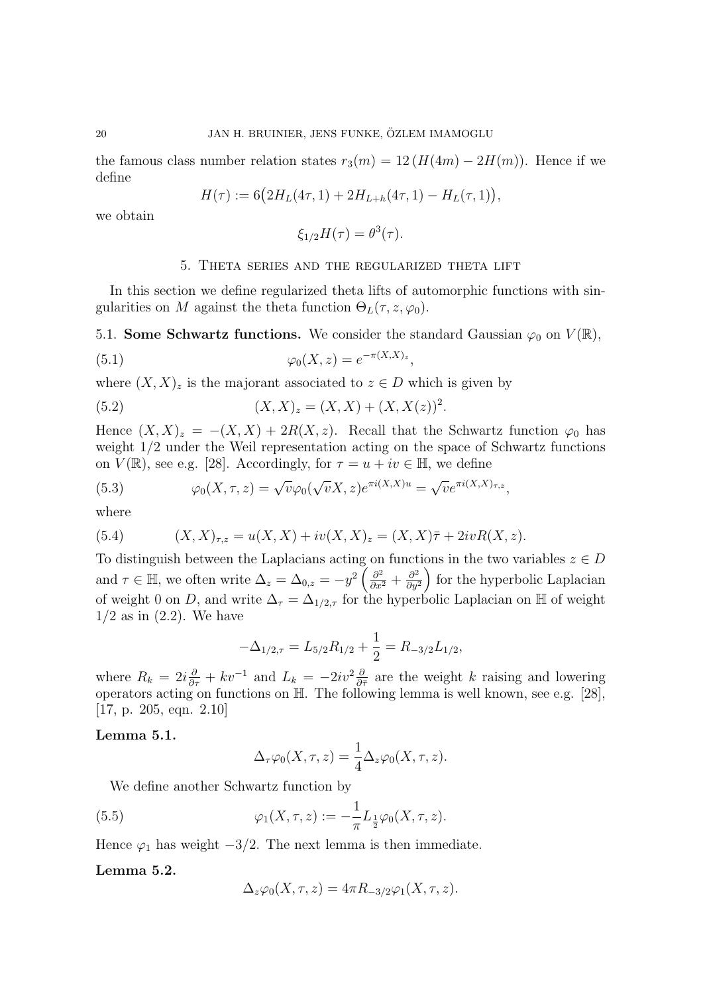the famous class number relation states  $r_3(m) = 12 (H(4m) - 2H(m))$ . Hence if we define

$$
H(\tau) := 6\big(2H_L(4\tau, 1) + 2H_{L+h}(4\tau, 1) - H_L(\tau, 1)\big),
$$

we obtain

$$
\xi_{1/2}H(\tau)=\theta^3(\tau).
$$

### 5. Theta series and the regularized theta lift

In this section we define regularized theta lifts of automorphic functions with singularities on M against the theta function  $\Theta_L(\tau, z, \varphi_0)$ .

5.1. Some Schwartz functions. We consider the standard Gaussian  $\varphi_0$  on  $V(\mathbb{R}),$ 

(5.1) 
$$
\varphi_0(X, z) = e^{-\pi(X, X)_z},
$$

where  $(X, X)_z$  is the majorant associated to  $z \in D$  which is given by

(5.2) 
$$
(X, X)_z = (X, X) + (X, X(z))^2.
$$

Hence  $(X, X)_z = -(X, X) + 2R(X, z)$ . Recall that the Schwartz function  $\varphi_0$  has weight  $1/2$  under the Weil representation acting on the space of Schwartz functions on  $V(\mathbb{R})$ , see e.g. [28]. Accordingly, for  $\tau = u + iv \in \mathbb{H}$ , we define

(5.3) 
$$
\varphi_0(X,\tau,z) = \sqrt{\nu} \varphi_0(\sqrt{\nu}X,z) e^{\pi i (X,X)u} = \sqrt{\nu} e^{\pi i (X,X)\tau,z},
$$

where

(5.4) 
$$
(X, X)_{\tau, z} = u(X, X) + iv(X, X)_{z} = (X, X)\overline{\tau} + 2ivR(X, z).
$$

To distinguish between the Laplacians acting on functions in the two variables  $z \in D$ and  $\tau \in \mathbb{H}$ , we often write  $\Delta_z = \Delta_{0,z} = -y^2 \left( \frac{\partial^2}{\partial x^2} + \frac{\partial^2}{\partial y^2} \right)$  $\left(\frac{\partial^2}{\partial y^2}\right)$  for the hyperbolic Laplacian of weight 0 on D, and write  $\Delta_{\tau} = \Delta_{1/2,\tau}$  for the hyperbolic Laplacian on H of weight  $1/2$  as in  $(2.2)$ . We have

$$
-\Delta_{1/2,\tau} = L_{5/2}R_{1/2} + \frac{1}{2} = R_{-3/2}L_{1/2},
$$

where  $R_k = 2i\frac{\partial}{\partial \tau} + kv^{-1}$  and  $L_k = -2iv^2\frac{\partial}{\partial \bar{\tau}}$  are the weight k raising and lowering operators acting on functions on H. The following lemma is well known, see e.g. [28], [17, p. 205, eqn. 2.10]

#### Lemma 5.1.

$$
\Delta_{\tau}\varphi_0(X,\tau,z) = \frac{1}{4}\Delta_z\varphi_0(X,\tau,z).
$$

We define another Schwartz function by

(5.5) 
$$
\varphi_1(X, \tau, z) := -\frac{1}{\pi} L_{\frac{1}{2}} \varphi_0(X, \tau, z).
$$

Hence  $\varphi_1$  has weight  $-3/2$ . The next lemma is then immediate.

#### Lemma 5.2.

$$
\Delta_z \varphi_0(X, \tau, z) = 4\pi R_{-3/2} \varphi_1(X, \tau, z).
$$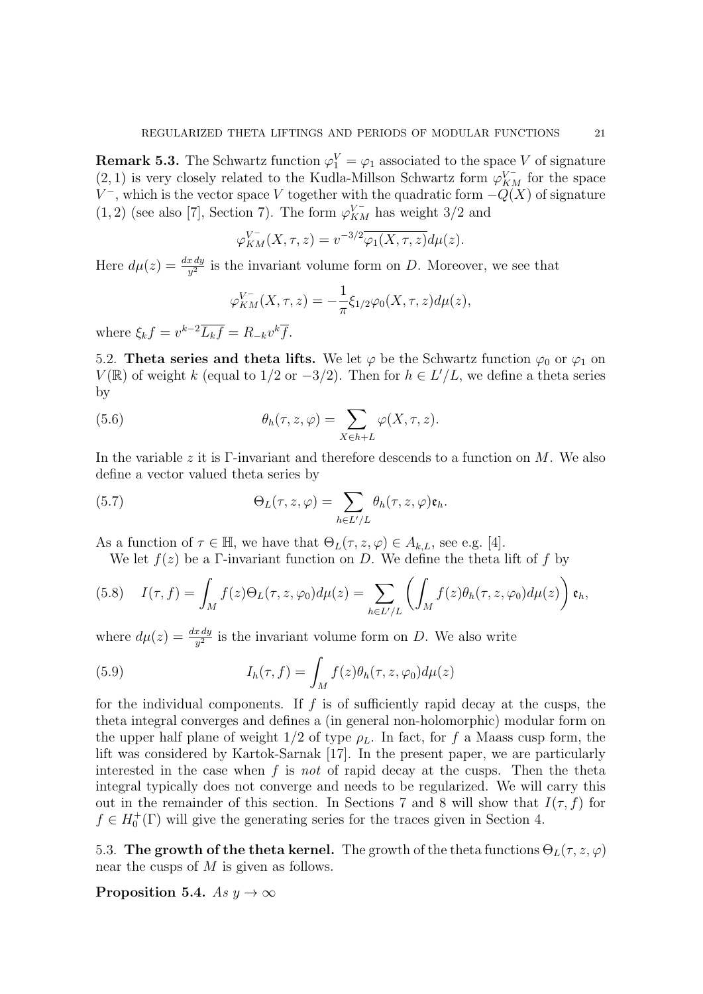**Remark 5.3.** The Schwartz function  $\varphi_1^V = \varphi_1$  associated to the space V of signature (2, 1) is very closely related to the Kudla-Millson Schwartz form  $\varphi_{KM}^{V^-}$  for the space  $V^-$ , which is the vector space V together with the quadratic form  $-Q(X)$  of signature  $(1, 2)$  (see also [7], Section 7). The form  $\varphi_{KM}^{V^-}$  has weight 3/2 and

$$
\varphi_{KM}^{V^-}(X,\tau,z) = v^{-3/2} \overline{\varphi_1(X,\tau,z)} d\mu(z).
$$

Here  $d\mu(z) = \frac{dx\,dy}{y^2}$  is the invariant volume form on D. Moreover, we see that

$$
\varphi_{KM}^{V^-}(X,\tau,z) = -\frac{1}{\pi} \xi_{1/2} \varphi_0(X,\tau,z) d\mu(z),
$$

where  $\xi_k f = v^{k-2} \overline{L_k f} = R_{-k} v^k \overline{f}$ .

5.2. Theta series and theta lifts. We let  $\varphi$  be the Schwartz function  $\varphi_0$  or  $\varphi_1$  on  $V(\mathbb{R})$  of weight k (equal to 1/2 or  $-3/2$ ). Then for  $h \in L'/L$ , we define a theta series by

(5.6) 
$$
\theta_h(\tau, z, \varphi) = \sum_{X \in h + L} \varphi(X, \tau, z).
$$

In the variable z it is Γ-invariant and therefore descends to a function on  $M$ . We also define a vector valued theta series by

(5.7) 
$$
\Theta_L(\tau, z, \varphi) = \sum_{h \in L'/L} \theta_h(\tau, z, \varphi) \mathfrak{e}_h.
$$

As a function of  $\tau \in \mathbb{H}$ , we have that  $\Theta_L(\tau, z, \varphi) \in A_{k,L}$ , see e.g. [4].

We let  $f(z)$  be a Γ-invariant function on D. We define the theta lift of f by

(5.8) 
$$
I(\tau, f) = \int_M f(z) \Theta_L(\tau, z, \varphi_0) d\mu(z) = \sum_{h \in L'/L} \left( \int_M f(z) \theta_h(\tau, z, \varphi_0) d\mu(z) \right) \mathfrak{e}_h,
$$

where  $d\mu(z) = \frac{dx\,dy}{y^2}$  is the invariant volume form on D. We also write

(5.9) 
$$
I_h(\tau, f) = \int_M f(z) \theta_h(\tau, z, \varphi_0) d\mu(z)
$$

for the individual components. If  $f$  is of sufficiently rapid decay at the cusps, the theta integral converges and defines a (in general non-holomorphic) modular form on the upper half plane of weight  $1/2$  of type  $\rho_L$ . In fact, for f a Maass cusp form, the lift was considered by Kartok-Sarnak [17]. In the present paper, we are particularly interested in the case when f is not of rapid decay at the cusps. Then the theta integral typically does not converge and needs to be regularized. We will carry this out in the remainder of this section. In Sections 7 and 8 will show that  $I(\tau, f)$  for  $f \in H_0^+(\Gamma)$  will give the generating series for the traces given in Section 4.

5.3. The growth of the theta kernel. The growth of the theta functions  $\Theta_L(\tau, z, \varphi)$ near the cusps of M is given as follows.

Proposition 5.4. As  $y \to \infty$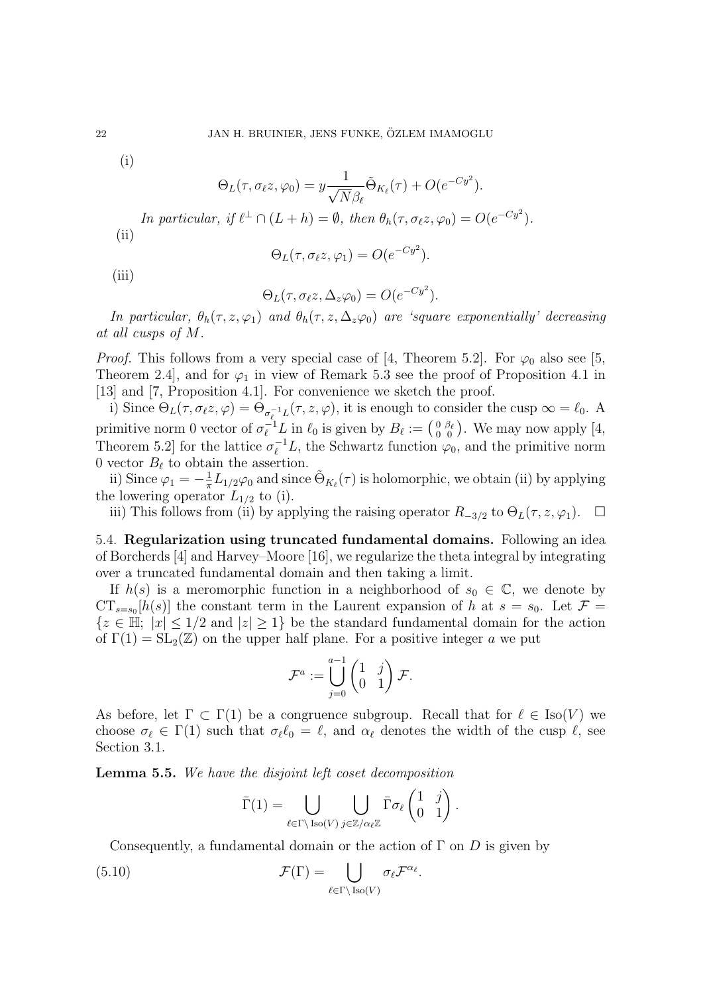(i)

$$
\Theta_L(\tau, \sigma_\ell z, \varphi_0) = y \frac{1}{\sqrt{N} \beta_\ell} \tilde{\Theta}_{K_\ell}(\tau) + O(e^{-Cy^2}).
$$

In particular, if  $\ell^{\perp} \cap (L + h) = \emptyset$ , then  $\theta_h(\tau, \sigma_\ell z, \varphi_0) = O(e^{-C y^2})$ .  $(ii)$ 

$$
\Theta_L(\tau, \sigma_\ell z, \varphi_1) = O(e^{-Cy^2}).
$$

 $(iii)$ 

$$
\Theta_L(\tau, \sigma_\ell z, \Delta_z \varphi_0) = O(e^{-Cy^2}).
$$

In particular,  $\theta_h(\tau, z, \varphi_1)$  and  $\theta_h(\tau, z, \Delta_z \varphi_0)$  are 'square exponentially' decreasing at all cusps of M.

*Proof.* This follows from a very special case of [4, Theorem 5.2]. For  $\varphi_0$  also see [5, Theorem 2.4, and for  $\varphi_1$  in view of Remark 5.3 see the proof of Proposition 4.1 in [13] and [7, Proposition 4.1]. For convenience we sketch the proof.

i) Since  $\Theta_L(\tau, \sigma_\ell z, \varphi) = \Theta_{\sigma_\ell^{-1} L}(\tau, z, \varphi)$ , it is enough to consider the cusp  $\infty = \ell_0$ . A primitive norm 0 vector of  $\sigma_{\ell}^{-1}L$  in  $\ell_0$  is given by  $B_{\ell} := \left(\begin{smallmatrix} 0 & \beta_{\ell} \\ 0 & 0 \end{smallmatrix}\right)$ . We may now apply [4, Theorem 5.2] for the lattice  $\sigma_{\ell}^{-1}L$ , the Schwartz function  $\varphi_0$ , and the primitive norm 0 vector  $B_{\ell}$  to obtain the assertion.

ii) Since  $\varphi_1 = -\frac{1}{\pi}$  $\frac{1}{\pi}L_{1/2}\varphi_0$  and since  $\tilde{\Theta}_{K_{\ell}}(\tau)$  is holomorphic, we obtain (ii) by applying the lowering operator  $L_{1/2}$  to (i).

iii) This follows from (ii) by applying the raising operator  $R_{-3/2}$  to  $\Theta_L(\tau, z, \varphi_1)$ . □

5.4. Regularization using truncated fundamental domains. Following an idea of Borcherds [4] and Harvey–Moore [16], we regularize the theta integral by integrating over a truncated fundamental domain and then taking a limit.

If  $h(s)$  is a meromorphic function in a neighborhood of  $s_0 \in \mathbb{C}$ , we denote by  $CT_{s=s_0}[h(s)]$  the constant term in the Laurent expansion of h at  $s=s_0$ . Let  $\mathcal{F}$  =  ${z \in \mathbb{H}; |x| \leq 1/2 \text{ and } |z| \geq 1}$  be the standard fundamental domain for the action of  $\Gamma(1) = SL_2(\mathbb{Z})$  on the upper half plane. For a positive integer a we put

$$
\mathcal{F}^a := \bigcup_{j=0}^{a-1} \begin{pmatrix} 1 & j \\ 0 & 1 \end{pmatrix} \mathcal{F}.
$$

As before, let  $\Gamma \subset \Gamma(1)$  be a congruence subgroup. Recall that for  $\ell \in Iso(V)$  we choose  $\sigma_\ell \in \Gamma(1)$  such that  $\sigma_\ell \ell_0 = \ell$ , and  $\alpha_\ell$  denotes the width of the cusp  $\ell$ , see Section 3.1.

Lemma 5.5. We have the disjoint left coset decomposition

$$
\bar{\Gamma}(1) = \bigcup_{\ell \in \Gamma \backslash \text{Iso}(V)} \bigcup_{j \in \mathbb{Z}/\alpha_{\ell} \mathbb{Z}} \bar{\Gamma} \sigma_{\ell} \begin{pmatrix} 1 & j \\ 0 & 1 \end{pmatrix}.
$$

Consequently, a fundamental domain or the action of  $\Gamma$  on  $D$  is given by

(5.10) 
$$
\mathcal{F}(\Gamma) = \bigcup_{\ell \in \Gamma \backslash \text{Iso}(V)} \sigma_{\ell} \mathcal{F}^{\alpha_{\ell}}.
$$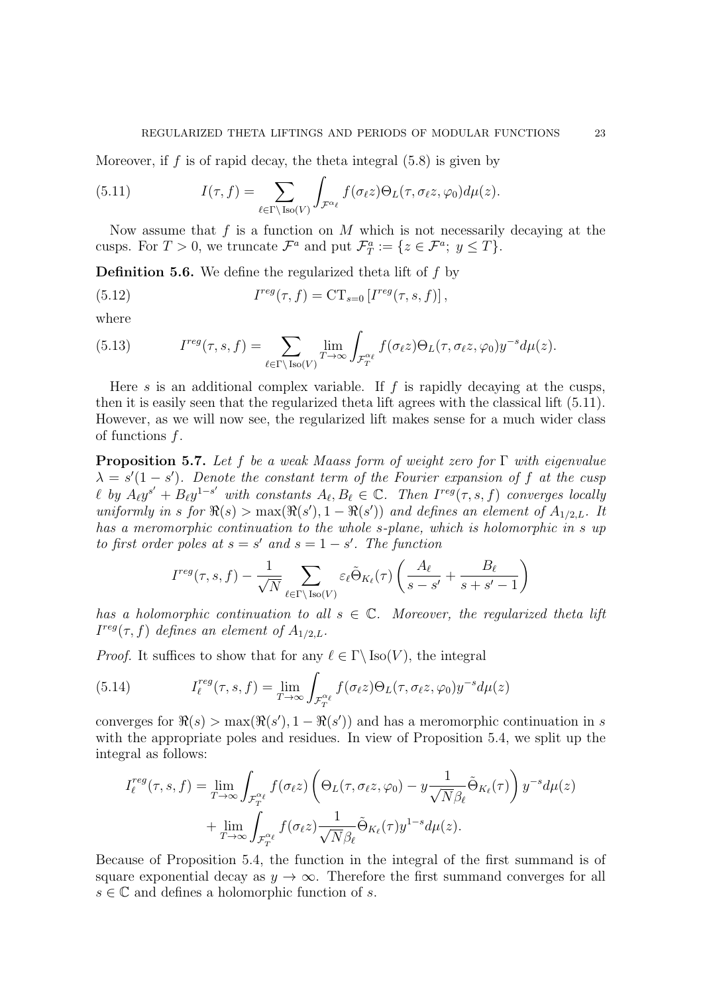Moreover, if f is of rapid decay, the theta integral  $(5.8)$  is given by

(5.11) 
$$
I(\tau, f) = \sum_{\ell \in \Gamma \backslash \text{Iso}(V)} \int_{\mathcal{F}^{\alpha_{\ell}}} f(\sigma_{\ell}z) \Theta_L(\tau, \sigma_{\ell}z, \varphi_0) d\mu(z).
$$

Now assume that  $f$  is a function on  $M$  which is not necessarily decaying at the cusps. For  $T > 0$ , we truncate  $\mathcal{F}^a$  and put  $\mathcal{F}^a_T := \{ z \in \mathcal{F}^a; y \leq T \}.$ 

**Definition 5.6.** We define the regularized theta lift of  $f$  by

(5.12) 
$$
I^{reg}(\tau, f) = \mathrm{CT}_{s=0} \left[ I^{reg}(\tau, s, f) \right],
$$

where

(5.13) 
$$
I^{reg}(\tau, s, f) = \sum_{\ell \in \Gamma \backslash \text{Iso}(V)} \lim_{T \to \infty} \int_{\mathcal{F}_T^{\alpha_{\ell}}} f(\sigma_{\ell}z) \Theta_L(\tau, \sigma_{\ell}z, \varphi_0) y^{-s} d\mu(z).
$$

Here s is an additional complex variable. If f is rapidly decaying at the cusps, then it is easily seen that the regularized theta lift agrees with the classical lift (5.11). However, as we will now see, the regularized lift makes sense for a much wider class of functions f.

**Proposition 5.7.** Let f be a weak Maass form of weight zero for  $\Gamma$  with eigenvalue  $\lambda = s'(1-s')$ . Denote the constant term of the Fourier expansion of f at the cusp  $\ell$  by  $A_{\ell}y^{s'} + B_{\ell}y^{1-s'}$  with constants  $A_{\ell}, B_{\ell} \in \mathbb{C}$ . Then  $I^{reg}(\tau, s, f)$  converges locally uniformly in s for  $\Re(s) > \max(\Re(s'), 1 - \Re(s'))$  and defines an element of  $A_{1/2,L}$ . It has a meromorphic continuation to the whole s-plane, which is holomorphic in s up to first order poles at  $s = s'$  and  $s = 1 - s'$ . The function

$$
I^{reg}(\tau, s, f) - \frac{1}{\sqrt{N}} \sum_{\ell \in \Gamma \backslash \text{Iso}(V)} \varepsilon_{\ell} \tilde{\Theta}_{K_{\ell}}(\tau) \left( \frac{A_{\ell}}{s - s'} + \frac{B_{\ell}}{s + s' - 1} \right)
$$

has a holomorphic continuation to all  $s \in \mathbb{C}$ . Moreover, the regularized theta lift  $I^{reg}(\tau, f)$  defines an element of  $A_{1/2,L}$ .

*Proof.* It suffices to show that for any  $\ell \in \Gamma \backslash \text{Iso}(V)$ , the integral

(5.14) 
$$
I_{\ell}^{reg}(\tau, s, f) = \lim_{T \to \infty} \int_{\mathcal{F}_T^{\alpha_{\ell}}} f(\sigma_{\ell} z) \Theta_L(\tau, \sigma_{\ell} z, \varphi_0) y^{-s} d\mu(z)
$$

converges for  $\Re(s) > \max(\Re(s'), 1 - \Re(s'))$  and has a meromorphic continuation in s with the appropriate poles and residues. In view of Proposition 5.4, we split up the integral as follows:

$$
I_{\ell}^{reg}(\tau, s, f) = \lim_{T \to \infty} \int_{\mathcal{F}_{T}^{\alpha_{\ell}}} f(\sigma_{\ell}z) \left( \Theta_{L}(\tau, \sigma_{\ell}z, \varphi_{0}) - y \frac{1}{\sqrt{N} \beta_{\ell}} \tilde{\Theta}_{K_{\ell}}(\tau) \right) y^{-s} d\mu(z)
$$

$$
+ \lim_{T \to \infty} \int_{\mathcal{F}_{T}^{\alpha_{\ell}}} f(\sigma_{\ell}z) \frac{1}{\sqrt{N} \beta_{\ell}} \tilde{\Theta}_{K_{\ell}}(\tau) y^{1-s} d\mu(z).
$$

Because of Proposition 5.4, the function in the integral of the first summand is of square exponential decay as  $y \to \infty$ . Therefore the first summand converges for all  $s \in \mathbb{C}$  and defines a holomorphic function of s.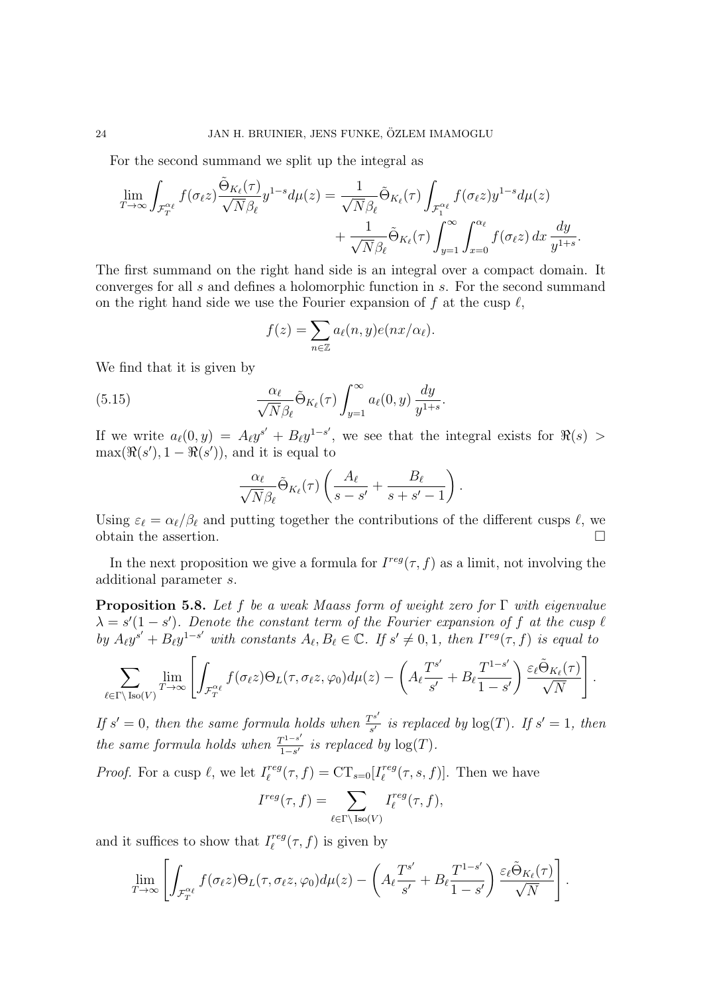For the second summand we split up the integral as

$$
\lim_{T \to \infty} \int_{\mathcal{F}_T^{\alpha_{\ell}}} f(\sigma_{\ell}z) \frac{\tilde{\Theta}_{K_{\ell}}(\tau)}{\sqrt{N} \beta_{\ell}} y^{1-s} d\mu(z) = \frac{1}{\sqrt{N} \beta_{\ell}} \tilde{\Theta}_{K_{\ell}}(\tau) \int_{\mathcal{F}_1^{\alpha_{\ell}}} f(\sigma_{\ell}z) y^{1-s} d\mu(z) + \frac{1}{\sqrt{N} \beta_{\ell}} \tilde{\Theta}_{K_{\ell}}(\tau) \int_{y=1}^{\infty} \int_{x=0}^{\alpha_{\ell}} f(\sigma_{\ell}z) dx \frac{dy}{y^{1+s}}.
$$

The first summand on the right hand side is an integral over a compact domain. It converges for all s and defines a holomorphic function in s. For the second summand on the right hand side we use the Fourier expansion of f at the cusp  $\ell$ ,

$$
f(z) = \sum_{n \in \mathbb{Z}} a_{\ell}(n, y) e(nx/\alpha_{\ell}).
$$

We find that it is given by

(5.15) 
$$
\frac{\alpha_{\ell}}{\sqrt{N}\beta_{\ell}}\tilde{\Theta}_{K_{\ell}}(\tau)\int_{y=1}^{\infty}a_{\ell}(0,y)\,\frac{dy}{y^{1+s}}.
$$

If we write  $a_{\ell}(0, y) = A_{\ell}y^{s'} + B_{\ell}y^{1-s'}$ , we see that the integral exists for  $\Re(s) >$  $\max(\Re(s'), 1 - \Re(s'))$ , and it is equal to

$$
\frac{\alpha_{\ell}}{\sqrt{N}\beta_{\ell}}\tilde{\Theta}_{K_{\ell}}(\tau)\left(\frac{A_{\ell}}{s-s'}+\frac{B_{\ell}}{s+s'-1}\right).
$$

Using  $\varepsilon_{\ell} = \alpha_{\ell}/\beta_{\ell}$  and putting together the contributions of the different cusps  $\ell$ , we obtain the assertion.  $\Box$ 

In the next proposition we give a formula for  $I^{reg}(\tau, f)$  as a limit, not involving the additional parameter s.

**Proposition 5.8.** Let f be a weak Maass form of weight zero for  $\Gamma$  with eigenvalue  $\lambda = s'(1-s')$ . Denote the constant term of the Fourier expansion of f at the cusp  $\ell$ by  $A_\ell y^{s'} + B_\ell y^{1-s'}$  with constants  $A_\ell, B_\ell \in \mathbb{C}$ . If  $s' \neq 0, 1$ , then  $I^{reg}(\tau, f)$  is equal to

$$
\sum_{\ell \in \Gamma \backslash \text{Iso}(V)} \lim_{T \to \infty} \left[ \int_{\mathcal{F}_T^{\alpha_{\ell}}} f(\sigma_{\ell}z) \Theta_L(\tau, \sigma_{\ell}z, \varphi_0) d\mu(z) - \left( A_{\ell} \frac{T^{s'}}{s'} + B_{\ell} \frac{T^{1-s'}}{1-s'} \right) \frac{\varepsilon_{\ell} \tilde{\Theta}_{K_{\ell}}(\tau)}{\sqrt{N}} \right]
$$

.

If  $s' = 0$ , then the same formula holds when  $\frac{T s'}{s'}$  $\frac{f^{s}}{s'}$  is replaced by  $\log(T)$ . If  $s' = 1$ , then the same formula holds when  $\frac{T^{1-s'}}{1-s'}$  $\frac{\Gamma^{1-s}}{1-s'}$  is replaced by  $\log(T)$ .

*Proof.* For a cusp  $\ell$ , we let  $I_{\ell}^{reg}$  $\int_{\ell}^{reg} (\tau, f) = CT_{s=0}[I_{\ell}^{reg}]$  $\int_{\ell}^{reg} (\tau, s, f)$ . Then we have

$$
I^{reg}(\tau, f) = \sum_{\ell \in \Gamma \backslash \text{Iso}(V)} I^{reg}_{\ell}(\tau, f),
$$

and it suffices to show that  $I_{\ell}^{reg}$  $\int_{\ell}^{reg} (\tau, f)$  is given by

$$
\lim_{T \to \infty} \left[ \int_{\mathcal{F}_T^{\alpha_\ell}} f(\sigma_\ell z) \Theta_L(\tau, \sigma_\ell z, \varphi_0) d\mu(z) - \left( A_\ell \frac{T^{s'}}{s'} + B_\ell \frac{T^{1-s'}}{1-s'} \right) \frac{\varepsilon_\ell \tilde{\Theta}_{K_\ell}(\tau)}{\sqrt{N}} \right].
$$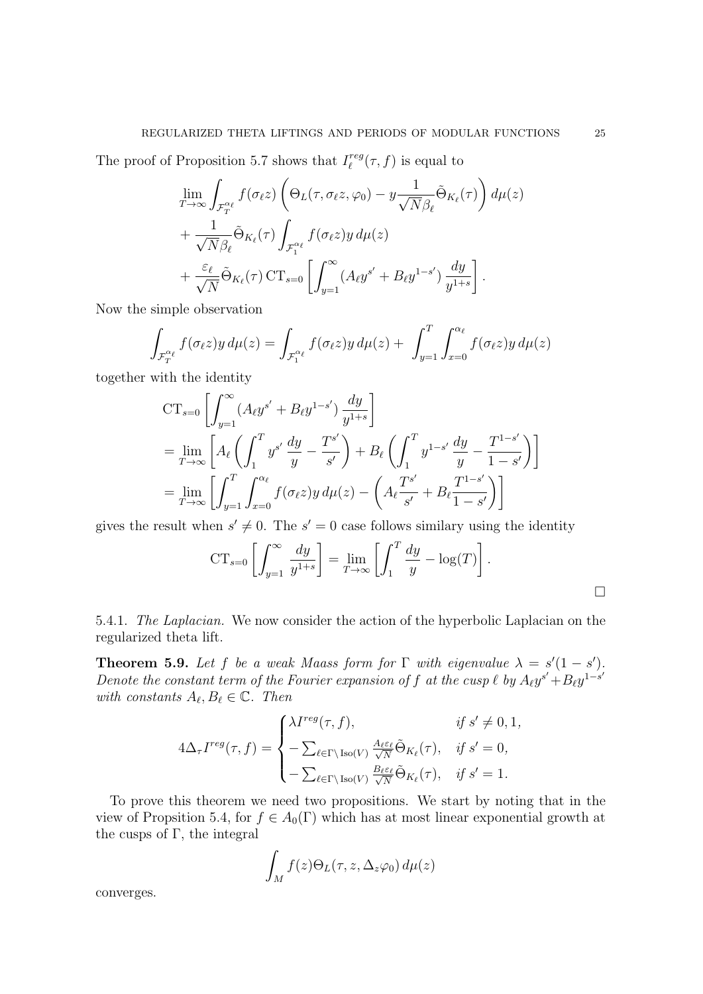The proof of Proposition 5.7 shows that  $I_{\ell}^{reg}$  $\int_{\ell}^{reg} (\tau, f)$  is equal to

$$
\lim_{T \to \infty} \int_{\mathcal{F}_T^{\alpha_{\ell}}} f(\sigma_{\ell}z) \left( \Theta_L(\tau, \sigma_{\ell}z, \varphi_0) - y \frac{1}{\sqrt{N} \beta_{\ell}} \tilde{\Theta}_{K_{\ell}}(\tau) \right) d\mu(z) \n+ \frac{1}{\sqrt{N} \beta_{\ell}} \tilde{\Theta}_{K_{\ell}}(\tau) \int_{\mathcal{F}_1^{\alpha_{\ell}}} f(\sigma_{\ell}z) y d\mu(z) \n+ \frac{\varepsilon_{\ell}}{\sqrt{N}} \tilde{\Theta}_{K_{\ell}}(\tau) \operatorname{CT}_{s=0} \left[ \int_{y=1}^{\infty} (A_{\ell} y^{s'} + B_{\ell} y^{1-s'}) \frac{dy}{y^{1+s}} \right].
$$

Now the simple observation

$$
\int_{\mathcal{F}_T^{\alpha_\ell}} f(\sigma_\ell z) y \, d\mu(z) = \int_{\mathcal{F}_1^{\alpha_\ell}} f(\sigma_\ell z) y \, d\mu(z) + \int_{y=1}^T \int_{x=0}^{\alpha_\ell} f(\sigma_\ell z) y \, d\mu(z)
$$

together with the identity

$$
CT_{s=0} \left[ \int_{y=1}^{\infty} (A_{\ell} y^{s'} + B_{\ell} y^{1-s'}) \frac{dy}{y^{1+s}} \right]
$$
  
=  $\lim_{T \to \infty} \left[ A_{\ell} \left( \int_{1}^{T} y^{s'} \frac{dy}{y} - \frac{T^{s'}}{s'} \right) + B_{\ell} \left( \int_{1}^{T} y^{1-s'} \frac{dy}{y} - \frac{T^{1-s'}}{1-s'} \right) \right]$   
=  $\lim_{T \to \infty} \left[ \int_{y=1}^{T} \int_{x=0}^{\alpha_{\ell}} f(\sigma_{\ell} z) y \, d\mu(z) - \left( A_{\ell} \frac{T^{s'}}{s'} + B_{\ell} \frac{T^{1-s'}}{1-s'} \right) \right]$ 

gives the result when  $s' \neq 0$ . The  $s' = 0$  case follows similary using the identity

$$
CT_{s=0}\left[\int_{y=1}^{\infty} \frac{dy}{y^{1+s}}\right] = \lim_{T \to \infty} \left[\int_{1}^{T} \frac{dy}{y} - \log(T)\right].
$$

5.4.1. The Laplacian. We now consider the action of the hyperbolic Laplacian on the regularized theta lift.

**Theorem 5.9.** Let f be a weak Maass form for  $\Gamma$  with eigenvalue  $\lambda = s'(1-s')$ . Denote the constant term of the Fourier expansion of f at the cusp  $\ell$  by  $A_{\ell}y^{s'} + B_{\ell}y^{1-s'}$ with constants  $A_{\ell}, B_{\ell} \in \mathbb{C}$ . Then

$$
4\Delta_{\tau}I^{reg}(\tau,f) = \begin{cases} \lambda I^{reg}(\tau,f), & \text{if } s' \neq 0,1, \\ -\sum_{\ell \in \Gamma \backslash \text{Iso}(V)} \frac{A_{\ell} \varepsilon_{\ell}}{\sqrt{N}} \tilde{\Theta}_{K_{\ell}}(\tau), & \text{if } s' = 0, \\ -\sum_{\ell \in \Gamma \backslash \text{Iso}(V)} \frac{B_{\ell} \varepsilon_{\ell}}{\sqrt{N}} \tilde{\Theta}_{K_{\ell}}(\tau), & \text{if } s' = 1. \end{cases}
$$

To prove this theorem we need two propositions. We start by noting that in the view of Propsition 5.4, for  $f \in A_0(\Gamma)$  which has at most linear exponential growth at the cusps of  $\Gamma$ , the integral

$$
\int_M f(z)\Theta_L(\tau,z,\Delta_z\varphi_0)\,d\mu(z)
$$

converges.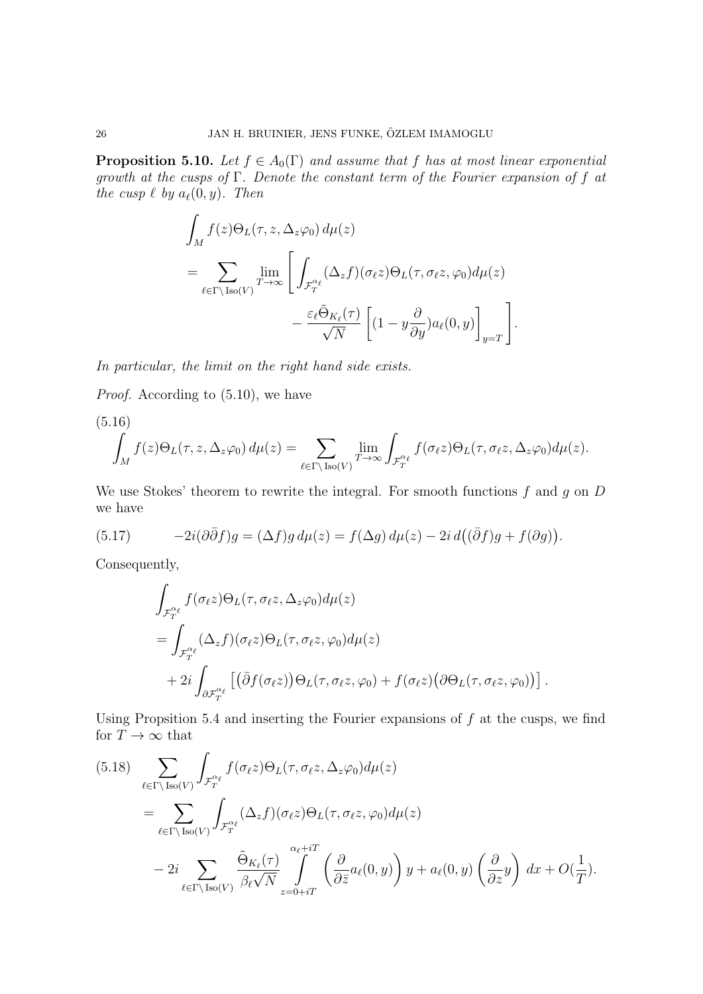**Proposition 5.10.** Let  $f \in A_0(\Gamma)$  and assume that f has at most linear exponential growth at the cusps of  $\Gamma$ . Denote the constant term of the Fourier expansion of f at the cusp  $\ell$  by  $a_{\ell}(0, y)$ . Then

$$
\int_{M} f(z) \Theta_{L}(\tau, z, \Delta_{z} \varphi_{0}) d\mu(z)
$$
\n
$$
= \sum_{\ell \in \Gamma \backslash \text{Iso}(V)} \lim_{T \to \infty} \left[ \int_{\mathcal{F}_{T}^{\alpha_{\ell}}} (\Delta_{z} f)(\sigma_{\ell} z) \Theta_{L}(\tau, \sigma_{\ell} z, \varphi_{0}) d\mu(z) - \frac{\varepsilon_{\ell} \tilde{\Theta}_{K_{\ell}}(\tau)}{\sqrt{N}} \left[ (1 - y \frac{\partial}{\partial y}) a_{\ell}(0, y) \right]_{y=T} \right].
$$

In particular, the limit on the right hand side exists.

Proof. According to (5.10), we have

(5.16)  

$$
\int_M f(z)\Theta_L(\tau, z, \Delta_z \varphi_0) d\mu(z) = \sum_{\ell \in \Gamma \backslash \text{Iso}(V)} \lim_{T \to \infty} \int_{\mathcal{F}_T^{\alpha_{\ell}}} f(\sigma_{\ell}z)\Theta_L(\tau, \sigma_{\ell}z, \Delta_z \varphi_0) d\mu(z).
$$

We use Stokes' theorem to rewrite the integral. For smooth functions  $f$  and  $g$  on  $D$ we have

(5.17) 
$$
-2i(\partial \bar{\partial} f)g = (\Delta f)g d\mu(z) = f(\Delta g) d\mu(z) - 2i d((\bar{\partial} f)g + f(\partial g)).
$$

Consequently,

$$
\int_{\mathcal{F}_T^{\alpha_{\ell}}} f(\sigma_{\ell}z) \Theta_L(\tau, \sigma_{\ell}z, \Delta_z \varphi_0) d\mu(z)
$$
\n
$$
= \int_{\mathcal{F}_T^{\alpha_{\ell}}} (\Delta_z f)(\sigma_{\ell}z) \Theta_L(\tau, \sigma_{\ell}z, \varphi_0) d\mu(z)
$$
\n
$$
+ 2i \int_{\partial \mathcal{F}_T^{\alpha_{\ell}}} \left[ \left( \bar{\partial} f(\sigma_{\ell}z) \right) \Theta_L(\tau, \sigma_{\ell}z, \varphi_0) + f(\sigma_{\ell}z) \left( \partial \Theta_L(\tau, \sigma_{\ell}z, \varphi_0) \right) \right].
$$

Using Propsition 5.4 and inserting the Fourier expansions of  $f$  at the cusps, we find for  $T\to\infty$  that

(5.18) 
$$
\sum_{\ell \in \Gamma \backslash \text{Iso}(V)} \int_{\mathcal{F}_T^{\alpha_{\ell}}} f(\sigma_{\ell}z) \Theta_L(\tau, \sigma_{\ell}z, \Delta_z \varphi_0) d\mu(z)
$$
  
\n
$$
= \sum_{\ell \in \Gamma \backslash \text{Iso}(V)} \int_{\mathcal{F}_T^{\alpha_{\ell}}} (\Delta_z f)(\sigma_{\ell}z) \Theta_L(\tau, \sigma_{\ell}z, \varphi_0) d\mu(z)
$$
  
\n
$$
- 2i \sum_{\ell \in \Gamma \backslash \text{Iso}(V)} \frac{\tilde{\Theta}_{K_{\ell}}(\tau)}{\beta_{\ell} \sqrt{N}} \int_{z=0+iT}^{\alpha_{\ell}+iT} \left( \frac{\partial}{\partial \bar{z}} a_{\ell}(0, y) \right) y + a_{\ell}(0, y) \left( \frac{\partial}{\partial z} y \right) dx + O(\frac{1}{T}).
$$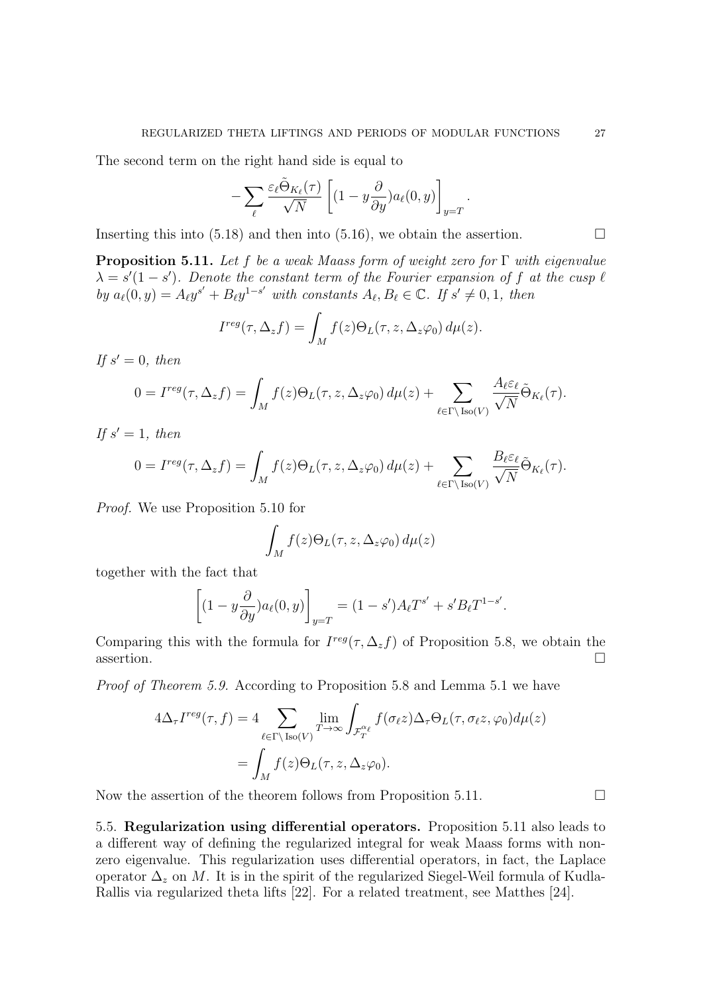The second term on the right hand side is equal to

$$
-\sum_{\ell}\frac{\varepsilon_\ell\tilde{\Theta}_{K_\ell}(\tau)}{\sqrt{N}}\left[(1-y\frac{\partial}{\partial y})a_\ell(0,y)\right]_{y=T}.
$$

Inserting this into (5.18) and then into (5.16), we obtain the assertion.  $\Box$ 

**Proposition 5.11.** Let f be a weak Maass form of weight zero for  $\Gamma$  with eigenvalue  $\lambda = s'(1-s')$ . Denote the constant term of the Fourier expansion of f at the cusp  $\ell$ by  $a_{\ell}(0, y) = A_{\ell}y^{s'} + B_{\ell}y^{1-s'}$  with constants  $A_{\ell}, B_{\ell} \in \mathbb{C}$ . If  $s' \neq 0, 1$ , then

$$
I^{reg}(\tau, \Delta_z f) = \int_M f(z) \Theta_L(\tau, z, \Delta_z \varphi_0) d\mu(z).
$$

If  $s' = 0$ , then

$$
0 = I^{reg}(\tau, \Delta_z f) = \int_M f(z) \Theta_L(\tau, z, \Delta_z \varphi_0) d\mu(z) + \sum_{\ell \in \Gamma \backslash \text{Iso}(V)} \frac{A_{\ell} \varepsilon_{\ell}}{\sqrt{N}} \tilde{\Theta}_{K_{\ell}}(\tau).
$$

If  $s' = 1$ , then

$$
0 = I^{reg}(\tau, \Delta_z f) = \int_M f(z) \Theta_L(\tau, z, \Delta_z \varphi_0) d\mu(z) + \sum_{\ell \in \Gamma \backslash \text{Iso}(V)} \frac{B_{\ell} \varepsilon_{\ell}}{\sqrt{N}} \tilde{\Theta}_{K_{\ell}}(\tau).
$$

Proof. We use Proposition 5.10 for

$$
\int_M f(z)\Theta_L(\tau,z,\Delta_z\varphi_0)\,d\mu(z)
$$

together with the fact that

$$
\left[ (1 - y \frac{\partial}{\partial y}) a_{\ell}(0, y) \right]_{y=T} = (1 - s') A_{\ell} T^{s'} + s' B_{\ell} T^{1 - s'}.
$$

Comparing this with the formula for  $I^{reg}(\tau, \Delta_z f)$  of Proposition 5.8, we obtain the  $\overline{\phantom{a}}$  assertion.

Proof of Theorem 5.9. According to Proposition 5.8 and Lemma 5.1 we have

$$
4\Delta_{\tau}I^{reg}(\tau,f) = 4 \sum_{\ell \in \Gamma \backslash \text{Iso}(V)} \lim_{T \to \infty} \int_{\mathcal{F}_T^{\alpha_{\ell}}} f(\sigma_{\ell}z) \Delta_{\tau} \Theta_L(\tau, \sigma_{\ell}z, \varphi_0) d\mu(z)
$$

$$
= \int_M f(z) \Theta_L(\tau, z, \Delta_z \varphi_0).
$$

Now the assertion of the theorem follows from Proposition 5.11.  $\Box$ 

5.5. Regularization using differential operators. Proposition 5.11 also leads to a different way of defining the regularized integral for weak Maass forms with nonzero eigenvalue. This regularization uses differential operators, in fact, the Laplace operator  $\Delta_z$  on M. It is in the spirit of the regularized Siegel-Weil formula of Kudla-Rallis via regularized theta lifts [22]. For a related treatment, see Matthes [24].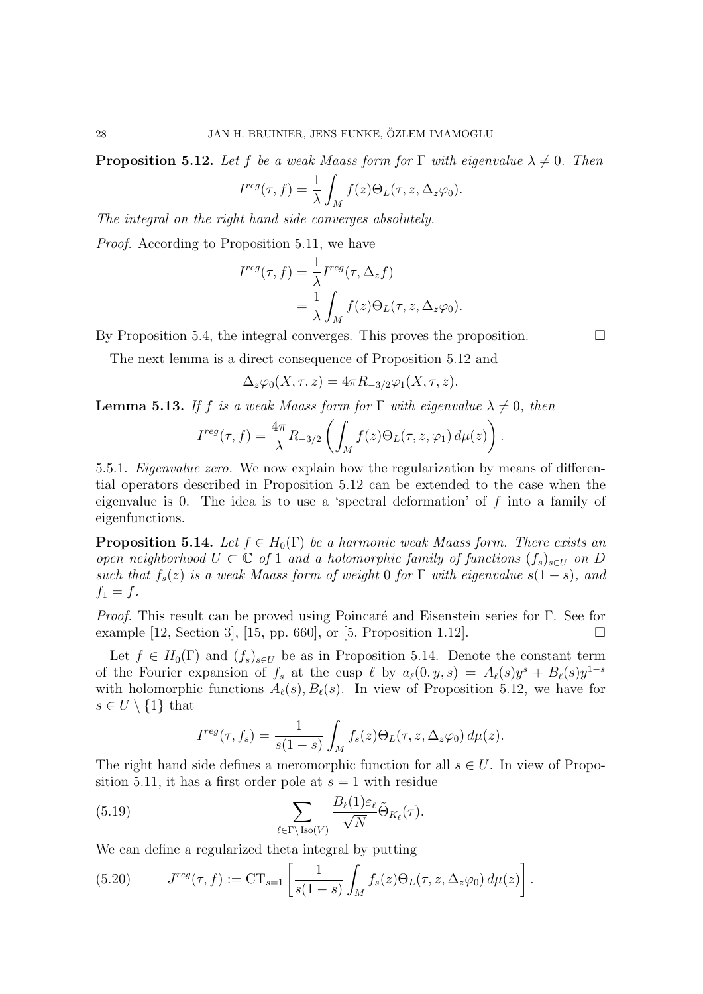**Proposition 5.12.** Let f be a weak Maass form for  $\Gamma$  with eigenvalue  $\lambda \neq 0$ . Then

$$
I^{reg}(\tau, f) = \frac{1}{\lambda} \int_M f(z) \Theta_L(\tau, z, \Delta_z \varphi_0).
$$

The integral on the right hand side converges absolutely.

Proof. According to Proposition 5.11, we have

$$
I^{reg}(\tau, f) = \frac{1}{\lambda} I^{reg}(\tau, \Delta_z f)
$$
  
= 
$$
\frac{1}{\lambda} \int_M f(z) \Theta_L(\tau, z, \Delta_z \varphi_0).
$$

By Proposition 5.4, the integral converges. This proves the proposition.  $\Box$ 

The next lemma is a direct consequence of Proposition 5.12 and

$$
\Delta_z \varphi_0(X, \tau, z) = 4\pi R_{-3/2} \varphi_1(X, \tau, z).
$$

**Lemma 5.13.** If f is a weak Maass form for  $\Gamma$  with eigenvalue  $\lambda \neq 0$ , then

$$
I^{reg}(\tau, f) = \frac{4\pi}{\lambda} R_{-3/2} \left( \int_M f(z) \Theta_L(\tau, z, \varphi_1) d\mu(z) \right).
$$

5.5.1. Eigenvalue zero. We now explain how the regularization by means of differential operators described in Proposition 5.12 can be extended to the case when the eigenvalue is 0. The idea is to use a 'spectral deformation' of  $f$  into a family of eigenfunctions.

**Proposition 5.14.** Let  $f \in H_0(\Gamma)$  be a harmonic weak Maass form. There exists an open neighborhood  $U \subset \mathbb{C}$  of 1 and a holomorphic family of functions  $(f_s)_{s\in U}$  on D such that  $f_s(z)$  is a weak Maass form of weight 0 for  $\Gamma$  with eigenvalue  $s(1-s)$ , and  $f_1 = f$ .

Proof. This result can be proved using Poincaré and Eisenstein series for Γ. See for example [12, Section 3], [15, pp. 660], or [5, Proposition 1.12].

Let  $f \in H_0(\Gamma)$  and  $(f_s)_{s \in U}$  be as in Proposition 5.14. Denote the constant term of the Fourier expansion of  $f_s$  at the cusp  $\ell$  by  $a_{\ell}(0, y, s) = A_{\ell}(s)y^{s} + B_{\ell}(s)y^{1-s}$ with holomorphic functions  $A_{\ell}(s), B_{\ell}(s)$ . In view of Proposition 5.12, we have for  $s \in U \setminus \{1\}$  that

$$
I^{reg}(\tau, f_s) = \frac{1}{s(1-s)} \int_M f_s(z) \Theta_L(\tau, z, \Delta_z \varphi_0) d\mu(z).
$$

The right hand side defines a meromorphic function for all  $s \in U$ . In view of Proposition 5.11, it has a first order pole at  $s = 1$  with residue

(5.19) 
$$
\sum_{\ell \in \Gamma \backslash \text{Iso}(V)} \frac{B_{\ell}(1)\varepsilon_{\ell}}{\sqrt{N}} \tilde{\Theta}_{K_{\ell}}(\tau).
$$

We can define a regularized theta integral by putting

(5.20) 
$$
J^{reg}(\tau, f) := \mathrm{CT}_{s=1} \left[ \frac{1}{s(1-s)} \int_M f_s(z) \Theta_L(\tau, z, \Delta_z \varphi_0) d\mu(z) \right].
$$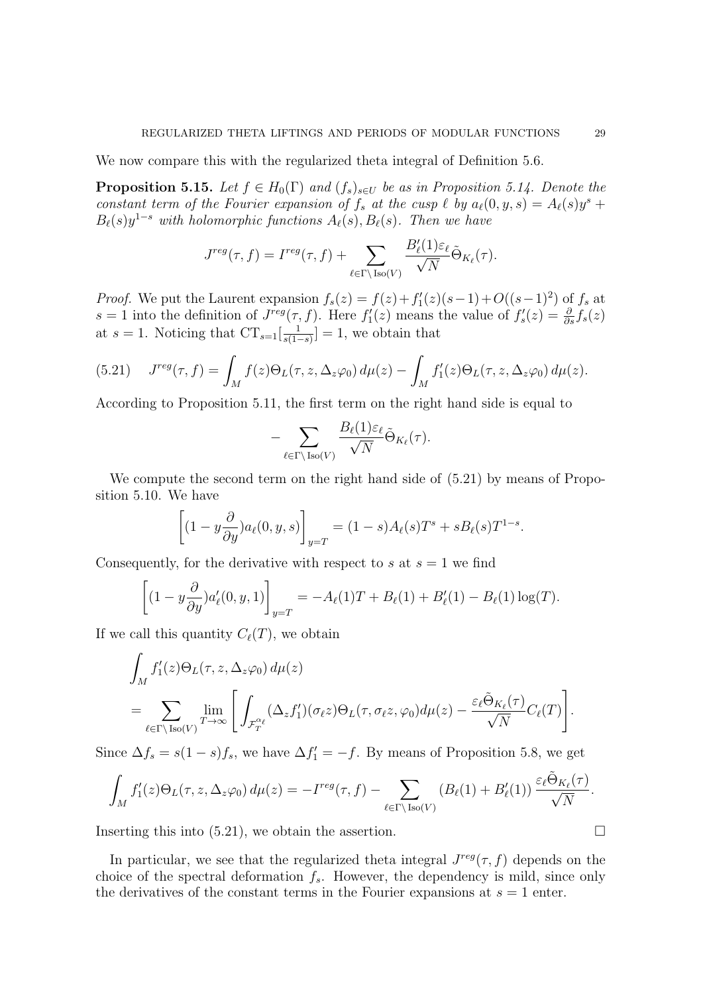We now compare this with the regularized theta integral of Definition 5.6.

**Proposition 5.15.** Let  $f \in H_0(\Gamma)$  and  $(f_s)_{s \in U}$  be as in Proposition 5.14. Denote the constant term of the Fourier expansion of  $f_s$  at the cusp  $\ell$  by  $a_{\ell}(0, y, s) = A_{\ell}(s)y^s +$  $B_{\ell}(s)y^{1-s}$  with holomorphic functions  $A_{\ell}(s), B_{\ell}(s)$ . Then we have

$$
J^{reg}(\tau, f) = I^{reg}(\tau, f) + \sum_{\ell \in \Gamma \backslash \text{Iso}(V)} \frac{B'_{\ell}(1)\varepsilon_{\ell}}{\sqrt{N}} \tilde{\Theta}_{K_{\ell}}(\tau).
$$

*Proof.* We put the Laurent expansion  $f_s(z) = f(z) + f'_1(z)(s-1) + O((s-1)^2)$  of  $f_s$  at s = 1 into the definition of  $J^{reg}(\tau, f)$ . Here  $f'_{1}(z)$  means the value of  $f'_{s}(z) = \frac{\partial}{\partial s} f_{s}(z)$ at  $s = 1$ . Noticing that  $CT_{s=1} \left[ \frac{1}{s(1-s)} \right]$  $\frac{1}{s(1-s)}$  = 1, we obtain that

(5.21) 
$$
J^{reg}(\tau, f) = \int_M f(z) \Theta_L(\tau, z, \Delta_z \varphi_0) d\mu(z) - \int_M f'_1(z) \Theta_L(\tau, z, \Delta_z \varphi_0) d\mu(z).
$$

According to Proposition 5.11, the first term on the right hand side is equal to

$$
-\sum_{\ell \in \Gamma \backslash \text{Iso}(V)} \frac{B_{\ell}(1)\varepsilon_{\ell}}{\sqrt{N}} \tilde{\Theta}_{K_{\ell}}(\tau).
$$

We compute the second term on the right hand side of (5.21) by means of Proposition 5.10. We have

$$
\left[ (1 - y \frac{\partial}{\partial y}) a_{\ell}(0, y, s) \right]_{y=T} = (1 - s) A_{\ell}(s) T^s + s B_{\ell}(s) T^{1-s}.
$$

Consequently, for the derivative with respect to s at  $s = 1$  we find

$$
\[(1 - y\frac{\partial}{\partial y})a'_{\ell}(0, y, 1)\]_{y=T} = -A_{\ell}(1)T + B_{\ell}(1) + B'_{\ell}(1) - B_{\ell}(1)\log(T).
$$

If we call this quantity  $C_{\ell}(T)$ , we obtain

$$
\int_M f'_1(z)\Theta_L(\tau, z, \Delta_z \varphi_0) d\mu(z)
$$
\n
$$
= \sum_{\ell \in \Gamma \backslash \operatorname{Iso}(V)} \lim_{T \to \infty} \left[ \int_{\mathcal{F}_T^{\alpha_{\ell}}} (\Delta_z f'_1)(\sigma_{\ell} z) \Theta_L(\tau, \sigma_{\ell} z, \varphi_0) d\mu(z) - \frac{\varepsilon_{\ell} \tilde{\Theta}_{K_{\ell}}(\tau)}{\sqrt{N}} C_{\ell}(T) \right].
$$

Since  $\Delta f_s = s(1-s)f_s$ , we have  $\Delta f'_1 = -f$ . By means of Proposition 5.8, we get

$$
\int_M f_1'(z)\Theta_L(\tau,z,\Delta_z\varphi_0)\,d\mu(z)=-I^{reg}(\tau,f)-\sum_{\ell\in\Gamma\backslash\operatorname{Iso}(V)}\left(B_{\ell}(1)+B'_{\ell}(1)\right)\frac{\varepsilon_{\ell}\tilde{\Theta}_{K_{\ell}}(\tau)}{\sqrt{N}}.
$$

Inserting this into  $(5.21)$ , we obtain the assertion.

In particular, we see that the regularized theta integral  $J^{reg}(\tau, f)$  depends on the choice of the spectral deformation  $f_s$ . However, the dependency is mild, since only the derivatives of the constant terms in the Fourier expansions at  $s = 1$  enter.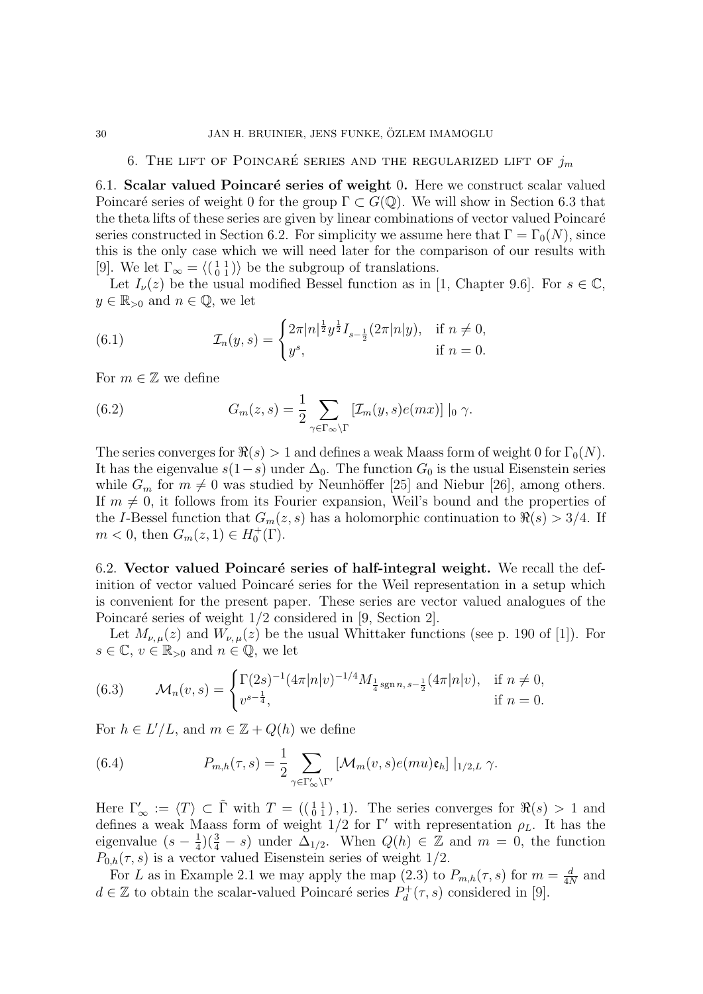### 6. THE LIFT OF POINCARÉ SERIES AND THE REGULARIZED LIFT OF  $j_m$

6.1. Scalar valued Poincaré series of weight 0. Here we construct scalar valued Poincaré series of weight 0 for the group  $\Gamma \subset G(\mathbb{Q})$ . We will show in Section 6.3 that the theta lifts of these series are given by linear combinations of vector valued Poincaré series constructed in Section 6.2. For simplicity we assume here that  $\Gamma = \Gamma_0(N)$ , since this is the only case which we will need later for the comparison of our results with [9]. We let  $\Gamma_{\infty} = \langle \begin{pmatrix} 1 & 1 \\ 0 & 1 \end{pmatrix} \rangle$  be the subgroup of translations.

Let  $I_{\nu}(z)$  be the usual modified Bessel function as in [1, Chapter 9.6]. For  $s \in \mathbb{C}$ ,  $y \in \mathbb{R}_{>0}$  and  $n \in \mathbb{Q}$ , we let

(6.1) 
$$
\mathcal{I}_n(y,s) = \begin{cases} 2\pi |n|^{\frac{1}{2}} y^{\frac{1}{2}} I_{s-\frac{1}{2}}(2\pi |n|y), & \text{if } n \neq 0, \\ y^s, & \text{if } n = 0. \end{cases}
$$

For  $m \in \mathbb{Z}$  we define

(6.2) 
$$
G_m(z,s) = \frac{1}{2} \sum_{\gamma \in \Gamma_{\infty} \backslash \Gamma} \left[ \mathcal{I}_m(y,s) e(mx) \right] |_0 \gamma.
$$

The series converges for  $\Re(s) > 1$  and defines a weak Maass form of weight 0 for  $\Gamma_0(N)$ . It has the eigenvalue  $s(1-s)$  under  $\Delta_0$ . The function  $G_0$  is the usual Eisenstein series while  $G_m$  for  $m \neq 0$  was studied by Neunhöffer [25] and Niebur [26], among others. If  $m \neq 0$ , it follows from its Fourier expansion, Weil's bound and the properties of the I-Bessel function that  $G_m(z, s)$  has a holomorphic continuation to  $\Re(s) > 3/4$ . If  $m < 0$ , then  $G_m(z, 1) \in H_0^+(\Gamma)$ .

6.2. Vector valued Poincaré series of half-integral weight. We recall the definition of vector valued Poincaré series for the Weil representation in a setup which is convenient for the present paper. These series are vector valued analogues of the Poincaré series of weight  $1/2$  considered in [9, Section 2].

Let  $M_{\nu,\mu}(z)$  and  $W_{\nu,\mu}(z)$  be the usual Whittaker functions (see p. 190 of [1]). For  $s \in \mathbb{C}, v \in \mathbb{R}_{>0}$  and  $n \in \mathbb{Q}$ , we let

(6.3) 
$$
\mathcal{M}_n(v,s) = \begin{cases} \Gamma(2s)^{-1} (4\pi |n|v)^{-1/4} M_{\frac{1}{4} \operatorname{sgn} n, s - \frac{1}{2}} (4\pi |n|v), & \text{if } n \neq 0, \\ v^{s - \frac{1}{4}}, & \text{if } n = 0. \end{cases}
$$

For  $h \in L'/L$ , and  $m \in \mathbb{Z} + Q(h)$  we define

(6.4) 
$$
P_{m,h}(\tau,s) = \frac{1}{2} \sum_{\gamma \in \Gamma'_{\infty} \backslash \Gamma'} \left[ \mathcal{M}_m(v,s) e(mu) \mathfrak{e}_h \right] |_{1/2,L} \gamma.
$$

Here  $\Gamma'_{\infty} := \langle T \rangle \subset \tilde{\Gamma}$  with  $T = \left(\begin{pmatrix} 1 & 1 \\ 0 & 1 \end{pmatrix}, 1\right)$ . The series converges for  $\Re(s) > 1$  and defines a weak Maass form of weight  $1/2$  for Γ' with representation  $\rho_L$ . It has the eigenvalue  $(s-\frac{1}{4})$  $\frac{1}{4}$  $(\frac{3}{4} - s)$  under  $\Delta_{1/2}$ . When  $Q(h) \in \mathbb{Z}$  and  $m = 0$ , the function  $P_{0,h}(\tau,s)$  is a vector valued Eisenstein series of weight 1/2.

For L as in Example 2.1 we may apply the map (2.3) to  $P_{m,h}(\tau,s)$  for  $m=\frac{d}{d\tau}$  $\frac{d}{4N}$  and  $d \in \mathbb{Z}$  to obtain the scalar-valued Poincaré series  $P_d^+$  $\partial_d^+(\tau,s)$  considered in [9].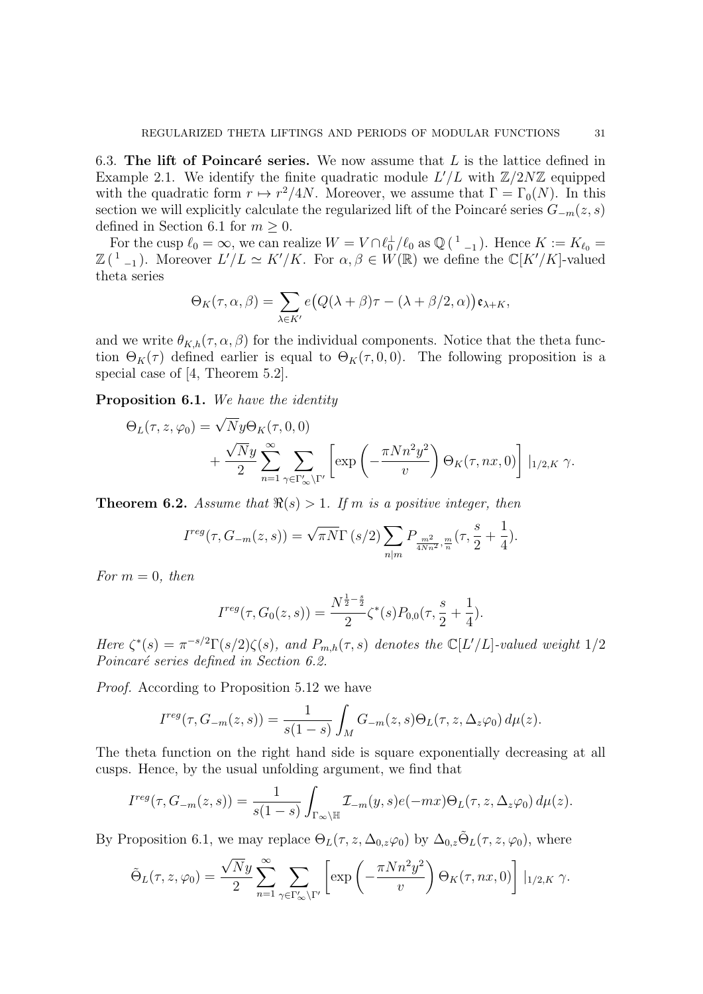6.3. The lift of Poincaré series. We now assume that  $L$  is the lattice defined in Example 2.1. We identify the finite quadratic module  $L'/L$  with  $\mathbb{Z}/2N\mathbb{Z}$  equipped with the quadratic form  $r \mapsto r^2/4N$ . Moreover, we assume that  $\Gamma = \Gamma_0(N)$ . In this section we will explicitly calculate the regularized lift of the Poincaré series  $G_{-m}(z, s)$ defined in Section 6.1 for  $m \geq 0$ .

For the cusp  $\ell_0 = \infty$ , we can realize  $W = V \cap \ell_0^{\perp}/\ell_0$  as  $\mathbb{Q}(\ell_{-1}^{\perp})$ . Hence  $K := K_{\ell_0} =$  $\mathbb{Z}({}^{1}_{-1})$ . Moreover  $L'/L \simeq K'/K$ . For  $\alpha, \beta \in W(\mathbb{R})$  we define the  $\mathbb{C}[K'/K]$ -valued theta series

$$
\Theta_K(\tau,\alpha,\beta)=\sum_{\lambda\in K'}e\big(Q(\lambda+\beta)\tau-(\lambda+\beta/2,\alpha)\big)\mathfrak{e}_{\lambda+K},
$$

and we write  $\theta_{K,h}(\tau,\alpha,\beta)$  for the individual components. Notice that the theta function  $\Theta_K(\tau)$  defined earlier is equal to  $\Theta_K(\tau, 0, 0)$ . The following proposition is a special case of [4, Theorem 5.2].

Proposition 6.1. We have the identity

$$
\Theta_L(\tau, z, \varphi_0) = \sqrt{N} y \Theta_K(\tau, 0, 0)
$$
  
+ 
$$
\frac{\sqrt{N} y}{2} \sum_{n=1}^{\infty} \sum_{\gamma \in \Gamma_{\infty}' \backslash \Gamma'} \left[ \exp\left(-\frac{\pi N n^2 y^2}{v}\right) \Theta_K(\tau, nx, 0) \right] |_{1/2, K} \gamma.
$$

**Theorem 6.2.** Assume that  $\Re(s) > 1$ . If m is a positive integer, then

$$
I^{reg}(\tau, G_{-m}(z, s)) = \sqrt{\pi N} \Gamma(s/2) \sum_{n|m} P_{\frac{m^2}{4Nn^2}, \frac{m}{n}}(\tau, \frac{s}{2} + \frac{1}{4}).
$$

For  $m = 0$ , then

$$
I^{reg}(\tau, G_0(z, s)) = \frac{N^{\frac{1}{2} - \frac{s}{2}}}{2} \zeta^*(s) P_{0,0}(\tau, \frac{s}{2} + \frac{1}{4}).
$$

Here  $\zeta^*(s) = \pi^{-s/2} \Gamma(s/2) \zeta(s)$ , and  $P_{m,h}(\tau, s)$  denotes the  $\mathbb{C}[L'/L]$ -valued weight  $1/2$ Poincaré series defined in Section 6.2.

Proof. According to Proposition 5.12 we have

$$
I^{reg}(\tau, G_{-m}(z, s)) = \frac{1}{s(1-s)} \int_M G_{-m}(z, s) \Theta_L(\tau, z, \Delta_z \varphi_0) d\mu(z).
$$

The theta function on the right hand side is square exponentially decreasing at all cusps. Hence, by the usual unfolding argument, we find that

$$
I^{reg}(\tau, G_{-m}(z, s)) = \frac{1}{s(1-s)} \int_{\Gamma_{\infty} \backslash \mathbb{H}} \mathcal{I}_{-m}(y, s) e(-mx) \Theta_L(\tau, z, \Delta_z \varphi_0) d\mu(z).
$$

By Proposition 6.1, we may replace  $\Theta_L(\tau, z, \Delta_{0,z}\varphi_0)$  by  $\Delta_{0,z}\tilde{\Theta}_L(\tau, z, \varphi_0)$ , where

$$
\tilde{\Theta}_L(\tau, z, \varphi_0) = \frac{\sqrt{N}y}{2} \sum_{n=1}^{\infty} \sum_{\gamma \in \Gamma_{\infty}' \backslash \Gamma'} \left[ \exp\left( -\frac{\pi N n^2 y^2}{v} \right) \Theta_K(\tau, nx, 0) \right] \Big|_{1/2, K} \gamma.
$$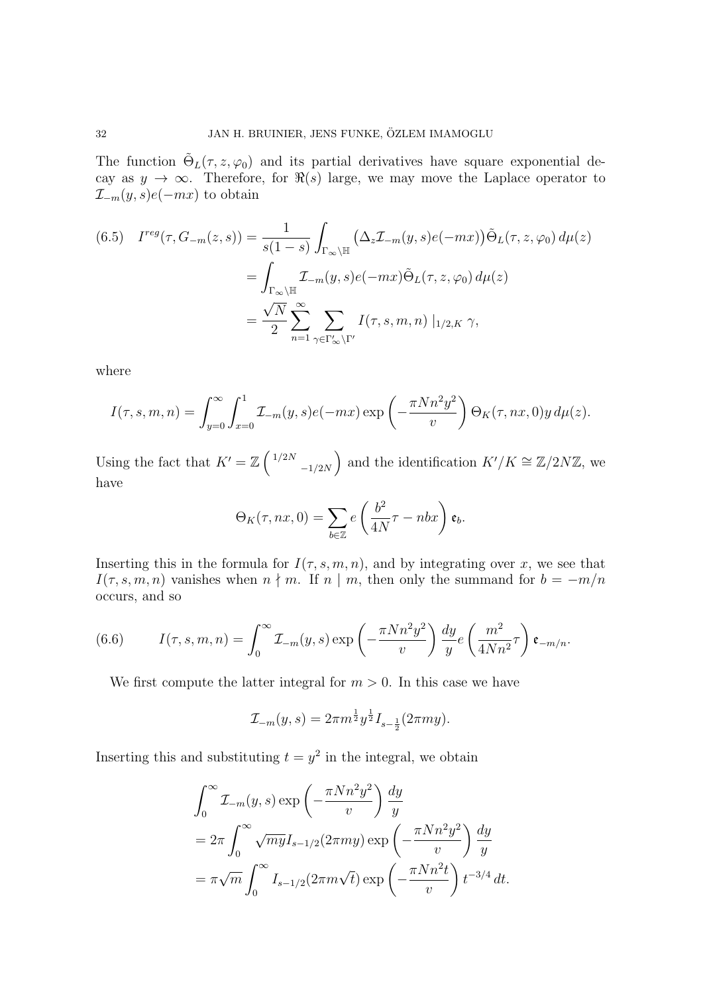The function  $\tilde{\Theta}_L(\tau, z, \varphi_0)$  and its partial derivatives have square exponential decay as  $y \to \infty$ . Therefore, for  $\Re(s)$  large, we may move the Laplace operator to  $\mathcal{I}_{-m}(y, s)e(-mx)$  to obtain

(6.5) 
$$
I^{reg}(\tau, G_{-m}(z, s)) = \frac{1}{s(1-s)} \int_{\Gamma_{\infty} \backslash \mathbb{H}} (\Delta_z \mathcal{I}_{-m}(y, s) e(-mx)) \tilde{\Theta}_L(\tau, z, \varphi_0) d\mu(z)
$$

$$
= \int_{\Gamma_{\infty} \backslash \mathbb{H}} \mathcal{I}_{-m}(y, s) e(-mx) \tilde{\Theta}_L(\tau, z, \varphi_0) d\mu(z)
$$

$$
= \frac{\sqrt{N}}{2} \sum_{n=1}^{\infty} \sum_{\gamma \in \Gamma_{\infty}' \backslash \Gamma'} I(\tau, s, m, n) |_{1/2, K} \gamma,
$$

where

$$
I(\tau, s, m, n) = \int_{y=0}^{\infty} \int_{x=0}^{1} \mathcal{I}_{-m}(y, s) e(-mx) \exp\left(-\frac{\pi N n^2 y^2}{v}\right) \Theta_K(\tau, nx, 0) y \, d\mu(z).
$$

Using the fact that  $K' = \mathbb{Z} \left( \frac{1}{2N} \right)$  $\left( \begin{array}{c} -1/2N \end{array} \right)$  and the identification  $K'/K \cong \mathbb{Z}/2N\mathbb{Z}$ , we have

$$
\Theta_K(\tau, nx, 0) = \sum_{b \in \mathbb{Z}} e\left(\frac{b^2}{4N}\tau - nbx\right) \mathfrak{e}_b.
$$

Inserting this in the formula for  $I(\tau, s, m, n)$ , and by integrating over x, we see that  $I(\tau, s, m, n)$  vanishes when  $n \nmid m$ . If  $n \mid m$ , then only the summand for  $b = -m/n$ occurs, and so

(6.6) 
$$
I(\tau, s, m, n) = \int_0^\infty \mathcal{I}_{-m}(y, s) \exp\left(-\frac{\pi N n^2 y^2}{v}\right) \frac{dy}{y} e\left(\frac{m^2}{4N n^2} \tau\right) \mathfrak{e}_{-m/n}.
$$

We first compute the latter integral for  $m > 0$ . In this case we have

$$
\mathcal{I}_{-m}(y,s) = 2\pi m^{\frac{1}{2}} y^{\frac{1}{2}} I_{s-\frac{1}{2}}(2\pi my).
$$

Inserting this and substituting  $t = y^2$  in the integral, we obtain

$$
\int_0^\infty \mathcal{I}_{-m}(y,s) \exp\left(-\frac{\pi N n^2 y^2}{v}\right) \frac{dy}{y}
$$
  
=  $2\pi \int_0^\infty \sqrt{m y} I_{s-1/2} (2\pi m y) \exp\left(-\frac{\pi N n^2 y^2}{v}\right) \frac{dy}{y}$   
=  $\pi \sqrt{m} \int_0^\infty I_{s-1/2} (2\pi m \sqrt{t}) \exp\left(-\frac{\pi N n^2 t}{v}\right) t^{-3/4} dt$ .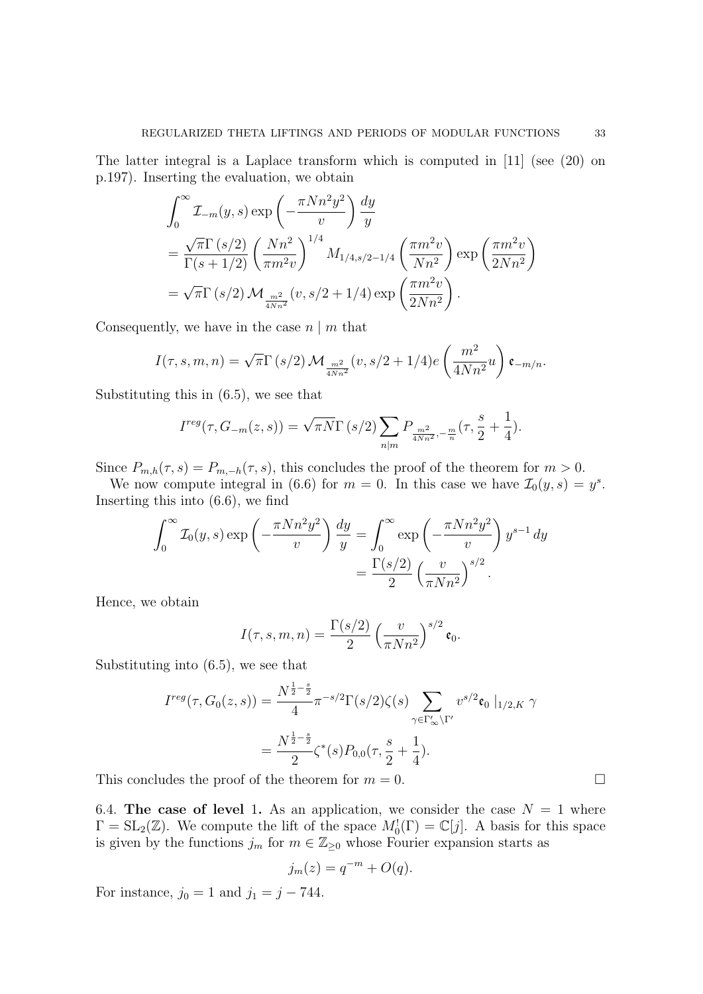The latter integral is a Laplace transform which is computed in [11] (see (20) on p.197). Inserting the evaluation, we obtain

$$
\int_0^{\infty} \mathcal{I}_{-m}(y,s) \exp\left(-\frac{\pi N n^2 y^2}{v}\right) \frac{dy}{y}
$$
  
=  $\frac{\sqrt{\pi} \Gamma(s/2)}{\Gamma(s+1/2)} \left(\frac{N n^2}{\pi m^2 v}\right)^{1/4} M_{1/4,s/2-1/4} \left(\frac{\pi m^2 v}{N n^2}\right) \exp\left(\frac{\pi m^2 v}{2 N n^2}\right)$   
=  $\sqrt{\pi} \Gamma(s/2) \mathcal{M}_{\frac{m^2}{4N n^2}}(v, s/2 + 1/4) \exp\left(\frac{\pi m^2 v}{2 N n^2}\right).$ 

Consequently, we have in the case  $n \mid m$  that

$$
I(\tau, s, m, n) = \sqrt{\pi} \Gamma(s/2) \mathcal{M}_{\frac{m^2}{4Nn^2}}(v, s/2 + 1/4) e\left(\frac{m^2}{4Nn^2}u\right) \mathfrak{e}_{-m/n}.
$$

Substituting this in (6.5), we see that

$$
I^{reg}(\tau, G_{-m}(z, s)) = \sqrt{\pi N} \Gamma(s/2) \sum_{n|m} P_{\frac{m^2}{4Nn^2}, -\frac{m}{n}}(\tau, \frac{s}{2} + \frac{1}{4}).
$$

Since  $P_{m,h}(\tau,s) = P_{m,-h}(\tau,s)$ , this concludes the proof of the theorem for  $m > 0$ .

We now compute integral in (6.6) for  $m = 0$ . In this case we have  $\mathcal{I}_0(y, s) = y^s$ . Inserting this into (6.6), we find

$$
\int_0^\infty \mathcal{I}_0(y,s) \exp\left(-\frac{\pi N n^2 y^2}{v}\right) \frac{dy}{y} = \int_0^\infty \exp\left(-\frac{\pi N n^2 y^2}{v}\right) y^{s-1} dy
$$

$$
= \frac{\Gamma(s/2)}{2} \left(\frac{v}{\pi N n^2}\right)^{s/2}.
$$

Hence, we obtain

$$
I(\tau, s, m, n) = \frac{\Gamma(s/2)}{2} \left(\frac{v}{\pi N n^2}\right)^{s/2} \mathfrak{e}_0.
$$

Substituting into (6.5), we see that

$$
I^{reg}(\tau, G_0(z, s)) = \frac{N^{\frac{1}{2} - \frac{s}{2}}}{4} \pi^{-s/2} \Gamma(s/2) \zeta(s) \sum_{\gamma \in \Gamma'_{\infty} \backslash \Gamma'} v^{s/2} \mathfrak{e}_{0} |_{1/2, K} \gamma
$$
  
= 
$$
\frac{N^{\frac{1}{2} - \frac{s}{2}}}{2} \zeta^{*}(s) P_{0,0}(\tau, \frac{s}{2} + \frac{1}{4}).
$$

This concludes the proof of the theorem for  $m = 0$ .

6.4. The case of level 1. As an application, we consider the case  $N = 1$  where  $\Gamma = SL_2(\mathbb{Z})$ . We compute the lift of the space  $M_0^1(\Gamma) = \mathbb{C}[j]$ . A basis for this space is given by the functions  $j_m$  for  $m \in \mathbb{Z}_{\geq 0}$  whose Fourier expansion starts as

$$
j_m(z) = q^{-m} + O(q).
$$

For instance,  $j_0 = 1$  and  $j_1 = j - 744$ .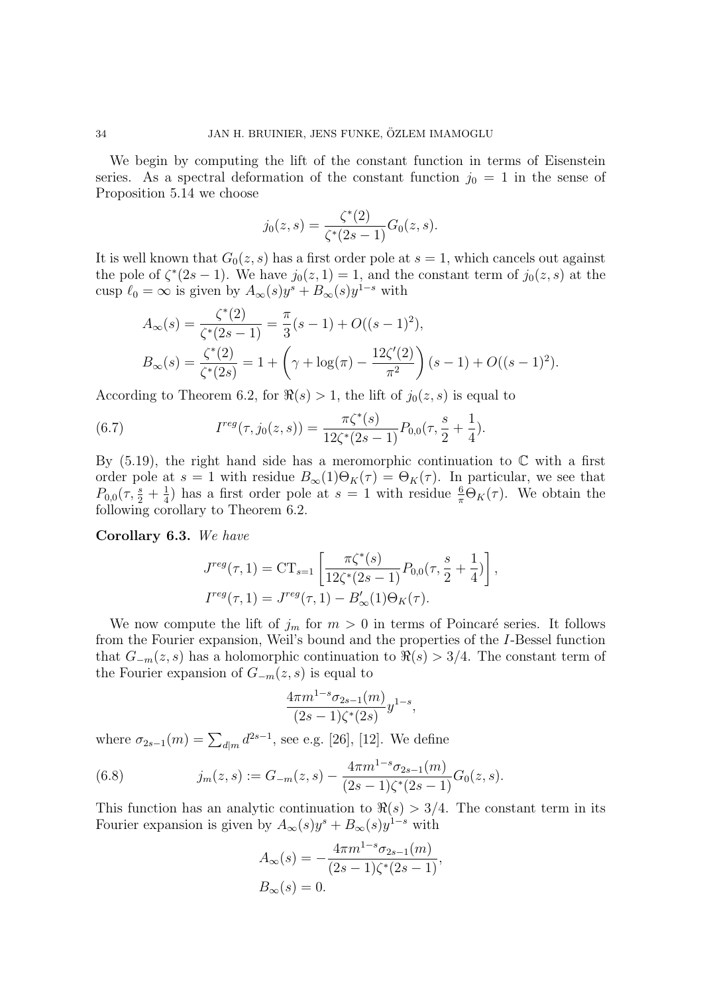We begin by computing the lift of the constant function in terms of Eisenstein series. As a spectral deformation of the constant function  $j_0 = 1$  in the sense of Proposition 5.14 we choose

$$
j_0(z,s) = \frac{\zeta^*(2)}{\zeta^*(2s-1)} G_0(z,s).
$$

It is well known that  $G_0(z, s)$  has a first order pole at  $s = 1$ , which cancels out against the pole of  $\zeta^*(2s-1)$ . We have  $j_0(z,1)=1$ , and the constant term of  $j_0(z,s)$  at the cusp  $\ell_0 = \infty$  is given by  $A_\infty(s)y^s + B_\infty(s)y^{1-s}$  with

$$
A_{\infty}(s) = \frac{\zeta^*(2)}{\zeta^*(2s - 1)} = \frac{\pi}{3}(s - 1) + O((s - 1)^2),
$$
  
\n
$$
B_{\infty}(s) = \frac{\zeta^*(2)}{\zeta^*(2s)} = 1 + \left(\gamma + \log(\pi) - \frac{12\zeta'(2)}{\pi^2}\right)(s - 1) + O((s - 1)^2).
$$

According to Theorem 6.2, for  $\Re(s) > 1$ , the lift of  $j_0(z, s)$  is equal to

(6.7) 
$$
I^{reg}(\tau, j_0(z, s)) = \frac{\pi \zeta^*(s)}{12\zeta^*(2s - 1)} P_{0,0}(\tau, \frac{s}{2} + \frac{1}{4}).
$$

By  $(5.19)$ , the right hand side has a meromorphic continuation to  $\mathbb C$  with a first order pole at  $s = 1$  with residue  $B_{\infty}(1)\Theta_K(\tau) = \Theta_K(\tau)$ . In particular, we see that  $P_{0,0}(\tau,\frac{s}{2}+\frac{1}{4})$  $\frac{1}{4}$ ) has a first order pole at  $s = 1$  with residue  $\frac{6}{\pi} \Theta_K(\tau)$ . We obtain the following corollary to Theorem 6.2.

Corollary 6.3. We have

$$
J^{reg}(\tau, 1) = CT_{s=1} \left[ \frac{\pi \zeta^*(s)}{12\zeta^*(2s-1)} P_{0,0}(\tau, \frac{s}{2} + \frac{1}{4}) \right],
$$
  

$$
I^{reg}(\tau, 1) = J^{reg}(\tau, 1) - B'_{\infty}(1)\Theta_K(\tau).
$$

We now compute the lift of  $j_m$  for  $m > 0$  in terms of Poincaré series. It follows from the Fourier expansion, Weil's bound and the properties of the I-Bessel function that  $G_{-m}(z, s)$  has a holomorphic continuation to  $\Re(s) > 3/4$ . The constant term of the Fourier expansion of  $G_{-m}(z, s)$  is equal to

$$
\frac{4\pi m^{1-s}\sigma_{2s-1}(m)}{(2s-1)\zeta^*(2s)}y^{1-s},
$$

where  $\sigma_{2s-1}(m) = \sum_{d|m} d^{2s-1}$ , see e.g. [26], [12]. We define

(6.8) 
$$
j_m(z,s) := G_{-m}(z,s) - \frac{4\pi m^{1-s} \sigma_{2s-1}(m)}{(2s-1)\zeta^*(2s-1)} G_0(z,s).
$$

This function has an analytic continuation to  $\Re(s) > 3/4$ . The constant term in its Fourier expansion is given by  $A_{\infty}(s)y^{s} + B_{\infty}(s)y^{1-s}$  with

$$
A_{\infty}(s) = -\frac{4\pi m^{1-s} \sigma_{2s-1}(m)}{(2s-1)\zeta^*(2s-1)},
$$
  
\n
$$
B_{\infty}(s) = 0.
$$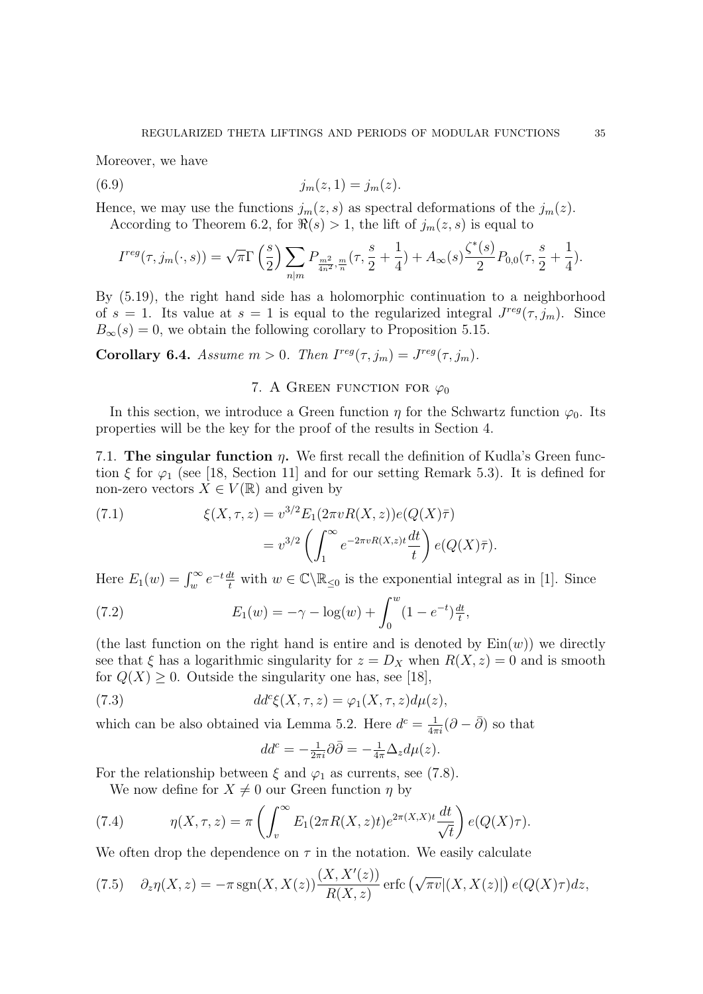Moreover, we have

(6.9) 
$$
j_m(z,1) = j_m(z).
$$

Hence, we may use the functions  $j_m(z, s)$  as spectral deformations of the  $j_m(z)$ . According to Theorem 6.2, for  $\Re(s) > 1$ , the lift of  $j_m(z, s)$  is equal to

$$
I^{reg}(\tau, j_m(\cdot, s)) = \sqrt{\pi} \Gamma\left(\frac{s}{2}\right) \sum_{n|m} P_{\frac{m^2}{4n^2}, \frac{m}{n}}(\tau, \frac{s}{2} + \frac{1}{4}) + A_{\infty}(s) \frac{\zeta^*(s)}{2} P_{0,0}(\tau, \frac{s}{2} + \frac{1}{4}).
$$

By (5.19), the right hand side has a holomorphic continuation to a neighborhood of  $s = 1$ . Its value at  $s = 1$  is equal to the regularized integral  $J^{reg}(\tau, j_m)$ . Since  $B_{\infty}(s) = 0$ , we obtain the following corollary to Proposition 5.15.

**Corollary 6.4.** Assume  $m > 0$ . Then  $I^{reg}(\tau, j_m) = J^{reg}(\tau, j_m)$ .

## 7. A GREEN FUNCTION FOR  $\varphi_0$

In this section, we introduce a Green function  $\eta$  for the Schwartz function  $\varphi_0$ . Its properties will be the key for the proof of the results in Section 4.

7.1. The singular function  $\eta$ . We first recall the definition of Kudla's Green function  $\xi$  for  $\varphi_1$  (see [18, Section 11] and for our setting Remark 5.3). It is defined for non-zero vectors  $X \in V(\mathbb{R})$  and given by

(7.1) 
$$
\xi(X,\tau,z) = v^{3/2} E_1(2\pi v R(X,z)) e(Q(X)\bar{\tau}) \n= v^{3/2} \left( \int_1^\infty e^{-2\pi v R(X,z)t} \frac{dt}{t} \right) e(Q(X)\bar{\tau}).
$$

Here  $E_1(w) = \int_w^{\infty} e^{-t} \frac{dt}{t}$  with  $w \in \mathbb{C} \setminus \mathbb{R}_{\leq 0}$  is the exponential integral as in [1]. Since

(7.2) 
$$
E_1(w) = -\gamma - \log(w) + \int_0^w (1 - e^{-t}) \frac{dt}{t},
$$

(the last function on the right hand is entire and is denoted by  $\text{Ein}(w)$ ) we directly see that  $\xi$  has a logarithmic singularity for  $z = D_X$  when  $R(X, z) = 0$  and is smooth for  $Q(X) \geq 0$ . Outside the singularity one has, see [18],

(7.3) 
$$
dd^c\xi(X,\tau,z)=\varphi_1(X,\tau,z)d\mu(z),
$$

which can be also obtained via Lemma 5.2. Here  $d^c = \frac{1}{4\pi i} (\partial - \bar{\partial})$  so that

$$
dd^c = -\frac{1}{2\pi i}\partial\bar{\partial} = -\frac{1}{4\pi}\Delta_z d\mu(z).
$$

For the relationship between  $\xi$  and  $\varphi_1$  as currents, see (7.8).

We now define for  $X \neq 0$  our Green function  $\eta$  by

(7.4) 
$$
\eta(X,\tau,z) = \pi \left( \int_v^{\infty} E_1(2\pi R(X,z)t) e^{2\pi(X,X)t} \frac{dt}{\sqrt{t}} \right) e(Q(X)\tau).
$$

We often drop the dependence on  $\tau$  in the notation. We easily calculate

(7.5) 
$$
\partial_z \eta(X, z) = -\pi \operatorname{sgn}(X, X(z)) \frac{(X, X'(z))}{R(X, z)} \operatorname{erfc} \left( \sqrt{\pi v} |(X, X(z)|) e(Q(X)\tau) dz \right)
$$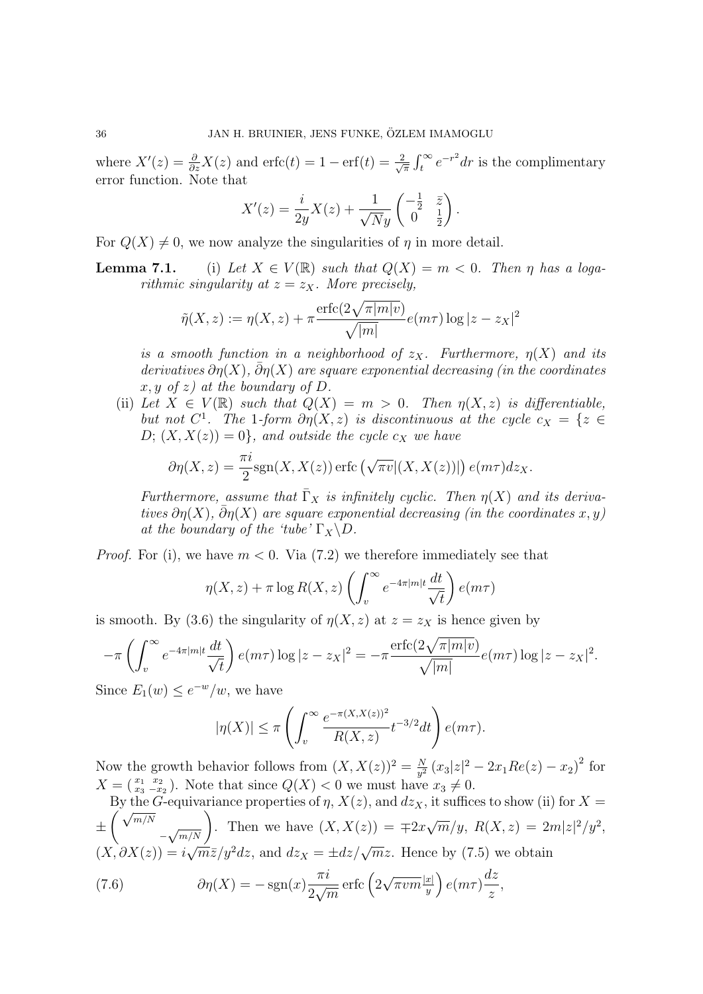where  $X'(z) = \frac{\partial}{\partial z}X(z)$  and  $\text{erfc}(t) = 1 - \text{erf}(t) = \frac{2}{\sqrt{3}}$  $\frac{2}{\pi} \int_t^{\infty} e^{-r^2} dr$  is the complimentary error function. Note that

$$
X'(z) = \frac{i}{2y}X(z) + \frac{1}{\sqrt{N}y} \begin{pmatrix} -\frac{1}{2} & \overline{z} \\ 0 & \frac{1}{2} \end{pmatrix}.
$$

For  $Q(X) \neq 0$ , we now analyze the singularities of  $\eta$  in more detail.

**Lemma 7.1.** (i) Let  $X \in V(\mathbb{R})$  such that  $Q(X) = m < 0$ . Then  $\eta$  has a logarithmic singularity at  $z = z<sub>X</sub>$ . More precisely,

$$
\tilde{\eta}(X, z) := \eta(X, z) + \pi \frac{\operatorname{erfc}(2\sqrt{\pi |m|v})}{\sqrt{|m|}} e(m\tau) \log|z - z_X|^2
$$

is a smooth function in a neighborhood of  $z_X$ . Furthermore,  $\eta(X)$  and its derivatives  $\partial \eta(X)$ ,  $\bar{\partial} \eta(X)$  are square exponential decreasing (in the coordinates  $x, y \text{ of } z$  at the boundary of D.

(ii) Let  $X \in V(\mathbb{R})$  such that  $Q(X) = m > 0$ . Then  $\eta(X, z)$  is differentiable, but not  $C^1$ . The 1-form  $\partial \eta(X, z)$  is discontinuous at the cycle  $c_X = \{z \in$  $D; (X, X(z)) = 0$ , and outside the cycle  $c_X$  we have

$$
\partial \eta(X, z) = \frac{\pi i}{2} \text{sgn}(X, X(z)) \operatorname{erfc} \left( \sqrt{\pi v} |(X, X(z))| \right) e(m\tau) dz_X.
$$

Furthermore, assume that  $\overline{\Gamma}_X$  is infinitely cyclic. Then  $\eta(X)$  and its derivatives  $\partial \eta(X)$ ,  $\bar{\partial} \eta(X)$  are square exponential decreasing (in the coordinates x, y) at the boundary of the 'tube'  $\Gamma_X \backslash D$ .

*Proof.* For (i), we have  $m < 0$ . Via (7.2) we therefore immediately see that

$$
\eta(X, z) + \pi \log R(X, z) \left( \int_v^{\infty} e^{-4\pi |m| t} \frac{dt}{\sqrt{t}} \right) e(m\tau)
$$

is smooth. By (3.6) the singularity of  $\eta(X, z)$  at  $z = z_X$  is hence given by

$$
-\pi \left( \int_v^{\infty} e^{-4\pi |m|t} \frac{dt}{\sqrt{t}} \right) e(m\tau) \log |z - z_X|^2 = -\pi \frac{\text{erfc}(2\sqrt{\pi |m|v})}{\sqrt{|m|}} e(m\tau) \log |z - z_X|^2.
$$

Since  $E_1(w) \leq e^{-w}/w$ , we have

$$
|\eta(X)| \le \pi \left( \int_v^\infty \frac{e^{-\pi(X,X(z))^2}}{R(X,z)} t^{-3/2} dt \right) e(m\tau).
$$

Now the growth behavior follows from  $(X, X(z))^2 = \frac{N}{n^2}$  $\frac{N}{y^2}(x_3|z|^2 - 2x_1Re(z) - x_2)^2$  for  $X = \begin{pmatrix} x_1 & x_2 \ x_3 & -x_2 \end{pmatrix}$ . Note that since  $Q(X) < 0$  we must have  $x_3 \neq 0$ .

By the G-equivariance properties of  $\eta$ ,  $X(z)$ , and  $dz<sub>X</sub>$ , it suffices to show (ii) for  $X =$ ±  $\frac{Dy \text{ the}}{\sqrt{m/N}}$  $\left(\frac{1}{\sqrt{m/N}}\right)$ . Then we have  $(X, X(z)) = \pm 2x$ √  $\overline{m}/y, R(X, z) = 2m|z|^2/y^2,$  $(X, \partial X(z)) = i\sqrt{m}\bar{z}/y^2 dz$ , and  $dz_X = \pm dz/\sqrt{m}z$ . Hence by (7.5) we obtain √

(7.6) 
$$
\partial \eta(X) = -\operatorname{sgn}(x) \frac{\pi i}{2\sqrt{m}} \operatorname{erfc} \left( 2\sqrt{\pi v m} \frac{|x|}{y} \right) e(m\tau) \frac{dz}{z},
$$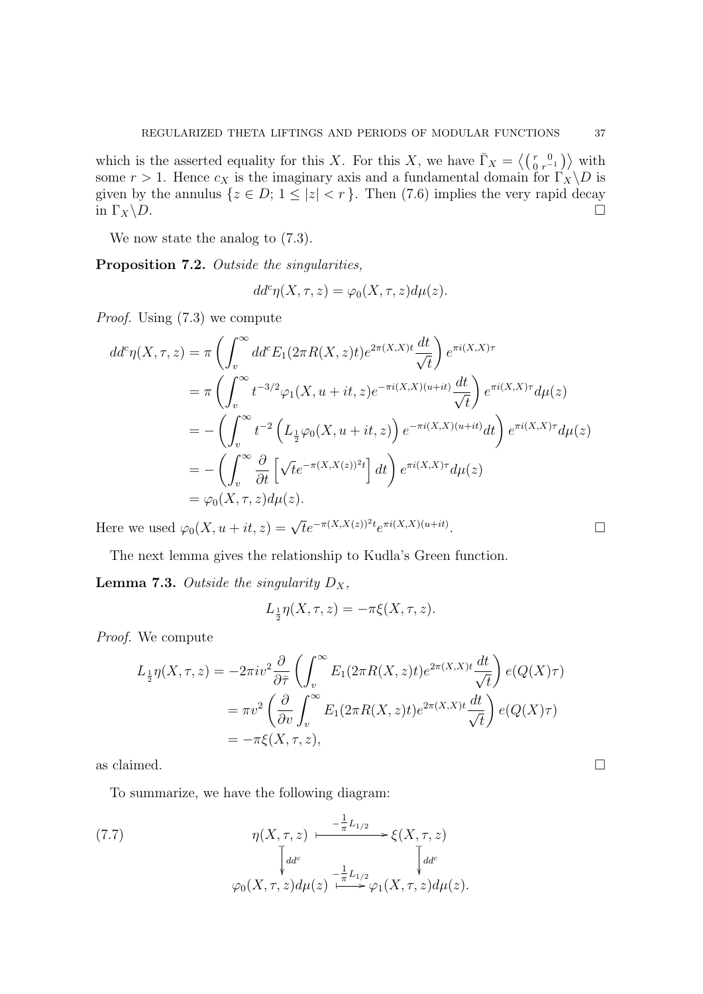which is the asserted equality for this X. For this X, we have  $\bar{\Gamma}_X = \langle \begin{pmatrix} r & 0 \\ 0 & r^{-1} \end{pmatrix} \rangle$  with some  $r > 1$ . Hence  $c_X$  is the imaginary axis and a fundamental domain for  $\Gamma_X \backslash D$  is given by the annulus  $\{z \in D; 1 \leq |z| < r\}$ . Then (7.6) implies the very rapid decay in  $\Gamma_X \backslash D$ .

We now state the analog to  $(7.3)$ .

Proposition 7.2. Outside the singularities,

$$
dd^c \eta(X, \tau, z) = \varphi_0(X, \tau, z) d\mu(z).
$$

Proof. Using (7.3) we compute

$$
dd^{c}\eta(X,\tau,z) = \pi \left( \int_{v}^{\infty} dd^{c}E_{1}(2\pi R(X,z)t)e^{2\pi(X,X)t} \frac{dt}{\sqrt{t}} \right) e^{\pi i(X,X)\tau}
$$
  
\n
$$
= \pi \left( \int_{v}^{\infty} t^{-3/2} \varphi_{1}(X, u+it, z)e^{-\pi i(X,X)(u+it)} \frac{dt}{\sqrt{t}} \right) e^{\pi i(X,X)\tau} d\mu(z)
$$
  
\n
$$
= - \left( \int_{v}^{\infty} t^{-2} \left( L_{\frac{1}{2}}\varphi_{0}(X, u+it, z) \right) e^{-\pi i(X,X)(u+it)} dt \right) e^{\pi i(X,X)\tau} d\mu(z)
$$
  
\n
$$
= - \left( \int_{v}^{\infty} \frac{\partial}{\partial t} \left[ \sqrt{t}e^{-\pi(X,X(z))^{2}t} \right] dt \right) e^{\pi i(X,X)\tau} d\mu(z)
$$
  
\n
$$
= \varphi_{0}(X, \tau, z) d\mu(z).
$$

Here we used  $\varphi_0(X, u + it, z) = \sqrt{t}e^{-\pi(X, X(z))^2 t}e^{\pi i(X, X)(u+it)}$ .

The next lemma gives the relationship to Kudla's Green function.

**Lemma 7.3.** Outside the singularity  $D_X$ ,

$$
L_{\frac{1}{2}}\eta(X,\tau,z) = -\pi\xi(X,\tau,z).
$$

Proof. We compute

$$
L_{\frac{1}{2}}\eta(X,\tau,z) = -2\pi i v^2 \frac{\partial}{\partial \overline{\tau}} \left( \int_v^{\infty} E_1(2\pi R(X,z)t) e^{2\pi(X,X)t} \frac{dt}{\sqrt{t}} \right) e(Q(X)\tau)
$$
  
=  $\pi v^2 \left( \frac{\partial}{\partial v} \int_v^{\infty} E_1(2\pi R(X,z)t) e^{2\pi(X,X)t} \frac{dt}{\sqrt{t}} \right) e(Q(X)\tau)$   
=  $-\pi \xi(X,\tau,z),$ 

as claimed.  $\Box$ 

To summarize, we have the following diagram:

(7.7) 
$$
\eta(X,\tau,z) \longmapsto \frac{-\frac{1}{\pi}L_{1/2}}{\sqrt{\det{\frac{1}{\pi}L_{1/2}}}} \xi(X,\tau,z) \frac{\tau}{\sqrt{\det{\frac{1}{\pi}L_{1/2}}}} \xi(X,\tau,z) d\mu(z).
$$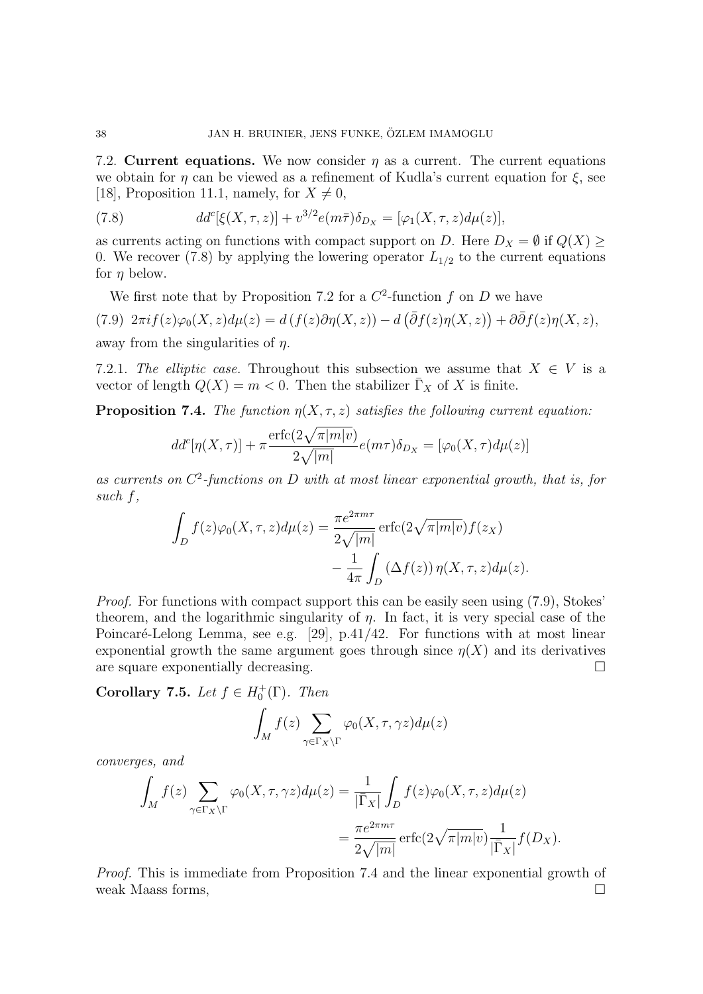7.2. Current equations. We now consider  $\eta$  as a current. The current equations we obtain for  $\eta$  can be viewed as a refinement of Kudla's current equation for  $\xi$ , see [18], Proposition 11.1, namely, for  $X \neq 0$ ,

(7.8) 
$$
dd^{c}[\xi(X,\tau,z)] + v^{3/2}e(m\bar{\tau})\delta_{D_X} = [\varphi_1(X,\tau,z)d\mu(z)],
$$

as currents acting on functions with compact support on D. Here  $D_X = \emptyset$  if  $Q(X) \geq$ 0. We recover (7.8) by applying the lowering operator  $L_{1/2}$  to the current equations for  $\eta$  below.

We first note that by Proposition 7.2 for a  $C^2$ -function f on D we have (7.9)  $2\pi i f(z)\varphi_0(X, z)d\mu(z) = d(f(z)\partial \eta(X, z)) - d(\bar{\partial}f(z)\eta(X, z)) + \partial \bar{\partial}f(z)\eta(X, z),$ away from the singularities of  $n$ .

7.2.1. The elliptic case. Throughout this subsection we assume that  $X \in V$  is a vector of length  $Q(X) = m < 0$ . Then the stabilizer  $\overline{\Gamma}_X$  of X is finite.

**Proposition 7.4.** The function  $\eta(X, \tau, z)$  satisfies the following current equation:

$$
dd^c[\eta(X,\tau)] + \pi \frac{\text{erfc}(2\sqrt{\pi|m|v})}{2\sqrt{|m|}} e(m\tau)\delta_{D_X} = [\varphi_0(X,\tau)d\mu(z)]
$$

as currents on  $C^2$ -functions on D with at most linear exponential growth, that is, for such f,

$$
\int_{D} f(z)\varphi_{0}(X,\tau,z)d\mu(z) = \frac{\pi e^{2\pi m\tau}}{2\sqrt{|m|}} \operatorname{erfc}(2\sqrt{\pi |m|v})f(z_{X})
$$

$$
-\frac{1}{4\pi} \int_{D} (\Delta f(z)) \eta(X,\tau,z)d\mu(z).
$$

Proof. For functions with compact support this can be easily seen using (7.9), Stokes' theorem, and the logarithmic singularity of  $\eta$ . In fact, it is very special case of the Poincaré-Lelong Lemma, see e.g.  $[29]$ , p.41/42. For functions with at most linear exponential growth the same argument goes through since  $\eta(X)$  and its derivatives are square exponentially decreasing.

Corollary 7.5. Let  $f \in H_0^+(\Gamma)$ . Then

$$
\int_M f(z) \sum_{\gamma \in \Gamma_X \backslash \Gamma} \varphi_0(X, \tau, \gamma z) d\mu(z)
$$

converges, and

$$
\int_M f(z) \sum_{\gamma \in \Gamma_X \backslash \Gamma} \varphi_0(X, \tau, \gamma z) d\mu(z) = \frac{1}{|\overline{\Gamma}_X|} \int_D f(z) \varphi_0(X, \tau, z) d\mu(z)
$$

$$
= \frac{\pi e^{2\pi m\tau}}{2\sqrt{|m|}} \operatorname{erfc}(2\sqrt{\pi |m|v}) \frac{1}{|\overline{\Gamma}_X|} f(D_X).
$$

Proof. This is immediate from Proposition 7.4 and the linear exponential growth of weak Maass forms,  $\square$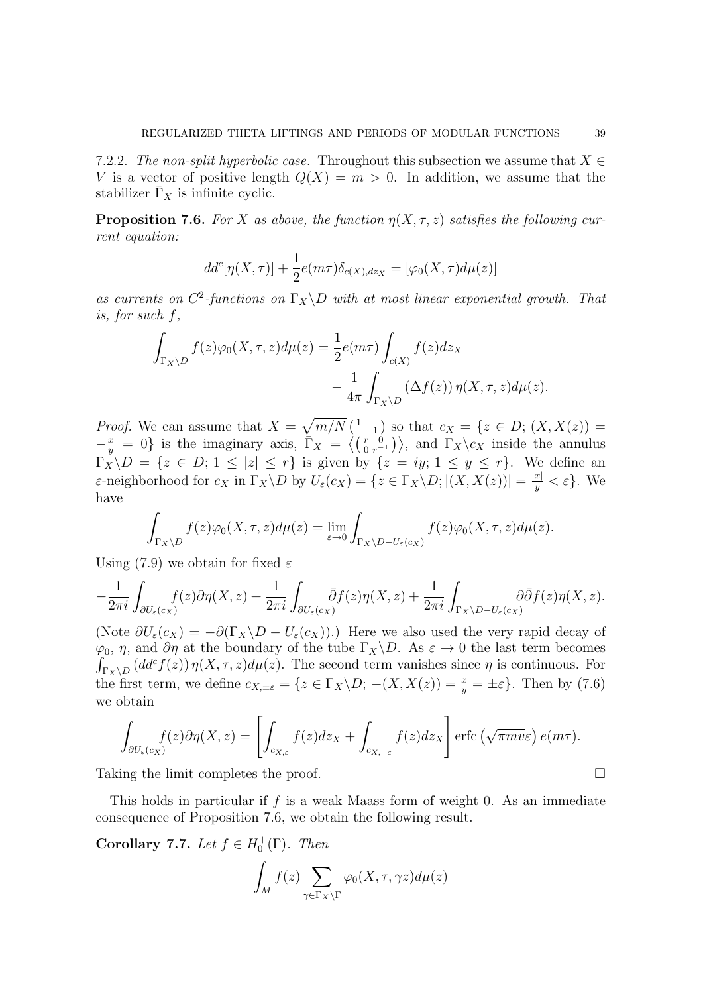7.2.2. The non-split hyperbolic case. Throughout this subsection we assume that  $X \in$ V is a vector of positive length  $Q(X) = m > 0$ . In addition, we assume that the stabilizer  $\Gamma_X$  is infinite cyclic.

**Proposition 7.6.** For X as above, the function  $\eta(X, \tau, z)$  satisfies the following current equation:

$$
dd^{c}[\eta(X,\tau)] + \frac{1}{2}e(m\tau)\delta_{c(X),dz_X} = [\varphi_0(X,\tau)d\mu(z)]
$$

as currents on  $C^2$ -functions on  $\Gamma_X \backslash D$  with at most linear exponential growth. That is, for such f,

$$
\int_{\Gamma_X \backslash D} f(z) \varphi_0(X, \tau, z) d\mu(z) = \frac{1}{2} e(m\tau) \int_{c(X)} f(z) dz_X \n- \frac{1}{4\pi} \int_{\Gamma_X \backslash D} (\Delta f(z)) \eta(X, \tau, z) d\mu(z).
$$

*Proof.* We can assume that  $X = \sqrt{m/N} \begin{pmatrix} 1 & 1 \end{pmatrix}$  so that  $c_X = \{z \in D; (X, X(z)) =$  $-\frac{x}{y}$  $\frac{x}{y} = 0$  is the imaginary axis,  $\overline{\Gamma}_X = \langle (\frac{r}{0} \frac{0}{r-1}) \rangle$ , and  $\Gamma_X \backslash c_X$  inside the annulus  $\Gamma_X \backslash D = \{z \in D; 1 \leq |z| \leq r\}$  is given by  $\{z = iy; 1 \leq y \leq r\}$ . We define an ε-neighborhood for  $c_X$  in  $\Gamma_X \backslash D$  by  $U_\varepsilon(c_X) = \{z \in \Gamma_X \backslash D; |(X, X(z))| = \frac{|x|}{|y|}$  $\frac{x_1}{y} < \varepsilon$ . We have

$$
\int_{\Gamma_X \backslash D} f(z) \varphi_0(X, \tau, z) d\mu(z) = \lim_{\varepsilon \to 0} \int_{\Gamma_X \backslash D - U_{\varepsilon}(c_X)} f(z) \varphi_0(X, \tau, z) d\mu(z).
$$

Using (7.9) we obtain for fixed  $\varepsilon$ 

$$
-\frac{1}{2\pi i}\int_{\partial U_{\varepsilon}(c_X)} f(z)\partial \eta(X,z)+\frac{1}{2\pi i}\int_{\partial U_{\varepsilon}(c_X)} \bar{\partial}f(z)\eta(X,z)+\frac{1}{2\pi i}\int_{\Gamma_X\setminus D-U_{\varepsilon}(c_X)} \partial \bar{\partial}f(z)\eta(X,z).
$$

(Note  $\partial U_{\varepsilon}(c_X) = -\partial (\Gamma_X \backslash D - U_{\varepsilon}(c_X)).$ ) Here we also used the very rapid decay of  $\varphi_0$ ,  $\eta$ , and  $\partial \eta$  at the boundary of the tube  $\Gamma_X \backslash D$ . As  $\varepsilon \to 0$  the last term becomes  $\int_{\Gamma_X \backslash D} (dd^c f(z)) \eta(X, \tau, z) d\mu(z)$ . The second term vanishes since  $\eta$  is continuous. For the first term, we define  $c_{X,\pm\varepsilon} = \{z \in \Gamma_X \backslash D; -(X,X(z)) = \frac{x}{y} = \pm \varepsilon\}.$  Then by (7.6) we obtain

$$
\int_{\partial U_{\varepsilon}(c_X)} f(z) \partial \eta(X, z) = \left[ \int_{c_{X, \varepsilon}} f(z) dz_X + \int_{c_{X, -\varepsilon}} f(z) dz_X \right] \operatorname{erfc} \left( \sqrt{\pi m v \varepsilon} \right) e(m\tau).
$$

Taking the limit completes the proof.

This holds in particular if f is a weak Maass form of weight 0. As an immediate consequence of Proposition 7.6, we obtain the following result.

Corollary 7.7. Let  $f \in H_0^+(\Gamma)$ . Then

$$
\int_M f(z) \sum_{\gamma \in \Gamma_X \backslash \Gamma} \varphi_0(X, \tau, \gamma z) d\mu(z)
$$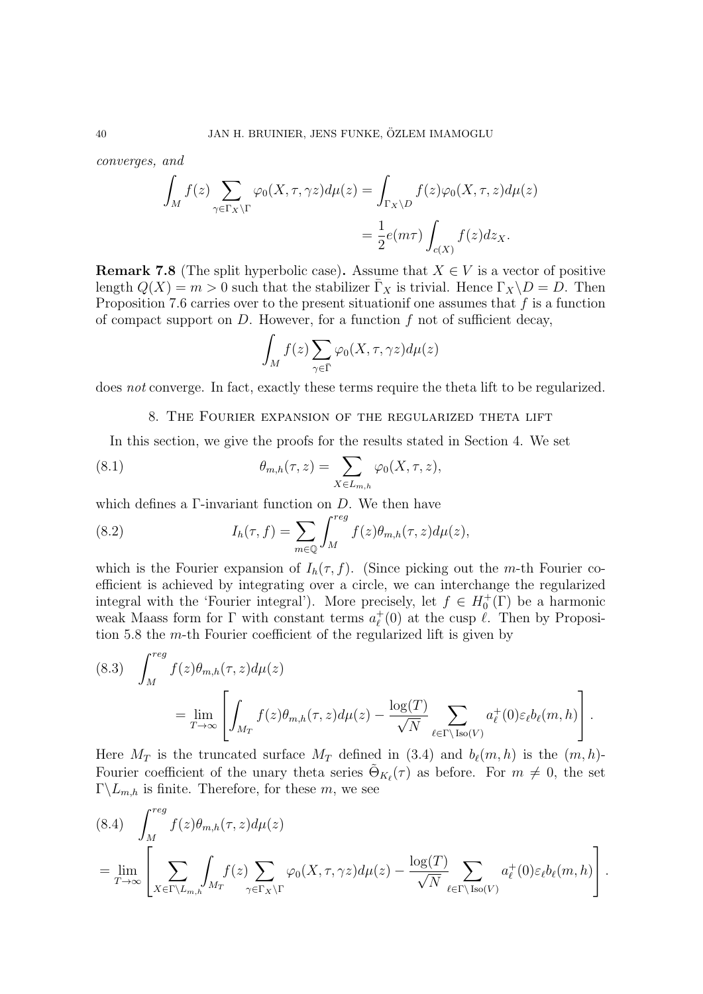converges, and

$$
\int_M f(z) \sum_{\gamma \in \Gamma_X \backslash \Gamma} \varphi_0(X, \tau, \gamma z) d\mu(z) = \int_{\Gamma_X \backslash D} f(z) \varphi_0(X, \tau, z) d\mu(z)
$$

$$
= \frac{1}{2} e(m\tau) \int_{c(X)} f(z) dz_X.
$$

**Remark 7.8** (The split hyperbolic case). Assume that  $X \in V$  is a vector of positive length  $Q(X) = m > 0$  such that the stabilizer  $\overline{\Gamma}_X$  is trivial. Hence  $\Gamma_X \backslash D = D$ . Then Proposition 7.6 carries over to the present situation one assumes that  $f$  is a function of compact support on  $D$ . However, for a function  $f$  not of sufficient decay,

$$
\int_M f(z) \sum_{\gamma \in \bar{\Gamma}} \varphi_0(X, \tau, \gamma z) d\mu(z)
$$

does not converge. In fact, exactly these terms require the theta lift to be regularized.

#### 8. The Fourier expansion of the regularized theta lift

In this section, we give the proofs for the results stated in Section 4. We set

(8.1) 
$$
\theta_{m,h}(\tau,z) = \sum_{X \in L_{m,h}} \varphi_0(X,\tau,z),
$$

which defines a  $\Gamma$ -invariant function on D. We then have

(8.2) 
$$
I_h(\tau, f) = \sum_{m \in \mathbb{Q}} \int_M^{reg} f(z) \theta_{m,h}(\tau, z) d\mu(z),
$$

which is the Fourier expansion of  $I_h(\tau, f)$ . (Since picking out the *m*-th Fourier coefficient is achieved by integrating over a circle, we can interchange the regularized integral with the 'Fourier integral'). More precisely, let  $f \in H_0^+(\Gamma)$  be a harmonic weak Maass form for  $\Gamma$  with constant terms  $a_{\ell}^+$  $\ell$ <sup>+</sup>(0) at the cusp  $\ell$ . Then by Proposition 5.8 the m-th Fourier coefficient of the regularized lift is given by

(8.3) 
$$
\int_{M}^{reg} f(z)\theta_{m,h}(\tau,z)d\mu(z)
$$
  
= 
$$
\lim_{T \to \infty} \left[ \int_{M_T} f(z)\theta_{m,h}(\tau,z)d\mu(z) - \frac{\log(T)}{\sqrt{N}} \sum_{\ell \in \Gamma \backslash \text{Iso}(V)} a_{\ell}^{+}(0)\varepsilon_{\ell}b_{\ell}(m,h) \right].
$$

Here  $M_T$  is the truncated surface  $M_T$  defined in (3.4) and  $b_{\ell}(m, h)$  is the  $(m, h)$ -Fourier coefficient of the unary theta series  $\tilde{\Theta}_{K_{\ell}}(\tau)$  as before. For  $m \neq 0$ , the set  $\Gamma\backslash L_{m,h}$  is finite. Therefore, for these m, we see

$$
(8.4) \int_M^{reg} f(z)\theta_{m,h}(\tau,z)d\mu(z)
$$
  
= 
$$
\lim_{T \to \infty} \left[ \sum_{X \in \Gamma \backslash L_{m,h}} \int_{M_T} f(z) \sum_{\gamma \in \Gamma_X \backslash \Gamma} \varphi_0(X,\tau,\gamma z)d\mu(z) - \frac{\log(T)}{\sqrt{N}} \sum_{\ell \in \Gamma \backslash \text{Iso}(V)} a_{\ell}^+(0)\varepsilon_{\ell}b_{\ell}(m,h) \right].
$$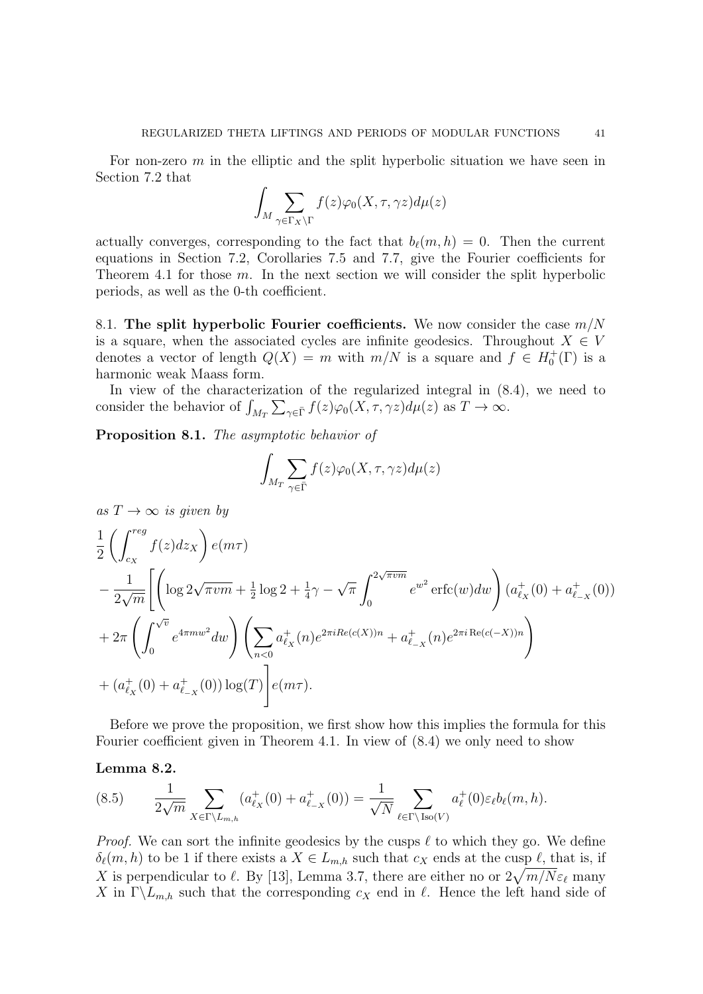For non-zero  $m$  in the elliptic and the split hyperbolic situation we have seen in Section 7.2 that

$$
\int_M \sum_{\gamma \in \Gamma_X \backslash \Gamma} f(z) \varphi_0(X, \tau, \gamma z) d\mu(z)
$$

actually converges, corresponding to the fact that  $b_{\ell}(m, h) = 0$ . Then the current equations in Section 7.2, Corollaries 7.5 and 7.7, give the Fourier coefficients for Theorem 4.1 for those  $m$ . In the next section we will consider the split hyperbolic periods, as well as the 0-th coefficient.

8.1. The split hyperbolic Fourier coefficients. We now consider the case  $m/N$ is a square, when the associated cycles are infinite geodesics. Throughout  $X \in V$ denotes a vector of length  $Q(X) = m$  with  $m/N$  is a square and  $f \in H_0^+(\Gamma)$  is a harmonic weak Maass form.

In view of the characterization of the regularized integral in (8.4), we need to consider the behavior of  $\int_{M_T} \sum_{\gamma \in \bar{\Gamma}} f(z) \varphi_0(X, \tau, \gamma z) d\mu(z)$  as  $T \to \infty$ .

Proposition 8.1. The asymptotic behavior of

$$
\int_{M_T} \sum_{\gamma \in \bar{\Gamma}} f(z) \varphi_0(X, \tau, \gamma z) d\mu(z)
$$

$$
as T \to \infty \text{ is given by}
$$
\n
$$
\frac{1}{2} \left( \int_{c_X}^{reg} f(z) dz_X \right) e(m\tau)
$$
\n
$$
- \frac{1}{2\sqrt{m}} \left[ \left( \log 2\sqrt{\pi v m} + \frac{1}{2} \log 2 + \frac{1}{4}\gamma - \sqrt{\pi} \int_0^{2\sqrt{\pi v m}} e^{w^2} \text{erfc}(w) dw \right) (a_{\ell_X}^+(0) + a_{\ell_{-X}}^+(0))
$$
\n
$$
+ 2\pi \left( \int_0^{\sqrt{v}} e^{4\pi m w^2} dw \right) \left( \sum_{n<0} a_{\ell_X}^+(n) e^{2\pi i Re(c(X))n} + a_{\ell_{-X}}^+(n) e^{2\pi i Re(c(-X))n} \right)
$$
\n
$$
+ (a_{\ell_X}^+(0) + a_{\ell_{-X}}^+(0)) \log(T) \left[ e(m\tau) \right].
$$

Before we prove the proposition, we first show how this implies the formula for this Fourier coefficient given in Theorem 4.1. In view of (8.4) we only need to show

Lemma 8.2.

$$
(8.5) \qquad \frac{1}{2\sqrt{m}} \sum_{X \in \Gamma \backslash L_{m,h}} (a_{\ell_X}^+(0) + a_{\ell_{-X}}^+(0)) = \frac{1}{\sqrt{N}} \sum_{\ell \in \Gamma \backslash \text{Iso}(V)} a_{\ell}^+(0) \varepsilon_{\ell} b_{\ell}(m,h).
$$

*Proof.* We can sort the infinite geodesics by the cusps  $\ell$  to which they go. We define  $\delta_{\ell}(m, h)$  to be 1 if there exists a  $X \in L_{m,h}$  such that  $c_X$  ends at the cusp  $\ell$ , that is, if X is perpendicular to  $\ell$ . By [13], Lemma 3.7, there are either no or  $2\sqrt{m/N}\varepsilon_\ell$  many X in  $\Gamma\backslash L_{m,h}$  such that the corresponding  $c_X$  end in  $\ell$ . Hence the left hand side of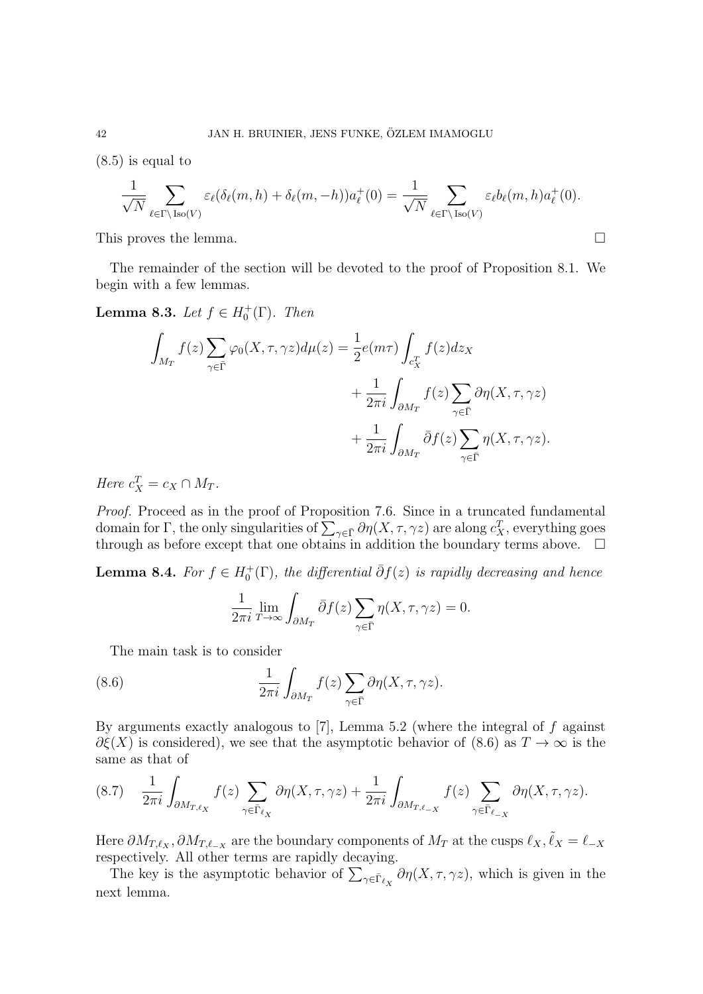(8.5) is equal to

$$
\frac{1}{\sqrt{N}} \sum_{\ell \in \Gamma \backslash \text{Iso}(V)} \varepsilon_{\ell}(\delta_{\ell}(m, h) + \delta_{\ell}(m, -h)) a_{\ell}^{+}(0) = \frac{1}{\sqrt{N}} \sum_{\ell \in \Gamma \backslash \text{Iso}(V)} \varepsilon_{\ell} b_{\ell}(m, h) a_{\ell}^{+}(0).
$$

This proves the lemma.  $\Box$ 

The remainder of the section will be devoted to the proof of Proposition 8.1. We begin with a few lemmas.

**Lemma 8.3.** Let  $f \in H_0^+(\Gamma)$ . Then

$$
\int_{M_T} f(z) \sum_{\gamma \in \bar{\Gamma}} \varphi_0(X, \tau, \gamma z) d\mu(z) = \frac{1}{2} e(m\tau) \int_{c_X^T} f(z) dz_X \n+ \frac{1}{2\pi i} \int_{\partial M_T} f(z) \sum_{\gamma \in \bar{\Gamma}} \partial \eta(X, \tau, \gamma z) \n+ \frac{1}{2\pi i} \int_{\partial M_T} \bar{\partial} f(z) \sum_{\gamma \in \bar{\Gamma}} \eta(X, \tau, \gamma z).
$$

Here  $c_X^T = c_X \cap M_T$ .

Proof. Proceed as in the proof of Proposition 7.6. Since in a truncated fundamental domain for  $\Gamma$ , the only singularities of  $\sum_{\gamma \in \bar{\Gamma}} \partial \eta(X, \tau, \gamma z)$  are along  $c_X^T$ , everything goes through as before except that one obtains in addition the boundary terms above.  $\Box$ 

**Lemma 8.4.** For  $f \in H_0^+(\Gamma)$ , the differential  $\overline{\partial}f(z)$  is rapidly decreasing and hence

$$
\frac{1}{2\pi i} \lim_{T \to \infty} \int_{\partial M_T} \bar{\partial} f(z) \sum_{\gamma \in \bar{\Gamma}} \eta(X, \tau, \gamma z) = 0.
$$

The main task is to consider

(8.6) 
$$
\frac{1}{2\pi i} \int_{\partial M_T} f(z) \sum_{\gamma \in \bar{\Gamma}} \partial \eta(X, \tau, \gamma z).
$$

By arguments exactly analogous to  $[7]$ , Lemma 5.2 (where the integral of f against  $\partial \xi(X)$  is considered), we see that the asymptotic behavior of (8.6) as  $T \to \infty$  is the same as that of

$$
(8.7) \quad \frac{1}{2\pi i} \int_{\partial M_{T,\ell_X}} f(z) \sum_{\gamma \in \bar{\Gamma}_{\ell_X}} \partial \eta(X,\tau,\gamma z) + \frac{1}{2\pi i} \int_{\partial M_{T,\ell_X}} f(z) \sum_{\gamma \in \bar{\Gamma}_{\ell_X}} \partial \eta(X,\tau,\gamma z).
$$

Here  $\partial M_{T,\ell_X}, \partial M_{T,\ell_{-X}}$  are the boundary components of  $M_T$  at the cusps  $\ell_X, \tilde{\ell}_X = \ell_{-X}$ respectively. All other terms are rapidly decaying.

The key is the asymptotic behavior of  $\sum_{\gamma \in \bar{\Gamma}_{\ell_X}} \partial \eta(X, \tau, \gamma z)$ , which is given in the next lemma.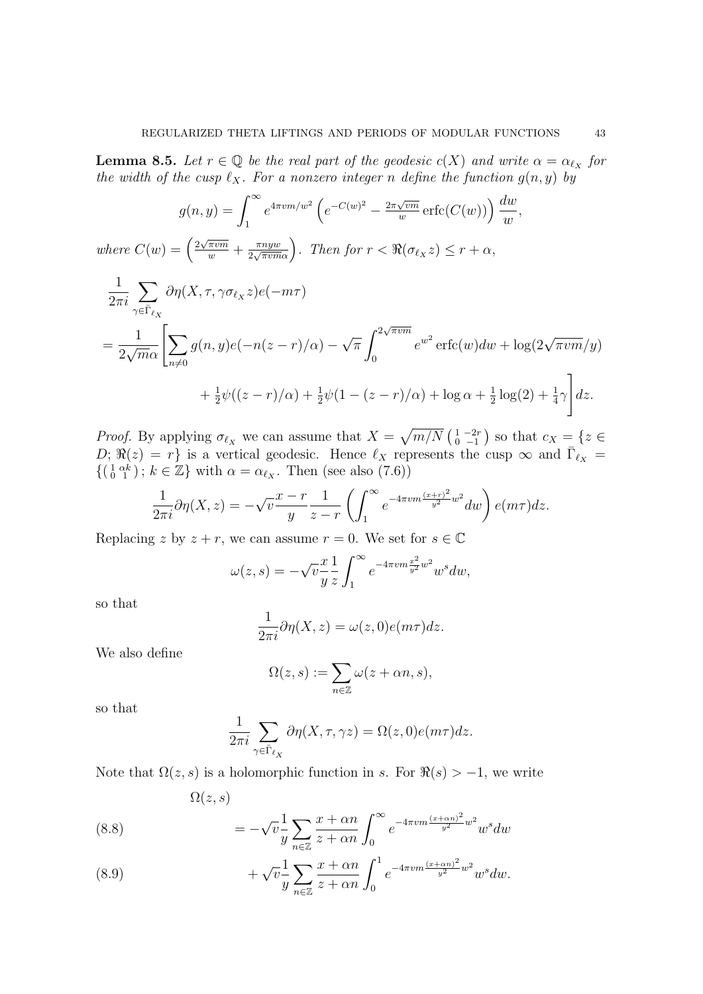**Lemma 8.5.** Let  $r \in \mathbb{Q}$  be the real part of the geodesic  $c(X)$  and write  $\alpha = \alpha_{\ell_X}$  for the width of the cusp  $\ell_X$ . For a nonzero integer n define the function  $g(n, y)$  by

$$
g(n,y) = \int_1^{\infty} e^{4\pi v m/w^2} \left( e^{-C(w)^2} - \frac{2\pi \sqrt{vm}}{w} \operatorname{erfc}(C(w)) \right) \frac{dw}{w},
$$

where  $C(w) = \left(\frac{2\sqrt{\pi v m}}{w} + \frac{\pi n y w}{2\sqrt{\pi v m}}\right)$  $\sqrt{\frac{\pi n yw}{2\sqrt{\pi v m \alpha}}}$ . Then for  $r < \Re(\sigma_{\ell_X} z) \le r + \alpha$ ,

$$
\frac{1}{2\pi i} \sum_{\gamma \in \bar{\Gamma}_{\ell_X}} \partial \eta(X, \tau, \gamma \sigma_{\ell_X} z) e(-m\tau)
$$
\n
$$
= \frac{1}{2\sqrt{m\alpha}} \left[ \sum_{n \neq 0} g(n, y) e(-n(z - r)/\alpha) - \sqrt{\pi} \int_0^{2\sqrt{\pi v m}} e^{w^2} \operatorname{erfc}(w) dw + \log(2\sqrt{\pi v m}/y) + \frac{1}{2} \psi((z - r)/\alpha) + \frac{1}{2} \psi(1 - (z - r)/\alpha) + \log \alpha + \frac{1}{2} \log(2) + \frac{1}{4} \gamma \right] dz.
$$

*Proof.* By applying  $\sigma_{\ell_X}$  we can assume that  $X = \sqrt{m/N} \begin{pmatrix} 1 & -2r \\ 0 & -1 \end{pmatrix}$  so that  $c_X = \{z \in$  $D; \Re(z) = r$  is a vertical geodesic. Hence  $\ell_X$  represents the cusp  $\infty$  and  $\overline{\Gamma}_{\ell_X} =$  $\{(\begin{smallmatrix} 1 & \alpha k \\ 0 & 1 \end{smallmatrix})\colon k \in \mathbb{Z}\}\$  with  $\alpha = \alpha_{\ell_X}$ . Then (see also (7.6))

$$
\frac{1}{2\pi i}\partial\eta(X,z) = -\sqrt{v}\frac{x-r}{y}\frac{1}{z-r}\left(\int_1^\infty e^{-4\pi v m\frac{(x+r)^2}{y^2}w^2}dw\right)e(m\tau)dz.
$$

Replacing z by  $z + r$ , we can assume  $r = 0$ . We set for  $s \in \mathbb{C}$ 

$$
\omega(z,s) = -\sqrt{v} \frac{x}{y} \frac{1}{z} \int_1^\infty e^{-4\pi v m \frac{x^2}{y^2} w^2} w^s dw,
$$

so that

$$
\frac{1}{2\pi i}\partial \eta(X, z) = \omega(z, 0)e(m\tau)dz.
$$

We also define

$$
\Omega(z,s):=\sum_{n\in\mathbb{Z}}\omega(z+\alpha n,s),
$$

so that

$$
\frac{1}{2\pi i} \sum_{\gamma \in \bar{\Gamma}_{\ell_X}} \partial \eta(X, \tau, \gamma z) = \Omega(z, 0) e(m\tau) dz.
$$

Note that  $\Omega(z, s)$  is a holomorphic function in s. For  $\Re(s) > -1$ , we write

$$
\Omega(z,s)
$$

(8.8) 
$$
= -\sqrt{v} \frac{1}{y} \sum_{n \in \mathbb{Z}} \frac{x + \alpha n}{z + \alpha n} \int_0^\infty e^{-4\pi v m \frac{(x + \alpha n)^2}{y^2} w^2} w^s dw
$$

(8.9) 
$$
+ \sqrt{v} \frac{1}{y} \sum_{n \in \mathbb{Z}} \frac{x + \alpha n}{z + \alpha n} \int_0^1 e^{-4\pi v m \frac{(x + \alpha n)^2}{y^2} w^2} w^s dw.
$$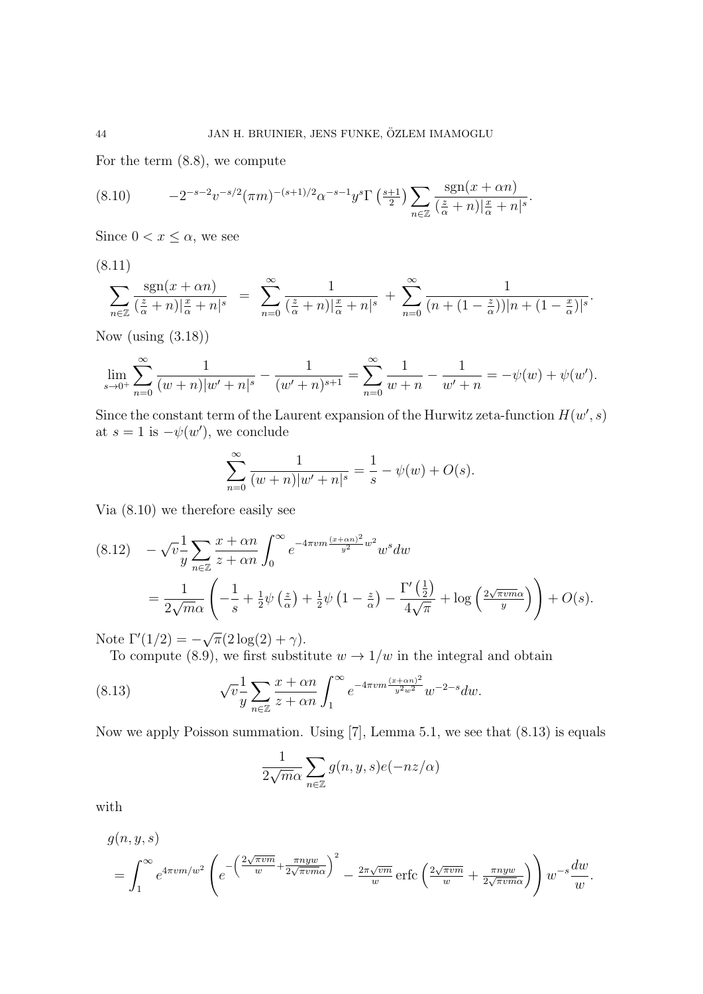For the term (8.8), we compute

$$
(8.10) \qquad -2^{-s-2}v^{-s/2}(\pi m)^{-(s+1)/2}\alpha^{-s-1}y^{s}\Gamma\left(\frac{s+1}{2}\right)\sum_{n\in\mathbb{Z}}\frac{\operatorname{sgn}(x+\alpha n)}{\left(\frac{z}{\alpha}+n\right)|\frac{x}{\alpha}+n|^{s}}.
$$

Since  $0 < x \leq \alpha$ , we see

(8.11)

$$
\sum_{n\in\mathbb{Z}}\frac{\operatorname{sgn}(x+\alpha n)}{(\frac{z}{\alpha}+n)|\frac{x}{\alpha}+n|^{s}} = \sum_{n=0}^{\infty}\frac{1}{(\frac{z}{\alpha}+n)|\frac{x}{\alpha}+n|^{s}} + \sum_{n=0}^{\infty}\frac{1}{(n+(1-\frac{z}{\alpha}))|n+(1-\frac{x}{\alpha})|^{s}}.
$$

Now (using (3.18))

$$
\lim_{s \to 0^+} \sum_{n=0}^{\infty} \frac{1}{(w+n)|w'+n|^s} - \frac{1}{(w'+n)^{s+1}} = \sum_{n=0}^{\infty} \frac{1}{w+n} - \frac{1}{w'+n} = -\psi(w) + \psi(w').
$$

Since the constant term of the Laurent expansion of the Hurwitz zeta-function  $H(w', s)$ at  $s = 1$  is  $-\psi(w')$ , we conclude

$$
\sum_{n=0}^{\infty} \frac{1}{(w+n)|w'+n|^{s}} = \frac{1}{s} - \psi(w) + O(s).
$$

Via (8.10) we therefore easily see

$$
(8.12) \quad -\sqrt{v} \frac{1}{y} \sum_{n \in \mathbb{Z}} \frac{x + \alpha n}{z + \alpha n} \int_0^\infty e^{-4\pi v m \frac{(x + \alpha n)^2}{y^2} w^2} w^s dw
$$

$$
= \frac{1}{2\sqrt{m\alpha}} \left( -\frac{1}{s} + \frac{1}{2} \psi \left( \frac{z}{\alpha} \right) + \frac{1}{2} \psi \left( 1 - \frac{z}{\alpha} \right) - \frac{\Gamma'\left( \frac{1}{2} \right)}{4\sqrt{\pi}} + \log \left( \frac{2\sqrt{\pi v m \alpha}}{y} \right) \right) + O(s).
$$

Note  $\Gamma'(1/2) = \overline{\pi}(2\log(2) + \gamma).$ 

To compute (8.9), we first substitute  $w \to 1/w$  in the integral and obtain

(8.13) 
$$
\sqrt{v} \frac{1}{y} \sum_{n \in \mathbb{Z}} \frac{x + \alpha n}{z + \alpha n} \int_{1}^{\infty} e^{-4\pi v m \frac{(x + \alpha n)^2}{y^2 w^2}} w^{-2-s} dw.
$$

Now we apply Poisson summation. Using [7], Lemma 5.1, we see that (8.13) is equals

$$
\frac{1}{2\sqrt{m}\alpha} \sum_{n \in \mathbb{Z}} g(n, y, s) e(-nz/\alpha)
$$

with

$$
g(n, y, s)
$$
  
=  $\int_{1}^{\infty} e^{4\pi v m/w^2} \left( e^{-\left(\frac{2\sqrt{\pi v m}}{w} + \frac{\pi n y w}{2\sqrt{\pi v m \alpha}}\right)^2} - \frac{2\pi \sqrt{v m}}{w} \operatorname{erfc}\left(\frac{2\sqrt{\pi v m}}{w} + \frac{\pi n y w}{2\sqrt{\pi v m \alpha}}\right) \right) w^{-s} \frac{dw}{w}.$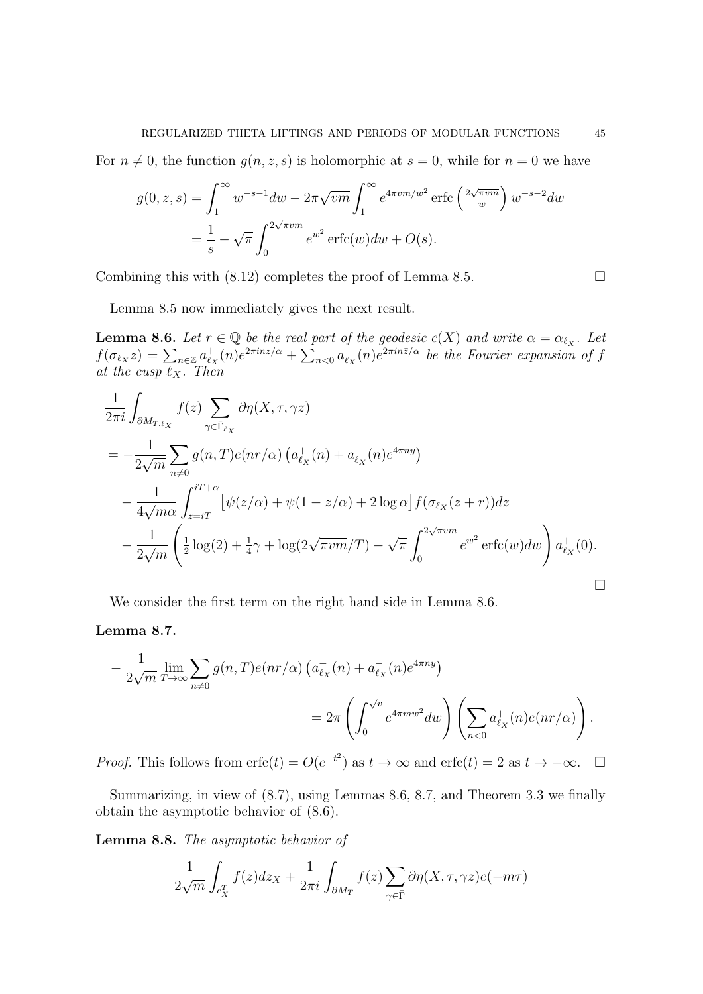For  $n \neq 0$ , the function  $g(n, z, s)$  is holomorphic at  $s = 0$ , while for  $n = 0$  we have

$$
g(0, z, s) = \int_{1}^{\infty} w^{-s-1} dw - 2\pi \sqrt{vm} \int_{1}^{\infty} e^{4\pi v m/w^{2}} \operatorname{erfc}\left(\frac{2\sqrt{\pi vw}}{w}\right) w^{-s-2} dw
$$
  
=  $\frac{1}{s} - \sqrt{\pi} \int_{0}^{2\sqrt{\pi vw}} e^{w^{2}} \operatorname{erfc}(w) dw + O(s).$ 

Combining this with  $(8.12)$  completes the proof of Lemma 8.5.

Lemma 8.5 now immediately gives the next result.

**Lemma 8.6.** Let  $r \in \mathbb{Q}$  be the real part of the geodesic  $c(X)$  and write  $\alpha = \alpha_{\ell_X}$ . Let  $f(\sigma_{\ell_X} z) = \sum_{n \in \mathbb{Z}} a_{\ell_x}^+$  $\int_{\ell_X}^+(n)e^{2\pi i nz/\alpha} + \sum_{n<0} a_{\ell_n}^ \bar{e}_X(n)e^{2\pi in\bar{z}/\alpha}$  be the Fourier expansion of f at the cusp  $\ell_X$ . Then

$$
\frac{1}{2\pi i} \int_{\partial M_{T,\ell_X}} f(z) \sum_{\gamma \in \bar{\Gamma}_{\ell_X}} \partial \eta(X, \tau, \gamma z)
$$
\n
$$
= -\frac{1}{2\sqrt{m}} \sum_{n \neq 0} g(n, T) e(nr/\alpha) \left( a_{\ell_X}^+(n) + a_{\ell_X}^-(n) e^{4\pi ny} \right)
$$
\n
$$
- \frac{1}{4\sqrt{m}\alpha} \int_{z=iT}^{iT+\alpha} \left[ \psi(z/\alpha) + \psi(1-z/\alpha) + 2 \log \alpha \right] f(\sigma_{\ell_X}(z+r)) dz
$$
\n
$$
- \frac{1}{2\sqrt{m}} \left( \frac{1}{2} \log(2) + \frac{1}{4}\gamma + \log(2\sqrt{\pi \nu m}/T) - \sqrt{\pi} \int_0^{2\sqrt{\pi \nu m}} e^{w^2} \text{erfc}(w) dw \right) a_{\ell_X}^+(0).
$$

We consider the first term on the right hand side in Lemma 8.6.

### Lemma 8.7.

$$
-\frac{1}{2\sqrt{m}}\lim_{T\to\infty}\sum_{n\neq 0}g(n,T)e(nr/\alpha)\left(a_{\ell_X}^+(n)+a_{\ell_X}^-(n)e^{4\pi ny}\right)
$$
  
= 
$$
2\pi\left(\int_0^{\sqrt{v}}e^{4\pi n w^2}dw\right)\left(\sum_{n<0}a_{\ell_X}^+(n)e(nr/\alpha)\right).
$$

*Proof.* This follows from  $erfc(t) = O(e^{-t^2})$  as  $t \to \infty$  and  $erfc(t) = 2$  as  $t \to -\infty$ .  $\Box$ 

Summarizing, in view of (8.7), using Lemmas 8.6, 8.7, and Theorem 3.3 we finally obtain the asymptotic behavior of (8.6).

Lemma 8.8. The asymptotic behavior of

$$
\frac{1}{2\sqrt{m}}\int_{c_X^T} f(z)dz_X + \frac{1}{2\pi i}\int_{\partial M_T} f(z)\sum_{\gamma \in \bar{\Gamma}} \partial \eta(X, \tau, \gamma z)e(-m\tau)
$$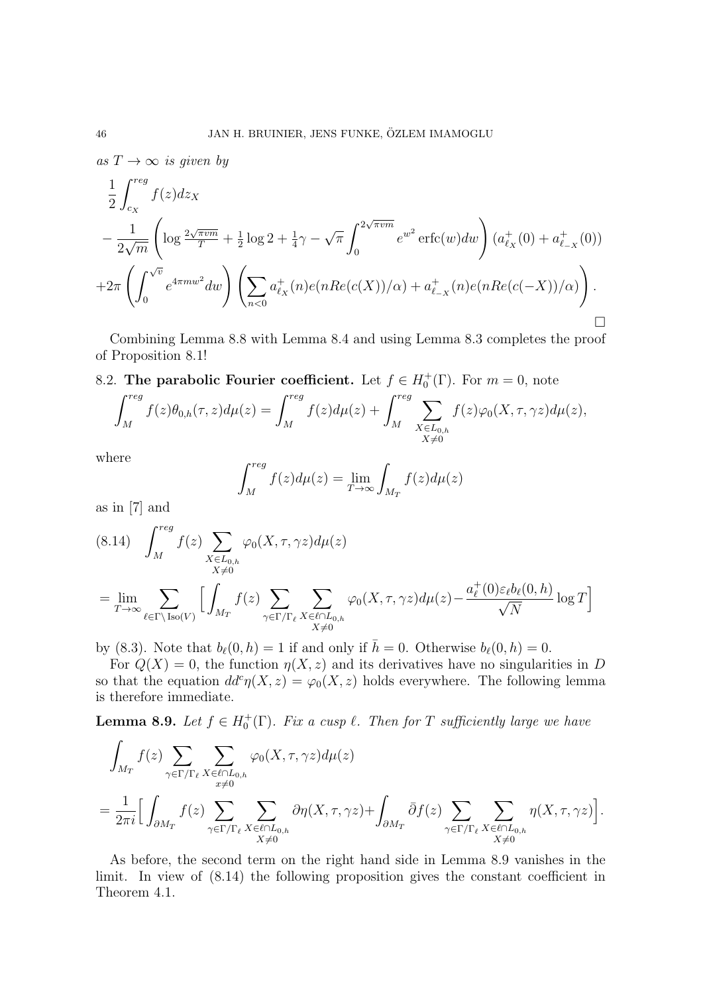as  $T \to \infty$  is given by

$$
\frac{1}{2} \int_{c_X}^{reg} f(z) dz_X
$$
\n
$$
- \frac{1}{2\sqrt{m}} \left( \log \frac{2\sqrt{\pi v m}}{T} + \frac{1}{2} \log 2 + \frac{1}{4}\gamma - \sqrt{\pi} \int_0^{2\sqrt{\pi v m}} e^{w^2} \operatorname{erfc}(w) dw \right) (a_{\ell_X}^+(0) + a_{\ell_X}^+(0))
$$
\n
$$
+ 2\pi \left( \int_0^{\sqrt{v}} e^{4\pi m w^2} dw \right) \left( \sum_{n < 0} a_{\ell_X}^+(n) e(nRe(c(X))/\alpha) + a_{\ell_X}^+(n) e(nRe(c(-X))/\alpha) \right).
$$

Combining Lemma 8.8 with Lemma 8.4 and using Lemma 8.3 completes the proof of Proposition 8.1!

8.2. The parabolic Fourier coefficient. Let  $f \in H_0^+(\Gamma)$ . For  $m = 0$ , note

$$
\int_M^{reg} f(z)\theta_{0,h}(\tau,z)d\mu(z) = \int_M^{reg} f(z)d\mu(z) + \int_M^{reg} \sum_{\substack{X \in L_{0,h} \\ X \neq 0}} f(z)\varphi_0(X,\tau,\gamma z)d\mu(z),
$$

where

$$
\int_{M}^{reg} f(z)d\mu(z) = \lim_{T \to \infty} \int_{M_T} f(z)d\mu(z)
$$

as in [7] and

$$
(8.14) \quad \int_M^{reg} f(z) \sum_{\substack{X \in L_{0,h} \\ X \neq 0}} \varphi_0(X,\tau,\gamma z) d\mu(z)
$$

$$
= \lim_{T \to \infty} \sum_{\ell \in \Gamma \backslash \text{Iso}(V)} \Big[ \int_{M_T} f(z) \sum_{\substack{\gamma \in \Gamma/\Gamma_\ell \\ X \neq 0}} \sum_{\substack{X \in \ell \cap L_{0,h} \\ X \neq 0}} \varphi_0(X,\tau,\gamma z) d\mu(z) - \frac{a_\ell^+(0) \varepsilon_\ell b_\ell(0,h)}{\sqrt{N}} \log T \Big]
$$

by (8.3). Note that  $b_{\ell}(0, h) = 1$  if and only if  $\bar{h} = 0$ . Otherwise  $b_{\ell}(0, h) = 0$ .

For  $Q(X) = 0$ , the function  $\eta(X, z)$  and its derivatives have no singularities in D so that the equation  $dd^c \eta(X, z) = \varphi_0(X, z)$  holds everywhere. The following lemma is therefore immediate.

**Lemma 8.9.** Let  $f \in H_0^+(\Gamma)$ . Fix a cusp  $\ell$ . Then for T sufficiently large we have

$$
\int_{M_T} f(z) \sum_{\gamma \in \Gamma/\Gamma_{\ell}} \sum_{\substack{X \in \ell \cap L_{0,h} \\ x \neq 0}} \varphi_0(X,\tau,\gamma z) d\mu(z) \n= \frac{1}{2\pi i} \Big[ \int_{\partial M_T} f(z) \sum_{\substack{\gamma \in \Gamma/\Gamma_{\ell} \\ X \neq 0}} \sum_{X \in \ell \cap L_{0,h}} \partial \eta(X,\tau,\gamma z) + \int_{\partial M_T} \bar{\partial} f(z) \sum_{\substack{\gamma \in \Gamma/\Gamma_{\ell} \\ X \neq 0}} \sum_{\substack{X \in \ell \cap L_{0,h} \\ X \neq 0}} \eta(X,\tau,\gamma z) \Big].
$$

As before, the second term on the right hand side in Lemma 8.9 vanishes in the limit. In view of (8.14) the following proposition gives the constant coefficient in Theorem 4.1.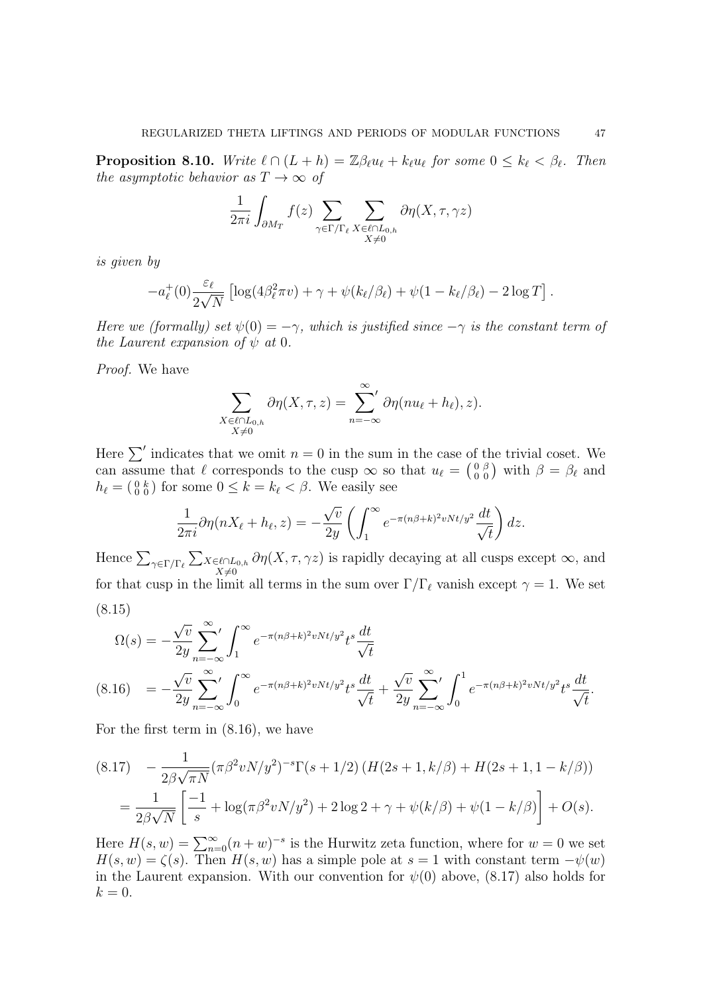**Proposition 8.10.** Write  $\ell \cap (L + h) = \mathbb{Z}\beta_{\ell}u_{\ell} + k_{\ell}u_{\ell}$  for some  $0 \leq k_{\ell} < \beta_{\ell}$ . Then the asymptotic behavior as  $T \to \infty$  of

$$
\frac{1}{2\pi i} \int_{\partial M_T} f(z) \sum_{\gamma \in \Gamma/\Gamma_\ell} \sum_{\substack{X \in \ell \cap L_{0,h} \\ X \neq 0}} \partial \eta(X, \tau, \gamma z)
$$

is given by

$$
-a_{\ell}^+(0)\frac{\varepsilon_{\ell}}{2\sqrt{N}}\left[\log(4\beta_{\ell}^2\pi v)+\gamma+\psi(k_{\ell}/\beta_{\ell})+\psi(1-k_{\ell}/\beta_{\ell})-2\log T\right].
$$

Here we (formally) set  $\psi(0) = -\gamma$ , which is justified since  $-\gamma$  is the constant term of the Laurent expansion of  $\psi$  at 0.

Proof. We have

$$
\sum_{\substack{X \in \ell \cap L_{0,h} \\ X \neq 0}} \partial \eta(X, \tau, z) = \sum_{n=-\infty}^{\infty} \partial \eta(nu_{\ell} + h_{\ell}), z).
$$

Here  $\sum'$  indicates that we omit  $n = 0$  in the sum in the case of the trivial coset. We can assume that  $\ell$  corresponds to the cusp  $\infty$  so that  $u_{\ell} = \begin{pmatrix} 0 & \beta \\ 0 & 0 \end{pmatrix}$  with  $\beta = \beta_{\ell}$  and  $h_{\ell} = \begin{pmatrix} 0 & k \\ 0 & 0 \end{pmatrix}$  for some  $0 \leq k = k_{\ell} < \beta$ . We easily see

$$
\frac{1}{2\pi i}\partial\eta(nX_{\ell}+h_{\ell},z)=-\frac{\sqrt{v}}{2y}\left(\int_{1}^{\infty}e^{-\pi(n\beta+k)^{2}vNt/y^{2}}\frac{dt}{\sqrt{t}}\right)dz.
$$

Hence  $\sum_{\gamma \in \Gamma/\Gamma_\ell} \sum_{X \in \ell \cap L_{0,h}}$  $X\neq0$  $\partial \eta(X, \tau, \gamma z)$  is rapidly decaying at all cusps except  $\infty$ , and for that cusp in the limit all terms in the sum over  $\Gamma/\Gamma_\ell$  vanish except  $\gamma = 1$ . We set (8.15)

$$
\Omega(s) = -\frac{\sqrt{v}}{2y} \sum_{n=-\infty}^{\infty} \int_{1}^{\infty} e^{-\pi (n\beta + k)^2 v N t/y^2} t^s \frac{dt}{\sqrt{t}}
$$
\n
$$
(8.16) = -\frac{\sqrt{v}}{2y} \sum_{n=-\infty}^{\infty} \int_{0}^{\infty} e^{-\pi (n\beta + k)^2 v N t/y^2} t^s \frac{dt}{\sqrt{t}} + \frac{\sqrt{v}}{2y} \sum_{n=-\infty}^{\infty} \int_{0}^{1} e^{-\pi (n\beta + k)^2 v N t/y^2} t^s \frac{dt}{\sqrt{t}}.
$$

For the first term in (8.16), we have

$$
(8.17) \quad -\frac{1}{2\beta\sqrt{\pi N}}(\pi\beta^2 vN/y^2)^{-s}\Gamma(s+1/2)\left(H(2s+1,k/\beta)+H(2s+1,1-k/\beta)\right)
$$
\n
$$
=\frac{1}{2\beta\sqrt{N}}\left[\frac{-1}{s}+\log(\pi\beta^2 vN/y^2)+2\log 2+\gamma+\psi(k/\beta)+\psi(1-k/\beta)\right]+O(s).
$$

Here  $H(s, w) = \sum_{n=0}^{\infty} (n + w)^{-s}$  is the Hurwitz zeta function, where for  $w = 0$  we set  $H(s, w) = \zeta(s)$ . Then  $H(s, w)$  has a simple pole at  $s = 1$  with constant term  $-\psi(w)$ in the Laurent expansion. With our convention for  $\psi(0)$  above, (8.17) also holds for  $k = 0$ .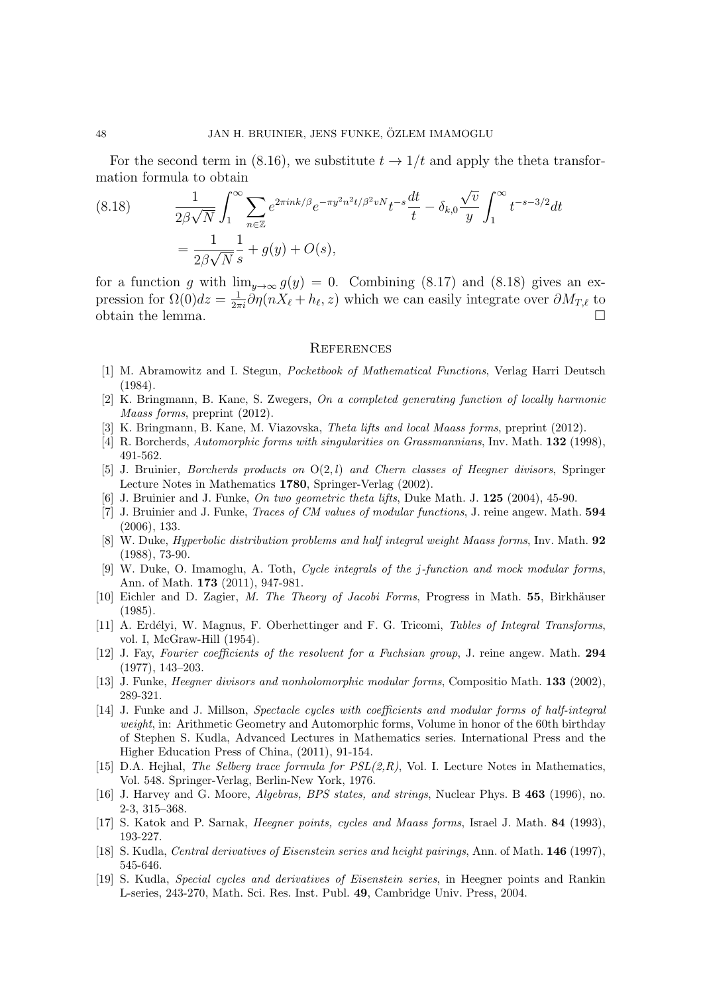For the second term in (8.16), we substitute  $t \to 1/t$  and apply the theta transformation formula to obtain

(8.18) 
$$
\frac{1}{2\beta\sqrt{N}} \int_{1}^{\infty} \sum_{n \in \mathbb{Z}} e^{2\pi i n k/\beta} e^{-\pi y^2 n^2 t/\beta^2 v N} t^{-s} \frac{dt}{t} - \delta_{k,0} \frac{\sqrt{v}}{y} \int_{1}^{\infty} t^{-s-3/2} dt
$$

$$
= \frac{1}{2\beta\sqrt{N}} \frac{1}{s} + g(y) + O(s),
$$

for a function g with  $\lim_{y\to\infty} g(y) = 0$ . Combining (8.17) and (8.18) gives an expression for  $\Omega(0)dz = \frac{1}{2\pi i}\partial \eta(nX_\ell + h_\ell, z)$  which we can easily integrate over  $\partial M_{T,\ell}$  to obtain the lemma.  $\Box$ 

#### **REFERENCES**

- [1] M. Abramowitz and I. Stegun, Pocketbook of Mathematical Functions, Verlag Harri Deutsch (1984).
- [2] K. Bringmann, B. Kane, S. Zwegers, On a completed generating function of locally harmonic Maass forms, preprint (2012).
- [3] K. Bringmann, B. Kane, M. Viazovska, Theta lifts and local Maass forms, preprint (2012).
- [4] R. Borcherds, Automorphic forms with singularities on Grassmannians, Inv. Math. **132** (1998), 491-562.
- [5] J. Bruinier, *Borcherds products on*  $O(2, l)$  and *Chern classes of Heegner divisors*, Springer Lecture Notes in Mathematics 1780, Springer-Verlag (2002).
- [6] J. Bruinier and J. Funke, On two geometric theta lifts, Duke Math. J. 125 (2004), 45-90.
- [7] J. Bruinier and J. Funke, Traces of CM values of modular functions, J. reine angew. Math. 594 (2006), 133.
- [8] W. Duke, *Hyperbolic distribution problems and half integral weight Maass forms*, Inv. Math. 92 (1988), 73-90.
- [9] W. Duke, O. Imamoglu, A. Toth, Cycle integrals of the j-function and mock modular forms, Ann. of Math. 173 (2011), 947-981.
- [10] Eichler and D. Zagier, M. The Theory of Jacobi Forms, Progress in Math. 55, Birkhäuser (1985).
- [11] A. Erdélyi, W. Magnus, F. Oberhettinger and F. G. Tricomi, Tables of Integral Transforms, vol. I, McGraw-Hill (1954).
- [12] J. Fay, Fourier coefficients of the resolvent for a Fuchsian group, J. reine angew. Math. 294 (1977), 143–203.
- [13] J. Funke, *Heegner divisors and nonholomorphic modular forms*, Compositio Math. 133 (2002), 289-321.
- [14] J. Funke and J. Millson, Spectacle cycles with coefficients and modular forms of half-integral weight, in: Arithmetic Geometry and Automorphic forms, Volume in honor of the 60th birthday of Stephen S. Kudla, Advanced Lectures in Mathematics series. International Press and the Higher Education Press of China, (2011), 91-154.
- [15] D.A. Hejhal, The Selberg trace formula for  $PSL(2,R)$ , Vol. I. Lecture Notes in Mathematics, Vol. 548. Springer-Verlag, Berlin-New York, 1976.
- [16] J. Harvey and G. Moore, Algebras, BPS states, and strings, Nuclear Phys. B 463 (1996), no. 2-3, 315–368.
- [17] S. Katok and P. Sarnak, Heegner points, cycles and Maass forms, Israel J. Math. 84 (1993), 193-227.
- [18] S. Kudla, Central derivatives of Eisenstein series and height pairings, Ann. of Math. 146 (1997), 545-646.
- [19] S. Kudla, Special cycles and derivatives of Eisenstein series, in Heegner points and Rankin L-series, 243-270, Math. Sci. Res. Inst. Publ. 49, Cambridge Univ. Press, 2004.